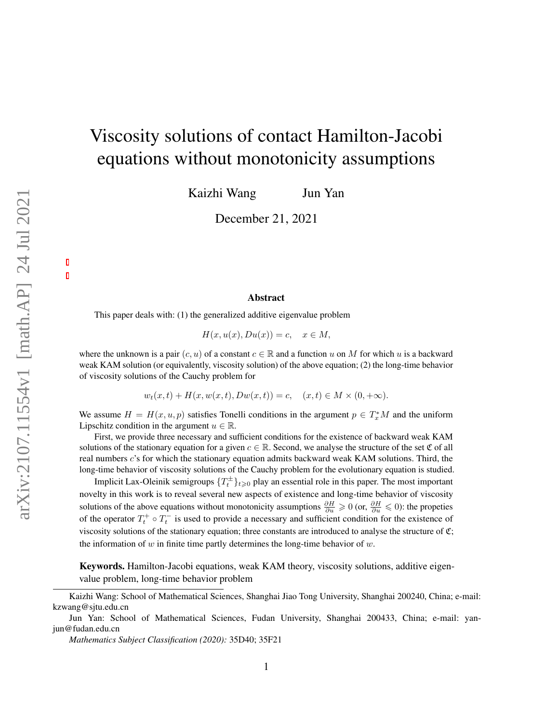# Viscosity solutions of contact Hamilton-Jacobi equations without monotonicity assumptions

Kaizhi Wang Jun Yan

December 21, 2021

#### Abstract

This paper deals with: (1) the generalized additive eigenvalue problem

$$
H(x, u(x), Du(x)) = c, \quad x \in M,
$$

where the unknown is a pair  $(c, u)$  of a constant  $c \in \mathbb{R}$  and a function u on M for which u is a backward weak KAM solution (or equivalently, viscosity solution) of the above equation; (2) the long-time behavior of viscosity solutions of the Cauchy problem for

 $w_t(x, t) + H(x, w(x, t), Dw(x, t)) = c, \quad (x, t) \in M \times (0, +\infty).$ 

We assume  $H = H(x, u, p)$  satisfies Tonelli conditions in the argument  $p \in T_x^*M$  and the uniform Lipschitz condition in the argument  $u \in \mathbb{R}$ .

First, we provide three necessary and sufficient conditions for the existence of backward weak KAM solutions of the stationary equation for a given  $c \in \mathbb{R}$ . Second, we analyse the structure of the set  $\mathfrak C$  of all real numbers c's for which the stationary equation admits backward weak KAM solutions. Third, the long-time behavior of viscosity solutions of the Cauchy problem for the evolutionary equation is studied.

Implicit Lax-Oleinik semigroups  $\{T_t^{\pm}\}_{t\geqslant 0}$  play an essential role in this paper. The most important novelty in this work is to reveal several new aspects of existence and long-time behavior of viscosity solutions of the above equations without monotonicity assumptions  $\frac{\partial H}{\partial u} \geq 0$  (or,  $\frac{\partial H}{\partial u} \leq 0$ ): the propeties of the operator  $T_t^+ \circ T_t^-$  is used to provide a necessary and sufficient condition for the existence of viscosity solutions of the stationary equation; three constants are introduced to analyse the structure of  $\mathfrak{C}$ ; the information of w in finite time partly determines the long-time behavior of w.

Keywords. Hamilton-Jacobi equations, weak KAM theory, viscosity solutions, additive eigenvalue problem, long-time behavior problem

Kaizhi Wang: School of Mathematical Sciences, Shanghai Jiao Tong University, Shanghai 200240, China; e-mail: kzwang@sjtu.edu.cn

Jun Yan: School of Mathematical Sciences, Fudan University, Shanghai 200433, China; e-mail: yanjun@fudan.edu.cn

*Mathematics Subject Classification (2020):* 35D40; 35F21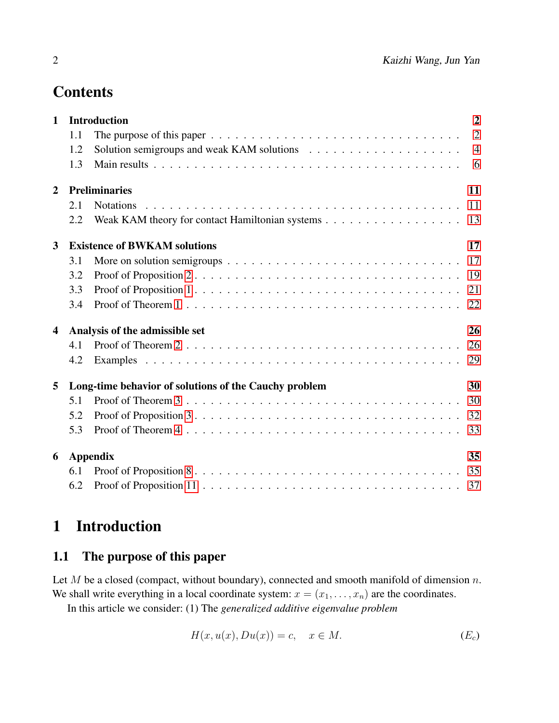# **Contents**

| $\mathbf{1}$            |                                     | <b>Introduction</b>                                                                                       | $\overline{2}$ |  |  |  |  |  |
|-------------------------|-------------------------------------|-----------------------------------------------------------------------------------------------------------|----------------|--|--|--|--|--|
|                         | 1.1                                 | The purpose of this paper $\dots \dots \dots \dots \dots \dots \dots \dots \dots \dots \dots \dots \dots$ | $\overline{2}$ |  |  |  |  |  |
|                         | 1.2                                 |                                                                                                           | $\overline{4}$ |  |  |  |  |  |
|                         | 1.3                                 |                                                                                                           | 6              |  |  |  |  |  |
| $\overline{2}$          |                                     | <b>Preliminaries</b>                                                                                      | 11             |  |  |  |  |  |
|                         | 2.1                                 | <b>Notations</b>                                                                                          | 11             |  |  |  |  |  |
|                         | 2.2                                 |                                                                                                           | 13             |  |  |  |  |  |
| $\overline{3}$          | <b>Existence of BWKAM solutions</b> |                                                                                                           |                |  |  |  |  |  |
|                         | 3.1                                 |                                                                                                           | 17             |  |  |  |  |  |
|                         | 3.2                                 |                                                                                                           |                |  |  |  |  |  |
|                         | 3.3                                 |                                                                                                           | 21             |  |  |  |  |  |
|                         | 3.4                                 |                                                                                                           |                |  |  |  |  |  |
| $\overline{\mathbf{4}}$ |                                     | Analysis of the admissible set                                                                            |                |  |  |  |  |  |
|                         | 4.1                                 |                                                                                                           | 26             |  |  |  |  |  |
|                         | 4.2                                 |                                                                                                           | 29             |  |  |  |  |  |
| 5                       |                                     | Long-time behavior of solutions of the Cauchy problem                                                     | 30             |  |  |  |  |  |
|                         | 5.1                                 |                                                                                                           | 30             |  |  |  |  |  |
|                         | 5.2                                 |                                                                                                           | 32             |  |  |  |  |  |
|                         | 5.3                                 |                                                                                                           | 33             |  |  |  |  |  |
| 6                       |                                     | <b>Appendix</b>                                                                                           | 17<br>26<br>35 |  |  |  |  |  |
|                         | 6.1                                 |                                                                                                           | 35             |  |  |  |  |  |
|                         | 6.2                                 |                                                                                                           |                |  |  |  |  |  |
|                         |                                     |                                                                                                           |                |  |  |  |  |  |

# <span id="page-1-0"></span>1 Introduction

# <span id="page-1-1"></span>1.1 The purpose of this paper

Let  $M$  be a closed (compact, without boundary), connected and smooth manifold of dimension  $n$ . We shall write everything in a local coordinate system:  $x = (x_1, \ldots, x_n)$  are the coordinates.

In this article we consider: (1) The *generalized additive eigenvalue problem*

<span id="page-1-2"></span>
$$
H(x, u(x), Du(x)) = c, \quad x \in M.
$$
 (E<sub>c</sub>)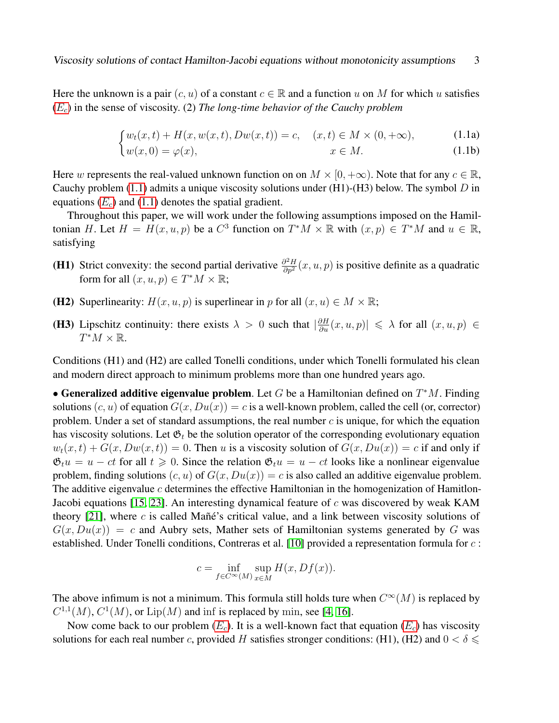Here the unknown is a pair  $(c, u)$  of a constant  $c \in \mathbb{R}$  and a function u on M for which u satisfies  $(E<sub>c</sub>)$  $(E<sub>c</sub>)$  $(E<sub>c</sub>)$  in the sense of viscosity. (2) *The long-time behavior of the Cauchy problem* 

<span id="page-2-0"></span>
$$
\int w_t(x,t) + H(x, w(x,t), Dw(x,t)) = c, \quad (x,t) \in M \times (0, +\infty), \tag{1.1a}
$$

$$
\begin{aligned} \n\mathbf{u}(x,0) &= \varphi(x), \n\end{aligned} \n\qquad \qquad x \in M. \n\tag{1.1b}
$$

Here w represents the real-valued unknown function on on  $M \times [0, +\infty)$ . Note that for any  $c \in \mathbb{R}$ , Cauchy problem  $(1.1)$  admits a unique viscosity solutions under  $(H1)-(H3)$  below. The symbol  $D$  in equations  $(E_c)$  $(E_c)$  $(E_c)$  and [\(1.1\)](#page-2-0) denotes the spatial gradient.

Throughout this paper, we will work under the following assumptions imposed on the Hamiltonian H. Let  $H = H(x, u, p)$  be a  $C^3$  function on  $T^*M \times \mathbb{R}$  with  $(x, p) \in T^*M$  and  $u \in \mathbb{R}$ , satisfying

- (H1) Strict convexity: the second partial derivative  $\frac{\partial^2 H}{\partial p^2}(x, u, p)$  is positive definite as a quadratic form for all  $(x, u, p) \in T^*M \times \mathbb{R}$ ;
- (H2) Superlinearity:  $H(x, u, p)$  is superlinear in p for all  $(x, u) \in M \times \mathbb{R}$ ;
- (H3) Lipschitz continuity: there exists  $\lambda > 0$  such that  $|\frac{\partial H}{\partial u}(x, u, p)| \leq \lambda$  for all  $(x, u, p) \in$  $T^*M\times\mathbb{R}$ .

Conditions (H1) and (H2) are called Tonelli conditions, under which Tonelli formulated his clean and modern direct approach to minimum problems more than one hundred years ago.

• Generalized additive eigenvalue problem. Let G be a Hamiltonian defined on  $T^*M$ . Finding solutions  $(c, u)$  of equation  $G(x, Du(x)) = c$  is a well-known problem, called the cell (or, corrector) problem. Under a set of standard assumptions, the real number  $c$  is unique, for which the equation has viscosity solutions. Let  $\mathfrak{G}_t$  be the solution operator of the corresponding evolutionary equation  $w_t(x, t) + G(x, Dw(x, t)) = 0$ . Then u is a viscosity solution of  $G(x, Du(x)) = c$  if and only if  $\mathfrak{G}_t u = u - ct$  for all  $t \geq 0$ . Since the relation  $\mathfrak{G}_t u = u - ct$  looks like a nonlinear eigenvalue problem, finding solutions  $(c, u)$  of  $G(x, Du(x)) = c$  is also called an additive eigenvalue problem. The additive eigenvalue  $c$  determines the effective Hamiltonian in the homogenization of Hamitlon-Jacobi equations [\[15,](#page-40-0) [23\]](#page-41-0). An interesting dynamical feature of  $c$  was discovered by weak KAM theory [\[21\]](#page-41-1), where  $c$  is called Mañé's critical value, and a link between viscosity solutions of  $G(x, Du(x)) = c$  and Aubry sets, Mather sets of Hamiltonian systems generated by G was established. Under Tonelli conditions, Contreras et al. [\[10\]](#page-40-1) provided a representation formula for c :

$$
c = \inf_{f \in C^{\infty}(M)} \sup_{x \in M} H(x, Df(x)).
$$

The above infimum is not a minimum. This formula still holds ture when  $C^{\infty}(M)$  is replaced by  $C^{1,1}(M)$ ,  $C^1(M)$ , or  $Lip(M)$  and inf is replaced by min, see [\[4,](#page-39-0) [16\]](#page-40-2).

Now come back to our problem  $(E_c)$  $(E_c)$  $(E_c)$ . It is a well-known fact that equation  $(E_c)$  has viscosity solutions for each real number c, provided H satisfies stronger conditions: (H1), (H2) and  $0 < \delta \le$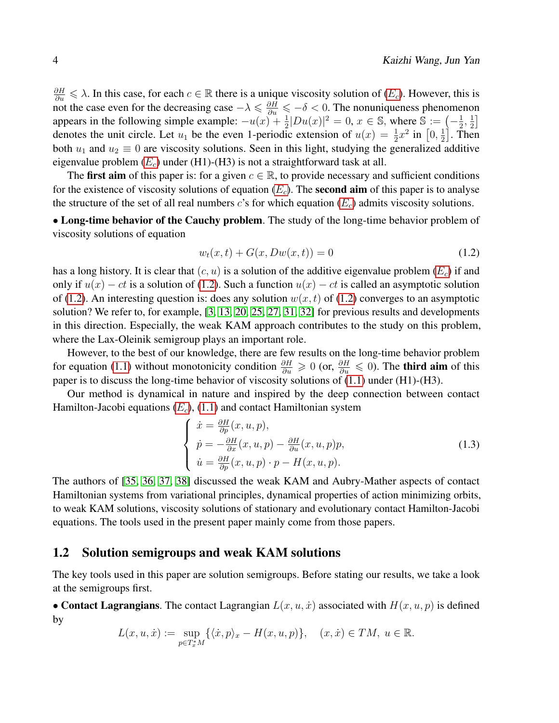$\frac{\partial H}{\partial u} \leq \lambda$ . In this case, for each  $c \in \mathbb{R}$  there is a unique viscosity solution of  $(E_c)$  $(E_c)$  $(E_c)$ . However, this is not the case even for the decreasing case  $-\lambda \le \frac{\partial H}{\partial u} \le -\delta < 0$ . The nonuniqueness phenomenon appears in the following simple example:  $-u(x) + \frac{1}{2}|Du(x)|^2 = 0$ ,  $x \in \mathbb{S}$ , where  $\mathbb{S} := \left(-\frac{1}{2}\right)$  $\frac{1}{2}, \frac{1}{2}$  $\frac{1}{2}$ denotes the unit circle. Let  $u_1$  be the even 1-periodic extension of  $u(x) = \frac{1}{2}x^2$  in  $\left[0, \frac{1}{2}\right]$  $\frac{1}{2}$ . Then both  $u_1$  and  $u_2 \equiv 0$  are viscosity solutions. Seen in this light, studying the generalized additive eigenvalue problem  $(E_c)$  $(E_c)$  $(E_c)$  under (H1)-(H3) is not a straightforward task at all.

The first aim of this paper is: for a given  $c \in \mathbb{R}$ , to provide necessary and sufficient conditions for the existence of viscosity solutions of equation  $(E_c)$  $(E_c)$  $(E_c)$ . The **second aim** of this paper is to analyse the structure of the set of all real numbers c's for which equation  $(E_c)$  $(E_c)$  $(E_c)$  admits viscosity solutions.

• Long-time behavior of the Cauchy problem. The study of the long-time behavior problem of viscosity solutions of equation

<span id="page-3-1"></span>
$$
w_t(x,t) + G(x,Dw(x,t)) = 0
$$
\n(1.2)

has a long history. It is clear that  $(c, u)$  is a solution of the additive eigenvalue problem  $(E_c)$  $(E_c)$  $(E_c)$  if and only if  $u(x) - ct$  is a solution of [\(1.2\)](#page-3-1). Such a function  $u(x) - ct$  is called an asymptotic solution of [\(1.2\)](#page-3-1). An interesting question is: does any solution  $w(x, t)$  of (1.2) converges to an asymptotic solution? We refer to, for example, [\[3,](#page-39-1) [13,](#page-40-3) [20,](#page-40-4) [25,](#page-41-2) [27,](#page-41-3) [31,](#page-41-4) [32\]](#page-41-5) for previous results and developments in this direction. Especially, the weak KAM approach contributes to the study on this problem, where the Lax-Oleinik semigroup plays an important role.

However, to the best of our knowledge, there are few results on the long-time behavior problem for equation [\(1.1\)](#page-2-0) without monotonicity condition  $\frac{\partial H}{\partial u} \geq 0$  (or,  $\frac{\partial H}{\partial u} \leq 0$ ). The third aim of this paper is to discuss the long-time behavior of viscosity solutions of  $(1.1)$  under  $(H1)$ - $(H3)$ .

Our method is dynamical in nature and inspired by the deep connection between contact Hamilton-Jacobi equations  $(E_c)$  $(E_c)$  $(E_c)$ , [\(1.1\)](#page-2-0) and contact Hamiltonian system

<span id="page-3-2"></span>
$$
\begin{cases}\n\dot{x} = \frac{\partial H}{\partial p}(x, u, p), \\
\dot{p} = -\frac{\partial H}{\partial x}(x, u, p) - \frac{\partial H}{\partial u}(x, u, p)p, \\
\dot{u} = \frac{\partial H}{\partial p}(x, u, p) \cdot p - H(x, u, p).\n\end{cases} (1.3)
$$

The authors of [\[35,](#page-41-6) [36,](#page-41-7) [37,](#page-41-8) [38\]](#page-42-0) discussed the weak KAM and Aubry-Mather aspects of contact Hamiltonian systems from variational principles, dynamical properties of action minimizing orbits, to weak KAM solutions, viscosity solutions of stationary and evolutionary contact Hamilton-Jacobi equations. The tools used in the present paper mainly come from those papers.

#### <span id="page-3-0"></span>1.2 Solution semigroups and weak KAM solutions

The key tools used in this paper are solution semigroups. Before stating our results, we take a look at the semigroups first.

• Contact Lagrangians. The contact Lagrangian  $L(x, u, \dot{x})$  associated with  $H(x, u, p)$  is defined by

$$
L(x, u, \dot{x}) := \sup_{p \in T_x^*M} \{ \langle \dot{x}, p \rangle_x - H(x, u, p) \}, \quad (x, \dot{x}) \in TM, u \in \mathbb{R}.
$$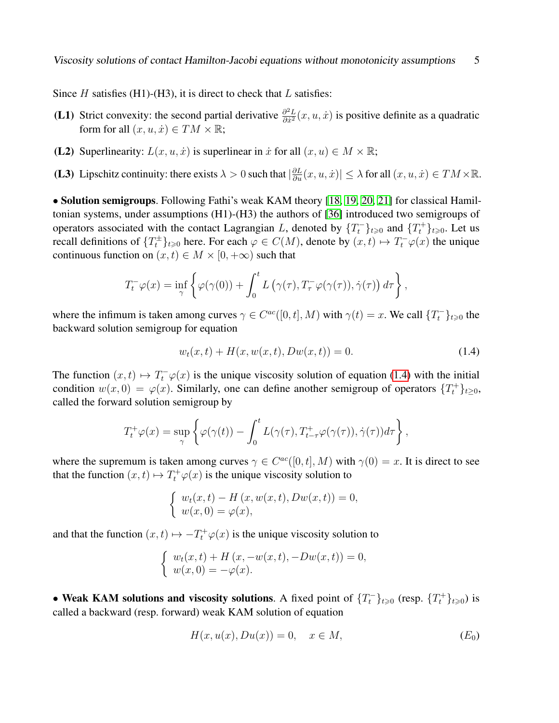Since  $H$  satisfies (H1)-(H3), it is direct to check that  $L$  satisfies:

- (L1) Strict convexity: the second partial derivative  $\frac{\partial^2 L}{\partial x^2}$  $\frac{\partial^2 L}{\partial \dot{x}^2}(x, u, \dot{x})$  is positive definite as a quadratic form for all  $(x, u, \dot{x}) \in TM \times \mathbb{R}$ ;
- (L2) Superlinearity:  $L(x, u, \dot{x})$  is superlinear in  $\dot{x}$  for all  $(x, u) \in M \times \mathbb{R}$ ;
- (L3) Lipschitz continuity: there exists  $\lambda > 0$  such that  $|\frac{\partial L}{\partial u}(x, u, \dot{x})| \leq \lambda$  for all  $(x, u, \dot{x}) \in TM \times \mathbb{R}$ .

• Solution semigroups. Following Fathi's weak KAM theory [\[18,](#page-40-5) [19,](#page-40-6) [20,](#page-40-4) [21\]](#page-41-1) for classical Hamiltonian systems, under assumptions (H1)-(H3) the authors of [\[36\]](#page-41-7) introduced two semigroups of operators associated with the contact Lagrangian L, denoted by  $\{T_t^-\}_{t>0}$  and  $\{T_t^+\}_{t>0}$ . Let us recall definitions of  $\{T_t^{\pm}\}_{t\geqslant0}$  here. For each  $\varphi \in C(M)$ , denote by  $(x,t) \mapsto T_t^-\varphi(x)$  the unique continuous function on  $(x, t) \in M \times [0, +\infty)$  such that

$$
T_t^-\varphi(x) = \inf_{\gamma} \left\{ \varphi(\gamma(0)) + \int_0^t L(\gamma(\tau), T_\tau^-\varphi(\gamma(\tau)), \dot{\gamma}(\tau)) d\tau \right\},\,
$$

where the infimum is taken among curves  $\gamma \in C^{ac}([0,t], M)$  with  $\gamma(t) = x$ . We call  $\{T_t^-\}_{t \geq 0}$  the backward solution semigroup for equation

<span id="page-4-0"></span>
$$
w_t(x,t) + H(x, w(x,t), Dw(x,t)) = 0.
$$
\n(1.4)

The function  $(x, t) \mapsto T_t^-\varphi(x)$  is the unique viscosity solution of equation [\(1.4\)](#page-4-0) with the initial condition  $w(x, 0) = \varphi(x)$ . Similarly, one can define another semigroup of operators  $\{T_t^+\}_{t \geq 0}$ , called the forward solution semigroup by

$$
T_t^+\varphi(x)=\sup_{\gamma}\left\{\varphi(\gamma(t))-\int_0^t L(\gamma(\tau),T_{t-\tau}^+\varphi(\gamma(\tau)),\dot{\gamma}(\tau))d\tau\right\},\,
$$

where the supremum is taken among curves  $\gamma \in C^{ac}([0, t], M)$  with  $\gamma(0) = x$ . It is direct to see that the function  $(x, t) \mapsto T_t^+ \varphi(x)$  is the unique viscosity solution to

$$
\begin{cases} w_t(x,t) - H(x, w(x,t), Dw(x,t)) = 0, \\ w(x, 0) = \varphi(x), \end{cases}
$$

and that the function  $(x, t) \mapsto -T_t^+ \varphi(x)$  is the unique viscosity solution to

$$
\begin{cases}\nw_t(x,t) + H(x, -w(x,t), -Dw(x,t)) = 0, \\
w(x, 0) = -\varphi(x).\n\end{cases}
$$

• Weak KAM solutions and viscosity solutions. A fixed point of  $\{T_t^-\}_{t\geqslant 0}$  (resp.  $\{T_t^+\}_{t\geqslant 0}$ ) is called a backward (resp. forward) weak KAM solution of equation

<span id="page-4-1"></span>
$$
H(x, u(x), Du(x)) = 0, \quad x \in M,
$$
\n
$$
(E_0)
$$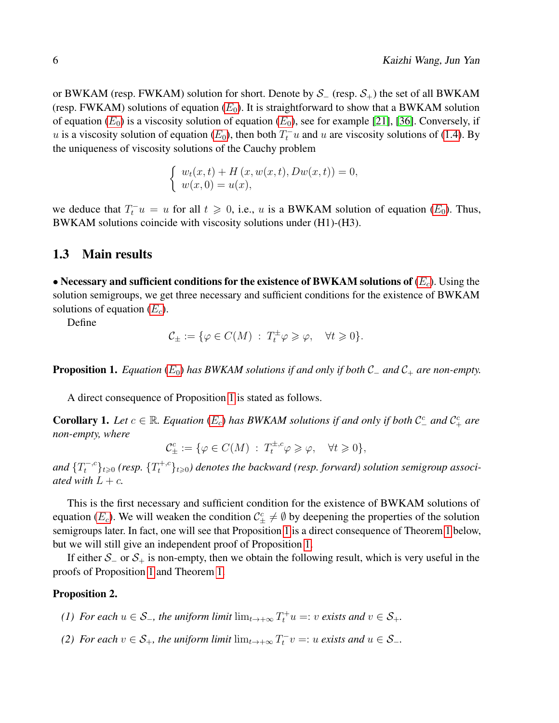or BWKAM (resp. FWKAM) solution for short. Denote by  $S_-(\text{resp. } S_+)$  the set of all BWKAM (resp. FWKAM) solutions of equation  $(E_0)$  $(E_0)$  $(E_0)$ . It is straightforward to show that a BWKAM solution of equation  $(E_0)$  $(E_0)$  $(E_0)$  is a viscosity solution of equation  $(E_0)$ , see for example [\[21\]](#page-41-1), [\[36\]](#page-41-7). Conversely, if u is a viscosity solution of equation  $(E_0)$  $(E_0)$  $(E_0)$ , then both  $T_t^- u$  and u are viscosity solutions of [\(1.4\)](#page-4-0). By the uniqueness of viscosity solutions of the Cauchy problem

$$
\begin{cases}\nw_t(x,t) + H(x, w(x,t), Dw(x,t)) = 0, \\
w(x, 0) = u(x),\n\end{cases}
$$

we deduce that  $T_t^- u = u$  for all  $t \ge 0$ , i.e., u is a BWKAM solution of equation  $(E_0)$  $(E_0)$  $(E_0)$ . Thus, BWKAM solutions coincide with viscosity solutions under (H1)-(H3).

### <span id="page-5-0"></span>1.3 Main results

• Necessary and sufficient conditions for the existence of BWKAM solutions of  $(E_c)$  $(E_c)$  $(E_c)$ . Using the solution semigroups, we get three necessary and sufficient conditions for the existence of BWKAM solutions of equation  $(E_c)$  $(E_c)$  $(E_c)$ .

Define

$$
\mathcal{C}_{\pm} := \{ \varphi \in C(M) \; : \; T_t^{\pm} \varphi \geqslant \varphi, \quad \forall t \geqslant 0 \}.
$$

<span id="page-5-2"></span>**Proposition 1.** *[E](#page-4-1)quation* ( $E_0$ ) *has BWKAM solutions if and only if both*  $C_$  *and*  $C_+$  *are non-empty.* 

A direct consequence of Proposition [1](#page-5-2) is stated as follows.

<span id="page-5-3"></span>**Corollary 1.** Let  $c \in \mathbb{R}$ . [E](#page-1-2)quation  $(E_c)$  has BWKAM solutions if and only if both  $C_c^c$  and  $C_c^c$  are *non-empty, where*

 $\mathcal{C}_{\pm}^c := \{ \varphi \in C(M) \; : \; T_t^{\pm,c} \varphi \geqslant \varphi, \quad \forall t \geqslant 0 \},$ 

and  $\{T^{-,c}_t\}_{t\geqslant0}$  (resp.  $\{T^{+,c}_t\}_{t\geqslant0}$ ) denotes the backward (resp. forward) solution semigroup associ*ated with*  $L + c$ *.* 

This is the first necessary and sufficient condition for the existence of BWKAM solutions of equation ( $E_c$  $E_c$ ). We will weaken the condition  $\mathcal{C}_{\pm}^c \neq \emptyset$  by deepening the properties of the solution semigroups later. In fact, one will see that Proposition [1](#page-5-2) is a direct consequence of Theorem [1](#page-6-0) below, but we will still give an independent proof of Proposition [1.](#page-5-2)

If either  $S_$  or  $S_+$  is non-empty, then we obtain the following result, which is very useful in the proofs of Proposition [1](#page-5-2) and Theorem [1.](#page-6-0)

#### <span id="page-5-1"></span>Proposition 2.

- *(1)* For each  $u \in S_-,$  the uniform limit  $\lim_{t \to +\infty} T_t^+ u =: v$  exists and  $v \in S_+.$
- *(2) For each*  $v \in S_+$ *, the uniform limit*  $\lim_{t \to +\infty} T_t^- v =: u$  *exists and*  $u \in S_-$ *.*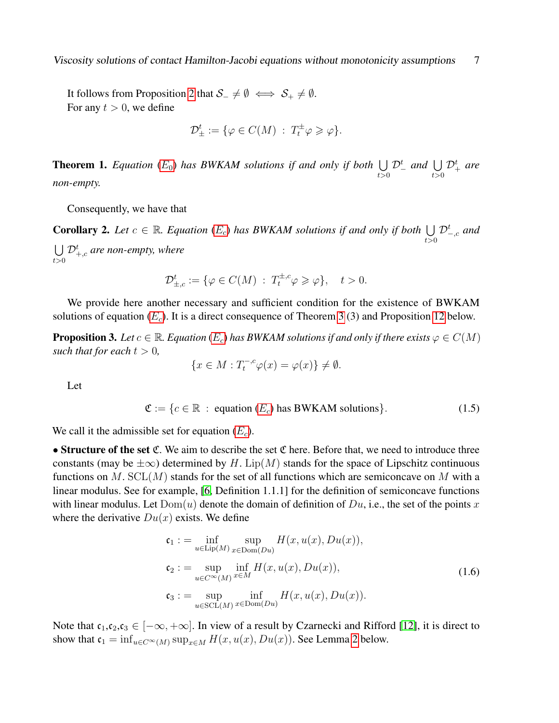It follows from Proposition [2](#page-5-1) that  $S_-\neq \emptyset \iff S_+\neq \emptyset$ . For any  $t > 0$ , we define

$$
\mathcal{D}^t_{\pm} := \{ \varphi \in C(M) \; : \; T_t^{\pm} \varphi \geqslant \varphi \}.
$$

<span id="page-6-0"></span>**Theorem 1.** *[E](#page-4-1)quation*  $(E_0)$  *has BWKAM solutions if and only if both*  $\bigcup$  $t>0$  $\mathcal{D}_{-}^{t}$  and  $\bigcup_{t>0}$  $\mathcal{D}_{+}^{t}$  are *non-empty.*

Consequently, we have that

**Corollary 2.** Let  $c \in \mathbb{R}$ . [E](#page-1-2)quation  $(E_c)$  has BWKAM solutions if and only if both  $\bigcup$  $t>0$  ${\cal D}_{-,c}^t$  and  $\bigcup$  $\mathcal{D}_{+,c}^{t}$  are non-empty, where

$$
\mathcal{D}_{\pm,c}^t := \{ \varphi \in C(M) \; : \; T_t^{\pm,c} \varphi \geqslant \varphi \}, \quad t > 0.
$$

We provide here another necessary and sufficient condition for the existence of BWKAM solutions of equation  $(E_c)$  $(E_c)$  $(E_c)$ . It is a direct consequence of Theorem [3](#page-7-1) (3) and Proposition [12](#page-16-2) below.

<span id="page-6-1"></span>**Proposition 3.** Let  $c \in \mathbb{R}$ . [E](#page-1-2)quation  $(E_c)$  has BWKAM solutions if and only if there exists  $\varphi \in C(M)$ *such that for each*  $t > 0$ ,

<span id="page-6-3"></span>
$$
\{x \in M : T_t^{-,c}\varphi(x) = \varphi(x)\} \neq \emptyset.
$$

Let

 $t>0$ 

$$
\mathfrak{C} := \{c \in \mathbb{R} : \text{ equation } (E_c) \text{ has BWKAM solutions}\}. \tag{1.5}
$$

We call it the admissible set for equation  $(E_c)$  $(E_c)$  $(E_c)$ .

• Structure of the set  $\mathfrak{C}$ . We aim to describe the set  $\mathfrak{C}$  here. Before that, we need to introduce three constants (may be  $\pm \infty$ ) determined by H. Lip(M) stands for the space of Lipschitz continuous functions on M. SCL $(M)$  stands for the set of all functions which are semiconcave on M with a linear modulus. See for example, [\[6,](#page-40-7) Definition 1.1.1] for the definition of semiconcave functions with linear modulus. Let  $Dom(u)$  denote the domain of definition of  $Du$ , i.e., the set of the points x where the derivative  $Du(x)$  exists. We define

<span id="page-6-2"></span>
$$
\mathfrak{c}_1 := \inf_{u \in \text{Lip}(M)} \sup_{x \in \text{Dom}(Du)} H(x, u(x), Du(x)),
$$
  
\n
$$
\mathfrak{c}_2 := \sup_{u \in C^{\infty}(M)} \inf_{x \in M} H(x, u(x), Du(x)),
$$
  
\n
$$
\mathfrak{c}_3 := \sup_{u \in \text{SCL}(M)} \inf_{x \in \text{Dom}(Du)} H(x, u(x), Du(x)).
$$
\n(1.6)

Note that  $c_1,c_2,c_3 \in [-\infty, +\infty]$ . In view of a result by Czarnecki and Rifford [\[12\]](#page-40-8), it is direct to show that  $c_1 = \inf_{u \in C^{\infty}(M)} \sup_{x \in M} H(x, u(x), Du(x))$ . See Lemma [2](#page-25-2) below.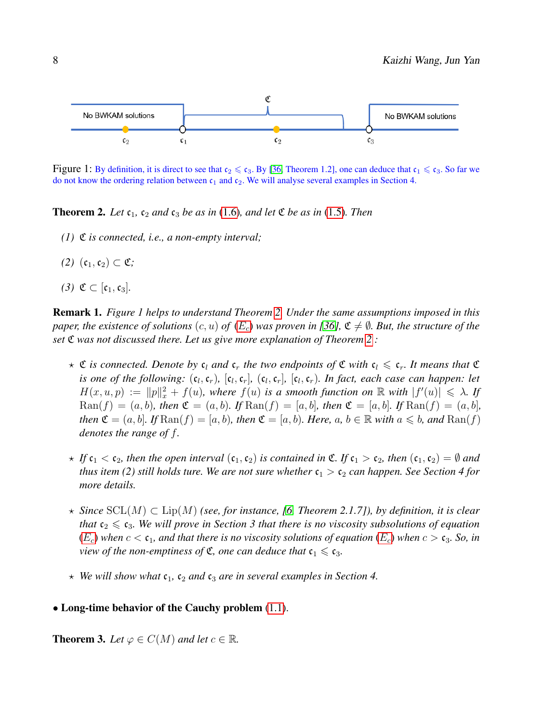

Figure 1: By definition, it is direct to see that  $c_2 \leq c_3$ . By [\[36,](#page-41-7) Theorem 1.2], one can deduce that  $c_1 \leq c_3$ . So far we do not know the ordering relation between  $c_1$  and  $c_2$ . We will analyse several examples in Section 4.

<span id="page-7-0"></span>**Theorem 2.** Let  $c_1$ ,  $c_2$  *and*  $c_3$  *be as in* [\(1.6\)](#page-6-2)*, and let*  $\mathfrak{C}$  *be as in* [\(1.5\)](#page-6-3)*. Then* 

- *(1)* C *is connected, i.e., a non-empty interval;*
- *(2)*  $(c_1, c_2)$  ⊂  $C$ *;*
- *(3)*  $\mathfrak{C} \subset [\mathfrak{c}_1, \mathfrak{c}_3]$ *.*

Remark 1. *Figure 1 helps to understand Theorem [2.](#page-7-0) Under the same assumptions imposed in this paper, the existence of solutions*  $(c, u)$  *of*  $(E_c)$  $(E_c)$  $(E_c)$  *was proven in* [\[36\]](#page-41-7)*,*  $\mathfrak{C} \neq \emptyset$ *. But, the structure of the set* C *was not discussed there. Let us give more explanation of Theorem [2](#page-7-0) :*

- $\star$  C is connected. Denote by  $c_l$  and  $c_r$  the two endpoints of C with  $c_l \leqslant c_r$ . It means that C *is one of the following:*  $(c_l, c_r)$ ,  $[c_l, c_r]$ ,  $(c_l, c_r]$ ,  $[c_l, c_r)$ . In fact, each case can happen: let  $H(x, u, p) := ||p||_x^2 + f(u)$ , where  $f(u)$  is a smooth function on R with  $|f'(u)| \le \lambda$ . If  $\text{Ran}(f) = (a, b)$ *, then*  $\mathfrak{C} = (a, b)$ *. If*  $\text{Ran}(f) = [a, b]$ *, then*  $\mathfrak{C} = [a, b]$ *. If*  $\text{Ran}(f) = (a, b]$ *, then*  $\mathfrak{C} = (a, b]$ *. If*  $\text{Ran}(f) = [a, b)$ *, then*  $\mathfrak{C} = [a, b)$ *. Here,*  $a, b \in \mathbb{R}$  *with*  $a \leq b$ *, and*  $\text{Ran}(f)$ *denotes the range of* f*.*
- $\star$  *If*  $c_1 < c_2$ , then the open interval  $(c_1, c_2)$  is contained in  $\mathfrak{C}$ . If  $c_1 > c_2$ , then  $(c_1, c_2) = \emptyset$  and *thus item (2) still holds ture. We are not sure whether*  $c_1 > c_2$  *can happen. See Section 4 for more details.*
- ? *Since* SCL(M) ⊂ Lip(M) *(see, for instance, [\[6,](#page-40-7) Theorem 2.1.7]), by definition, it is clear that*  $c_2 \le c_3$ *. We will prove in Section 3 that there is no viscosity subsolutions of equation*  $(E_c)$  $(E_c)$  $(E_c)$  when  $c < \mathfrak{c}_1$ , and that there is no viscosity solutions of equation  $(E_c)$  when  $c > \mathfrak{c}_3$ . So, in *view of the non-emptiness of*  $\mathfrak{C}$ *, one can deduce that*  $\mathfrak{c}_1 \leq \mathfrak{c}_3$ *.*
- $\star$  *We will show what*  $c_1$ ,  $c_2$  *and*  $c_3$  *are in several examples in Section 4.*

#### • Long-time behavior of the Cauchy problem [\(1.1\)](#page-2-0).

<span id="page-7-1"></span>**Theorem 3.** Let  $\varphi \in C(M)$  and let  $c \in \mathbb{R}$ .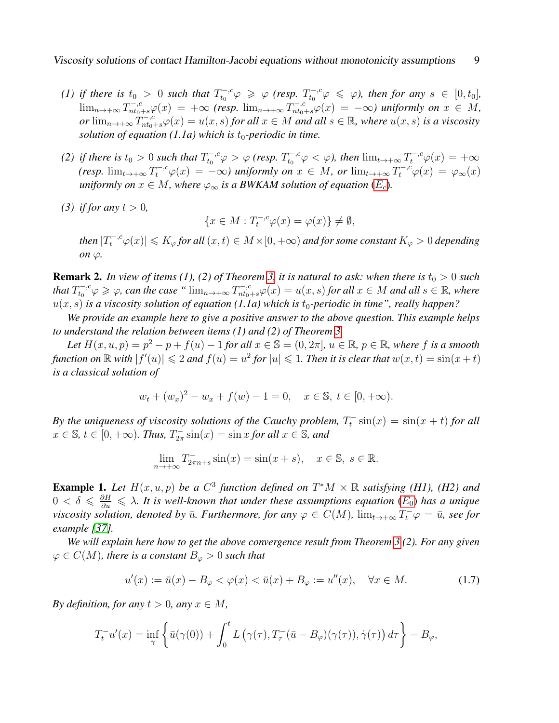- *(1) if there is*  $t_0 > 0$  *such that*  $T_{t_0}^{-c} \varphi \ge \varphi$  *(resp.*  $T_{t_0}^{-c} \varphi \le \varphi$ *), then for any*  $s \in [0, t_0]$ *,*  $\lim_{n\to+\infty} T_{nt_0+s}^{-,c} \varphi(x) = +\infty$  (resp.  $\lim_{n\to+\infty} T_{nt_0+s}^{-,c} \varphi(x) = -\infty$ ) uniformly on  $x \in M$ ,  $or \lim_{n\to+\infty} \tilde{T}_{nt_0+s}^{-,c} \varphi(x) = u(x,s)$  *for all*  $x \in M$  *and all*  $s \in \mathbb{R}$ *, where*  $u(x,s)$  *is a viscosity solution of equation (1.1a) which is*  $t_0$ -periodic in time.
- (2) if there is  $t_0 > 0$  such that  $T_{t_0}^{-,c}\varphi > \varphi$  (resp.  $T_{t_0}^{-,c}\varphi < \varphi$ ), then  $\lim_{t\to +\infty} T_t^{-,c}\varphi(x) = +\infty$ *(resp.*  $\lim_{t\to+\infty}T_t^{-,c}\varphi(x) = -\infty$ *)* uniformly on  $x \in M$ , or  $\lim_{t\to+\infty}T_t^{-,c}\varphi(x) = \varphi_\infty(x)$ *uniformly on*  $x \in M$ *, where*  $\varphi_{\infty}$  *is a BWKAM solution of equation*  $(E_c)$  $(E_c)$  $(E_c)$ *.*
- *(3) if for any*  $t > 0$ ,

$$
\{x \in M : T_t^{-,c}\varphi(x) = \varphi(x)\} \neq \emptyset,
$$

 $\text{then } |T_t^{-,c}\varphi(x)| \leqslant K_\varphi \text{ for all } (x,t) \in M\times[0,+\infty)$  and for some constant  $K_\varphi>0$  depending *on*  $\varphi$ *.* 

**Remark 2.** In view of items (1), (2) of Theorem [3,](#page-7-1) it is natural to ask: when there is  $t_0 > 0$  such that  $T_{t_0}^{-,c}\varphi \geqslant \varphi$ , can the case "  $\lim_{n\to+\infty}T_{nt_0+s}^{-,c}\varphi(x)=u(x,s)$  for all  $x\in M$  and all  $s\in\mathbb{R}$ , where  $u(x, s)$  *is a viscosity solution of equation (1.1a) which is*  $t_0$ -periodic in time", really happen?

*We provide an example here to give a positive answer to the above question. This example helps to understand the relation between items (1) and (2) of Theorem [3.](#page-7-1)*

Let  $H(x, u, p) = p^2 - p + f(u) - 1$  for all  $x \in \mathbb{S} = (0, 2\pi]$ ,  $u \in \mathbb{R}$ ,  $p \in \mathbb{R}$ , where f is a smooth function on  $\mathbb R$  with  $|f'(u)| \leqslant 2$  and  $f(u) = u^2$  for  $|u| \leqslant 1$ . Then it is clear that  $w(x, t) = \sin(x + t)$ *is a classical solution of*

$$
w_t + (w_x)^2 - w_x + f(w) - 1 = 0, \quad x \in \mathbb{S}, \ t \in [0, +\infty).
$$

By the uniqueness of viscosity solutions of the Cauchy problem,  $T_t^ \sin(x) = \sin(x + t)$  for all  $x \in \mathbb{S}$ ,  $t \in [0, +\infty)$ . Thus,  $T_{2\pi}^- \sin(x) = \sin x$  for all  $x \in \mathbb{S}$ , and

<span id="page-8-0"></span>
$$
\lim_{n \to +\infty} T_{2\pi n + s}^- \sin(x) = \sin(x + s), \quad x \in \mathbb{S}, \ s \in \mathbb{R}.
$$

**Example 1.** Let  $H(x, u, p)$  be a  $C^3$  function defined on  $T^*M \times \mathbb{R}$  satisfying (H1), (H2) and  $0 < \delta \leqslant \frac{\partial H}{\partial u} \leqslant \lambda$ . It is well-known that under these assumptions equation  $(E_0)$  $(E_0)$  $(E_0)$  has a unique *viscosity solution, denoted by*  $\bar{u}$ *. Furthermore, for any*  $\varphi \in C(M)$ ,  $\lim_{t \to +\infty} T_t^-\varphi = \bar{u}$ *, see for example [\[37\]](#page-41-8).*

*We will explain here how to get the above convergence result from Theorem [3](#page-7-1) (2). For any given*  $\varphi \in C(M)$ *, there is a constant*  $B_{\varphi} > 0$  *such that* 

$$
u'(x) := \bar{u}(x) - B_{\varphi} < \varphi(x) < \bar{u}(x) + B_{\varphi} := u''(x), \quad \forall x \in M. \tag{1.7}
$$

*By definition, for any*  $t > 0$ *, any*  $x \in M$ *,* 

$$
T_t^- u'(x) = \inf_{\gamma} \left\{ \bar{u}(\gamma(0)) + \int_0^t L(\gamma(\tau), T_\tau^-(\bar{u} - B_\varphi)(\gamma(\tau)), \dot{\gamma}(\tau)) d\tau \right\} - B_\varphi,
$$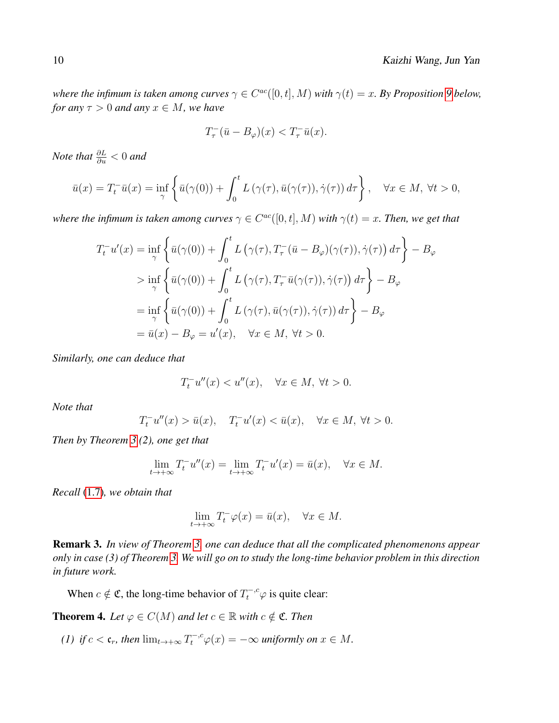*where the infimum is taken among curves*  $\gamma \in C^{ac}([0,t],M)$  *with*  $\gamma(t) = x$ . By Proposition [9](#page-14-1) below, *for any*  $\tau > 0$  *and any*  $x \in M$ *, we have* 

$$
T_{\tau}^-(\bar{u}-B_{\varphi})(x) < T_{\tau}^-\bar{u}(x).
$$

*Note that*  $\frac{\partial L}{\partial u} < 0$  and

$$
\bar{u}(x) = T_t^- \bar{u}(x) = \inf_{\gamma} \left\{ \bar{u}(\gamma(0)) + \int_0^t L(\gamma(\tau), \bar{u}(\gamma(\tau)), \dot{\gamma}(\tau)) d\tau \right\}, \quad \forall x \in M, \ \forall t > 0,
$$

where the infimum is taken among curves  $\gamma \in C^{ac}([0,t],M)$  with  $\gamma(t) = x$ . Then, we get that

$$
T_t^- u'(x) = \inf_{\gamma} \left\{ \bar{u}(\gamma(0)) + \int_0^t L(\gamma(\tau), T_\tau^-(\bar{u} - B_\varphi)(\gamma(\tau)), \dot{\gamma}(\tau)) d\tau \right\} - B_\varphi
$$
  
> 
$$
\inf_{\gamma} \left\{ \bar{u}(\gamma(0)) + \int_0^t L(\gamma(\tau), T_\tau^-\bar{u}(\gamma(\tau)), \dot{\gamma}(\tau)) d\tau \right\} - B_\varphi
$$
  
= 
$$
\inf_{\gamma} \left\{ \bar{u}(\gamma(0)) + \int_0^t L(\gamma(\tau), \bar{u}(\gamma(\tau)), \dot{\gamma}(\tau)) d\tau \right\} - B_\varphi
$$
  
= 
$$
\bar{u}(x) - B_\varphi = u'(x), \quad \forall x \in M, \forall t > 0.
$$

*Similarly, one can deduce that*

$$
T_t^- u''(x) < u''(x), \quad \forall x \in M, \ \forall t > 0.
$$

*Note that*

$$
T_t^-u''(x) > \bar{u}(x), \quad T_t^-u'(x) < \bar{u}(x), \quad \forall x \in M, \ \forall t > 0.
$$

*Then by Theorem [3](#page-7-1) (2), one get that*

$$
\lim_{t \to +\infty} T_t^- u''(x) = \lim_{t \to +\infty} T_t^- u'(x) = \bar{u}(x), \quad \forall x \in M.
$$

*Recall* [\(1.7\)](#page-8-0)*, we obtain that*

$$
\lim_{t \to +\infty} T_t^- \varphi(x) = \bar{u}(x), \quad \forall x \in M.
$$

Remark 3. *In view of Theorem [3,](#page-7-1) one can deduce that all the complicated phenomenons appear only in case (3) of Theorem [3.](#page-7-1) We will go on to study the long-time behavior problem in this direction in future work.*

When  $c \notin \mathfrak{C}$ , the long-time behavior of  $T_t^{-,c}\varphi$  is quite clear:

<span id="page-9-0"></span>**Theorem 4.** Let  $\varphi \in C(M)$  and let  $c \in \mathbb{R}$  with  $c \notin \mathfrak{C}$ . Then

*(1) if*  $c < \mathfrak{c}_r$ , then  $\lim_{t \to +\infty} T_t^{-,c} \varphi(x) = -\infty$  *uniformly on*  $x \in M$ .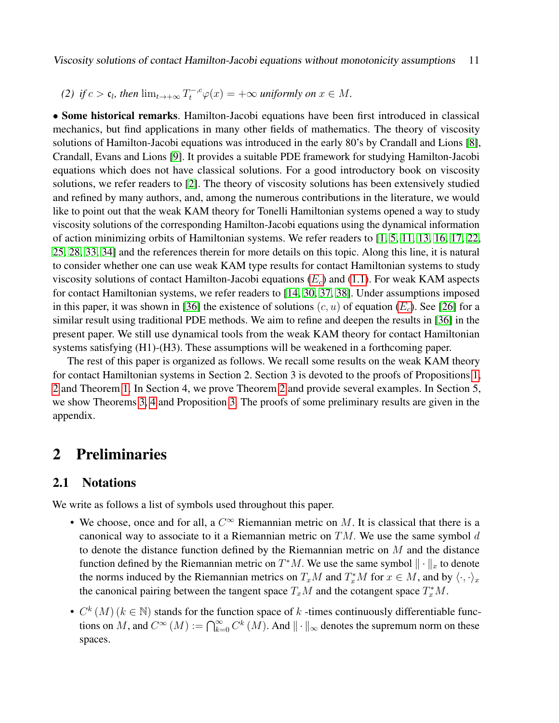*(2) if*  $c > c_l$ , *then*  $\lim_{t \to +\infty} T_t^{-,c} \varphi(x) = +\infty$  *uniformly on*  $x \in M$ .

• Some historical remarks. Hamilton-Jacobi equations have been first introduced in classical mechanics, but find applications in many other fields of mathematics. The theory of viscosity solutions of Hamilton-Jacobi equations was introduced in the early 80's by Crandall and Lions [\[8\]](#page-40-9), Crandall, Evans and Lions [\[9\]](#page-40-10). It provides a suitable PDE framework for studying Hamilton-Jacobi equations which does not have classical solutions. For a good introductory book on viscosity solutions, we refer readers to [\[2\]](#page-39-2). The theory of viscosity solutions has been extensively studied and refined by many authors, and, among the numerous contributions in the literature, we would like to point out that the weak KAM theory for Tonelli Hamiltonian systems opened a way to study viscosity solutions of the corresponding Hamilton-Jacobi equations using the dynamical information of action minimizing orbits of Hamiltonian systems. We refer readers to [\[1,](#page-39-3) [5,](#page-40-11) [11,](#page-40-12) [13,](#page-40-3) [16,](#page-40-2) [17,](#page-40-13) [22,](#page-41-9) [25,](#page-41-2) [28,](#page-41-10) [33,](#page-41-11) [34\]](#page-41-12) and the references therein for more details on this topic. Along this line, it is natural to consider whether one can use weak KAM type results for contact Hamiltonian systems to study viscosity solutions of contact Hamilton-Jacobi equations  $(E_c)$  $(E_c)$  $(E_c)$  and [\(1.1\)](#page-2-0). For weak KAM aspects for contact Hamiltonian systems, we refer readers to [\[14,](#page-40-14) [30,](#page-41-13) [37,](#page-41-8) [38\]](#page-42-0). Under assumptions imposed in this paper, it was shown in [\[36\]](#page-41-7) the existence of solutions  $(c, u)$  of equation  $(E_c)$  $(E_c)$  $(E_c)$ . See [\[26\]](#page-41-14) for a similar result using traditional PDE methods. We aim to refine and deepen the results in [\[36\]](#page-41-7) in the present paper. We still use dynamical tools from the weak KAM theory for contact Hamiltonian systems satisfying (H1)-(H3). These assumptions will be weakened in a forthcoming paper.

The rest of this paper is organized as follows. We recall some results on the weak KAM theory for contact Hamiltonian systems in Section 2. Section 3 is devoted to the proofs of Propositions [1,](#page-5-2) [2](#page-5-1) and Theorem [1.](#page-6-0) In Section 4, we prove Theorem [2](#page-7-0) and provide several examples. In Section 5, we show Theorems [3,](#page-7-1) [4](#page-9-0) and Proposition [3.](#page-6-1) The proofs of some preliminary results are given in the appendix.

# <span id="page-10-0"></span>2 Preliminaries

### <span id="page-10-1"></span>2.1 Notations

We write as follows a list of symbols used throughout this paper.

- We choose, once and for all, a  $C^{\infty}$  Riemannian metric on M. It is classical that there is a canonical way to associate to it a Riemannian metric on  $TM$ . We use the same symbol d to denote the distance function defined by the Riemannian metric on M and the distance function defined by the Riemannian metric on  $T^*M$ . We use the same symbol  $\|\cdot\|_x$  to denote the norms induced by the Riemannian metrics on  $T_xM$  and  $T_x^*M$  for  $x \in M$ , and by  $\langle \cdot, \cdot \rangle_x$ the canonical pairing between the tangent space  $T_xM$  and the cotangent space  $T_x^*M$ .
- $C^{k}(M)$   $(k \in \mathbb{N})$  stands for the function space of k-times continuously differentiable functions on M, and  $C^{\infty}(M) := \bigcap_{k=0}^{\infty} C^k(M)$ . And  $\|\cdot\|_{\infty}$  denotes the supremum norm on these spaces.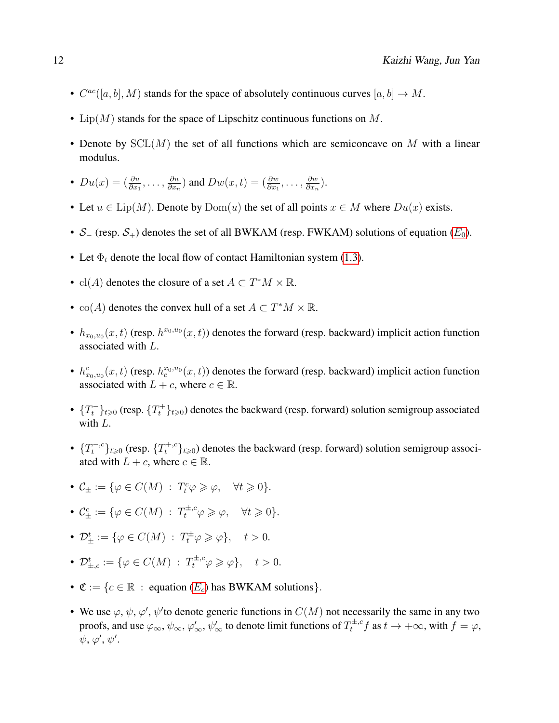- $C^{ac}([a, b], M)$  stands for the space of absolutely continuous curves  $[a, b] \to M$ .
- Lip $(M)$  stands for the space of Lipschitz continuous functions on M.
- Denote by  $SCL(M)$  the set of all functions which are semiconcave on M with a linear modulus.
- $Du(x)=(\frac{\partial u}{\partial x_1},\ldots,\frac{\partial u}{\partial x_n})$  $\frac{\partial u}{\partial x_n}$ ) and  $Dw(x,t) = (\frac{\partial w}{\partial x_1}, \ldots, \frac{\partial w}{\partial x_n})$  $\frac{\partial w}{\partial x_n}$ ).
- Let  $u \in \text{Lip}(M)$ . Denote by  $\text{Dom}(u)$  the set of all points  $x \in M$  where  $Du(x)$  exists.
- $S_{-}$  (resp.  $S_{+}$ ) denotes the set of all BWKAM (resp. FWKAM) solutions of equation  $(E_{0})$  $(E_{0})$  $(E_{0})$ .
- Let  $\Phi_t$  denote the local flow of contact Hamiltonian system [\(1.3\)](#page-3-2).
- cl(*A*) denotes the closure of a set  $A \subset T^*M \times \mathbb{R}$ .
- co(*A*) denotes the convex hull of a set  $A \subset T^*M \times \mathbb{R}$ .
- $h_{x_0,u_0}(x,t)$  (resp.  $h^{x_0,u_0}(x,t)$ ) denotes the forward (resp. backward) implicit action function associated with L.
- $h_{x_0,u_0}^c(x,t)$  (resp.  $h_c^{x_0,u_0}(x,t)$ ) denotes the forward (resp. backward) implicit action function associated with  $L + c$ , where  $c \in \mathbb{R}$ .
- $\{T_t^-\}_{t\geqslant0}$  (resp.  $\{T_t^+\}_{t\geqslant0}$ ) denotes the backward (resp. forward) solution semigroup associated with L.
- $\{T_t^{-,c}\}_{t\geq 0}$  (resp.  $\{T_t^{+,c}\}_{t\geq 0}$ ) denotes the backward (resp. forward) solution semigroup associated with  $L + c$ , where  $c \in \mathbb{R}$ .
- $\mathcal{C}_{\pm} := \{ \varphi \in C(M) : T_t^c \varphi \geqslant \varphi, \quad \forall t \geqslant 0 \}.$
- $\mathcal{C}_{\pm}^c := \{ \varphi \in C(M) \; : \; T_t^{\pm,c} \varphi \geqslant \varphi, \quad \forall t \geqslant 0 \}.$
- $\mathcal{D}_{\pm}^{t} := \{ \varphi \in C(M) \, : \, T_{t}^{\pm} \varphi \geqslant \varphi \}, \quad t > 0.$
- $\mathcal{D}^t_{\pm,c} := \{ \varphi \in C(M) \; : \; T^{\pm,c}_t \varphi \geqslant \varphi \}, \quad t > 0.$
- $\mathfrak{C} := \{c \in \mathbb{R} : \text{ equation } (E_c) \text{ has BWKAM solutions} \}.$  $\mathfrak{C} := \{c \in \mathbb{R} : \text{ equation } (E_c) \text{ has BWKAM solutions} \}.$  $\mathfrak{C} := \{c \in \mathbb{R} : \text{ equation } (E_c) \text{ has BWKAM solutions} \}.$
- We use  $\varphi, \psi, \varphi', \psi'$  to denote generic functions in  $C(M)$  not necessarily the same in any two proofs, and use  $\varphi_{\infty}, \psi_{\infty}, \varphi'_{\infty}, \psi'_{\infty}$  to denote limit functions of  $T_t^{\pm,c}f$  as  $t \to +\infty$ , with  $f = \varphi$ ,  $\psi, \varphi', \psi'.$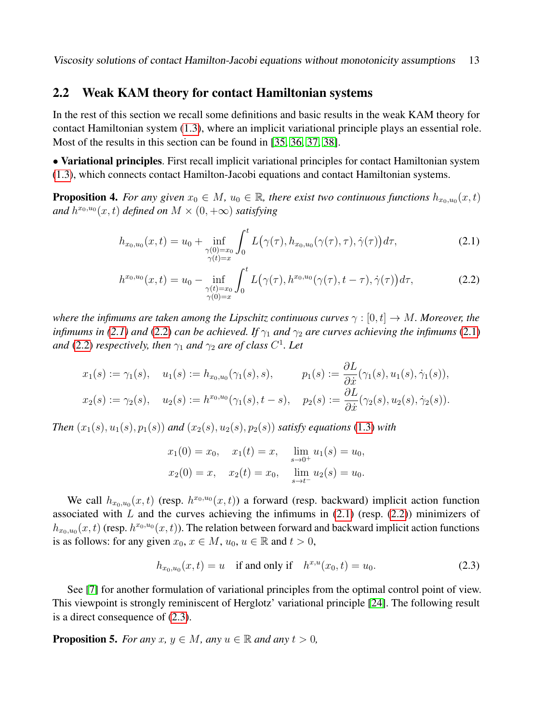### <span id="page-12-0"></span>2.2 Weak KAM theory for contact Hamiltonian systems

In the rest of this section we recall some definitions and basic results in the weak KAM theory for contact Hamiltonian system [\(1.3\)](#page-3-2), where an implicit variational principle plays an essential role. Most of the results in this section can be found in [\[35,](#page-41-6) [36,](#page-41-7) [37,](#page-41-8) [38\]](#page-42-0).

• Variational principles. First recall implicit variational principles for contact Hamiltonian system [\(1.3\)](#page-3-2), which connects contact Hamilton-Jacobi equations and contact Hamiltonian systems.

<span id="page-12-4"></span>**Proposition 4.** For any given  $x_0 \in M$ ,  $u_0 \in \mathbb{R}$ , there exist two continuous functions  $h_{x_0,u_0}(x,t)$ and  $h^{x_0,u_0}(x,t)$  defined on  $M \times (0,+\infty)$  satisfying

<span id="page-12-2"></span><span id="page-12-1"></span>
$$
h_{x_0, u_0}(x, t) = u_0 + \inf_{\substack{\gamma(0) = x_0 \\ \gamma(t) = x}} \int_0^t L(\gamma(\tau), h_{x_0, u_0}(\gamma(\tau), \tau), \dot{\gamma}(\tau)) d\tau,
$$
\n(2.1)

$$
h^{x_0, u_0}(x, t) = u_0 - \inf_{\substack{\gamma(t) = x_0 \\ \gamma(0) = x}} \int_0^t L(\gamma(\tau), h^{x_0, u_0}(\gamma(\tau), t - \tau), \dot{\gamma}(\tau)) d\tau,
$$
 (2.2)

*where the infimums are taken among the Lipschitz continuous curves*  $\gamma : [0, t] \rightarrow M$ *. Moreover, the infimums in [\(2.1\)](#page-12-1) and* [\(2.2\)](#page-12-2) *can be achieved. If*  $\gamma_1$  *and*  $\gamma_2$  *are curves achieving the infimums* (2.1) and [\(2.2\)](#page-12-2) *respectively, then*  $\gamma_1$  *and*  $\gamma_2$  *are of class*  $C^1$ *. Let* 

$$
x_1(s) := \gamma_1(s), \quad u_1(s) := h_{x_0, u_0}(\gamma_1(s), s), \qquad p_1(s) := \frac{\partial L}{\partial \dot{x}}(\gamma_1(s), u_1(s), \dot{\gamma}_1(s)),
$$
  

$$
x_2(s) := \gamma_2(s), \quad u_2(s) := h^{x_0, u_0}(\gamma_1(s), t - s), \quad p_2(s) := \frac{\partial L}{\partial \dot{x}}(\gamma_2(s), u_2(s), \dot{\gamma}_2(s)).
$$

*Then*  $(x_1(s), u_1(s), p_1(s))$  *and*  $(x_2(s), u_2(s), p_2(s))$  *satisfy equations* [\(1.3\)](#page-3-2) *with* 

$$
x_1(0) = x_0
$$
,  $x_1(t) = x$ ,  $\lim_{s \to 0^+} u_1(s) = u_0$ ,  
\n $x_2(0) = x$ ,  $x_2(t) = x_0$ ,  $\lim_{s \to t^-} u_2(s) = u_0$ .

We call  $h_{x_0,u_0}(x,t)$  (resp.  $h^{x_0,u_0}(x,t)$ ) a forward (resp. backward) implicit action function associated with  $L$  and the curves achieving the infimums in  $(2.1)$  (resp.  $(2.2)$ ) minimizers of  $h_{x_0,u_0}(x,t)$  (resp.  $h^{x_0,u_0}(x,t)$ ). The relation between forward and backward implicit action functions is as follows: for any given  $x_0, x \in M$ ,  $u_0, u \in \mathbb{R}$  and  $t > 0$ ,

<span id="page-12-3"></span>
$$
h_{x_0, u_0}(x, t) = u \quad \text{if and only if} \quad h^{x, u}(x_0, t) = u_0. \tag{2.3}
$$

See [\[7\]](#page-40-15) for another formulation of variational principles from the optimal control point of view. This viewpoint is strongly reminiscent of Herglotz' variational principle [\[24\]](#page-41-15). The following result is a direct consequence of [\(2.3\)](#page-12-3).

**Proposition 5.** *For any*  $x, y \in M$ , *any*  $u \in \mathbb{R}$  *and any*  $t > 0$ ,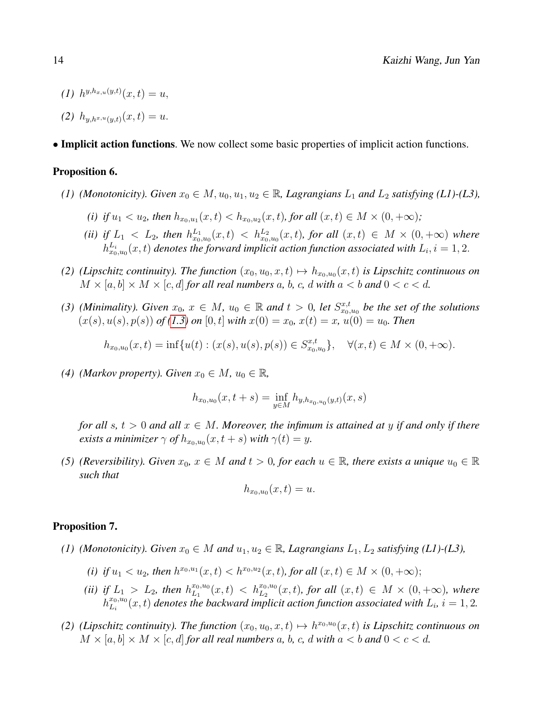- $(1)$   $h^{y,h_{x,u}(y,t)}(x,t) = u,$
- (2)  $h_{u,h^{x,u}(u,t)}(x,t) = u.$
- Implicit action functions. We now collect some basic properties of implicit action functions.

#### <span id="page-13-0"></span>Proposition 6.

- *(1) (Monotonicity). Given*  $x_0 \in M$ ,  $u_0, u_1, u_2 \in \mathbb{R}$ , *Lagrangians*  $L_1$  *and*  $L_2$  *satisfying (L1)-(L3),* 
	- *(i) if*  $u_1 < u_2$ , then  $h_{x_0, u_1}(x, t) < h_{x_0, u_2}(x, t)$ , for all  $(x, t) \in M \times (0, +\infty)$ ;
	- *(ii) if*  $L_1 < L_2$ , then  $h_{x_0,u_0}^{L_1}(x,t) < h_{x_0,u_0}^{L_2}(x,t)$ , for all  $(x,t) \in M \times (0,+\infty)$  where  $h_{x_0,u_0}^{L_i}(x,t)$  denotes the forward implicit action function associated with  $L_i, i = 1,2$ .
- (2) (Lipschitz continuity). The function  $(x_0, u_0, x, t) \mapsto h_{x_0, u_0}(x, t)$  is Lipschitz continuous on  $M \times [a,b] \times M \times [c,d]$  for all real numbers  $a,$   $b,$   $c,$   $d$  with  $a < b$  and  $0 < c < d.$
- *(3) (Minimality). Given*  $x_0, x \in M$ ,  $u_0 \in \mathbb{R}$  and  $t > 0$ , let  $S_{x_0,u_0}^{x,t}$  be the set of the solutions  $(x(s), u(s), p(s))$  *of* [\(1.3\)](#page-3-2) *on* [0, t] *with*  $x(0) = x_0$ ,  $x(t) = x$ ,  $u(0) = u_0$ . Then

$$
h_{x_0, u_0}(x, t) = \inf \{ u(t) : (x(s), u(s), p(s)) \in S_{x_0, u_0}^{x, t} \}, \quad \forall (x, t) \in M \times (0, +\infty).
$$

*(4) (Markov property). Given*  $x_0 \in M$ *,*  $u_0 \in \mathbb{R}$ *,* 

$$
h_{x_0, u_0}(x, t+s) = \inf_{y \in M} h_{y, h_{x_0, u_0}(y, t)}(x, s)
$$

*for all* s,  $t > 0$  *and all*  $x \in M$ *. Moreover, the infimum is attained at y if and only if there exists a minimizer*  $\gamma$  *of*  $h_{x_0, u_0}(x, t + s)$  *with*  $\gamma(t) = y$ *.* 

*(5) (Reversibility). Given*  $x_0, x \in M$  *and*  $t > 0$ *, for each*  $u \in \mathbb{R}$ *, there exists a unique*  $u_0 \in \mathbb{R}$ *such that*

$$
h_{x_0, u_0}(x, t) = u.
$$

#### <span id="page-13-1"></span>Proposition 7.

- *(1) (Monotonicity). Given*  $x_0 \in M$  *and*  $u_1, u_2 \in \mathbb{R}$ *, Lagrangians*  $L_1, L_2$  *satisfying (L1)-(L3),* 
	- *(i) if*  $u_1 < u_2$ , then  $h^{x_0, u_1}(x, t) < h^{x_0, u_2}(x, t)$ , for all  $(x, t) \in M \times (0, +\infty)$ ;
	- (*ii*) *if*  $L_1 > L_2$ , then  $h_{L_1}^{x_0, u_0}$  $L_1^{x_0,u_0}(x,t) \; < \; h_{L_2}^{x_0,u_0}(x,t)$ *, for all*  $(x,t) \; \in \; M \times (0,+\infty)$ *, where*  $h_{L}^{x_0,u_0}$  $L_i^{x_0,u_0}(x,t)$  denotes the backward implicit action function associated with  $L_i$ ,  $i=1,2.$
- (2) *(Lipschitz continuity). The function*  $(x_0, u_0, x, t) \mapsto h^{x_0, u_0}(x, t)$  *is Lipschitz continuous on*  $M \times [a, b] \times M \times [c, d]$  *for all real numbers* a, b, c, d with  $a < b$  and  $0 < c < d$ .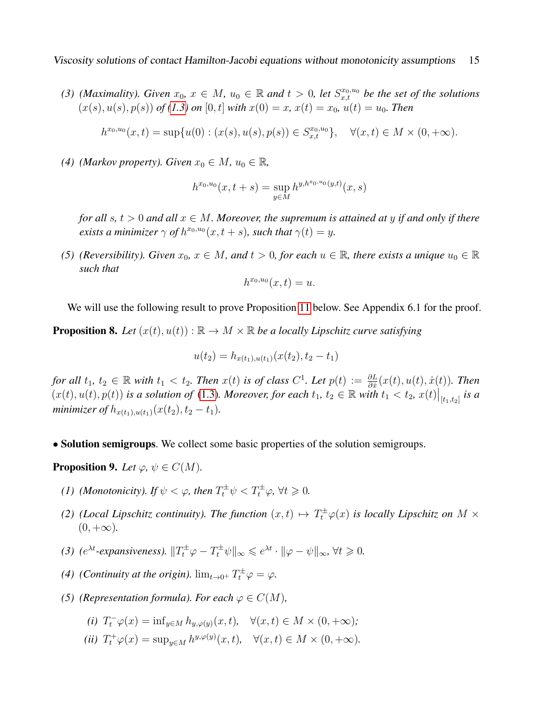*(3) (Maximality). Given*  $x_0, x \in M$ ,  $u_0 \in \mathbb{R}$  and  $t > 0$ , let  $S_{x,t}^{x_0,u_0}$  be the set of the solutions  $(x(s), u(s), p(s))$  *of*  $(1.3)$  *on*  $[0, t]$  *with*  $x(0) = x$ *,*  $x(t) = x_0$ *,*  $u(t) = u_0$ *. Then* 

$$
h^{x_0,u_0}(x,t) = \sup \{ u(0) : (x(s), u(s), p(s)) \in S_{x,t}^{x_0,u_0} \}, \quad \forall (x,t) \in M \times (0, +\infty).
$$

*(4) (Markov property). Given*  $x_0 \in M$ *,*  $u_0 \in \mathbb{R}$ *,* 

$$
h^{x_0, u_0}(x, t+s) = \sup_{y \in M} h^{y, h^{x_0, u_0}(y, t)}(x, s)
$$

*for all* s,  $t > 0$  *and all*  $x \in M$ *. Moreover, the supremum is attained at y if and only if there exists a minimizer*  $\gamma$  *of*  $h^{x_0,u_0}(x,t+s)$ *, such that*  $\gamma(t) = y$ *.* 

*(5) (Reversibility). Given*  $x_0, x \in M$ *, and*  $t > 0$ *, for each*  $u \in \mathbb{R}$ *, there exists a unique*  $u_0 \in \mathbb{R}$ *such that*

$$
h^{x_0, u_0}(x, t) = u.
$$

We will use the following result to prove Proposition [11](#page-15-0) below. See Appendix 6.1 for the proof.

<span id="page-14-0"></span>**Proposition 8.** Let  $(x(t), u(t)) : \mathbb{R} \to M \times \mathbb{R}$  be a locally Lipschitz curve satisfying

$$
u(t_2) = h_{x(t_1),u(t_1)}(x(t_2), t_2 - t_1)
$$

*for all*  $t_1, t_2 \in \mathbb{R}$  *with*  $t_1 < t_2$ *. Then*  $x(t)$  *is of class*  $C^1$ *. Let*  $p(t) := \frac{\partial L}{\partial \dot{x}}(x(t), u(t), \dot{x}(t))$ *. Then*  $(x(t),u(t),p(t))$  is a solution of [\(1.3\)](#page-3-2). Moreover, for each  $t_1, t_2 \in \mathbb{R}$  with  $t_1 < t_2, x(t) \big|_{[t_1,t_2]}$  is a *minimizer of*  $h_{x(t_1),u(t_1)}(x(t_2), t_2 - t_1)$ .

• Solution semigroups. We collect some basic properties of the solution semigroups.

<span id="page-14-1"></span>**Proposition 9.** *Let*  $\varphi, \psi \in C(M)$ *.* 

- *(1) (Monotonicity). If*  $\psi < \varphi$ *, then*  $T_t^{\pm} \psi < T_t^{\pm} \varphi$ *,*  $\forall t \geq 0$ *.*
- (2) (Local Lipschitz continuity). The function  $(x,t) \mapsto T_t^{\pm} \varphi(x)$  is locally Lipschitz on  $M \times$  $(0, +\infty)$ .
- *(3)*  $(e^{\lambda t}$ -expansiveness).  $||T_t^{\pm} \varphi T_t^{\pm} \psi||_{\infty} \leq e^{\lambda t} \cdot ||\varphi \psi||_{\infty}$ ,  $\forall t \geq 0$ .
- *(4) (Continuity at the origin).*  $\lim_{t\to 0^+} T_t^{\pm} \varphi = \varphi$ .
- *(5) (Representation formula). For each*  $\varphi \in C(M)$ *,* 
	- (*i*)  $T_t^-\varphi(x) = \inf_{y \in M} h_{y,\varphi(y)}(x,t), \quad \forall (x,t) \in M \times (0, +\infty);$
	- (*ii*)  $T_t^+ \varphi(x) = \sup_{y \in M} h^{y, \varphi(y)}(x, t), \quad \forall (x, t) \in M \times (0, +\infty).$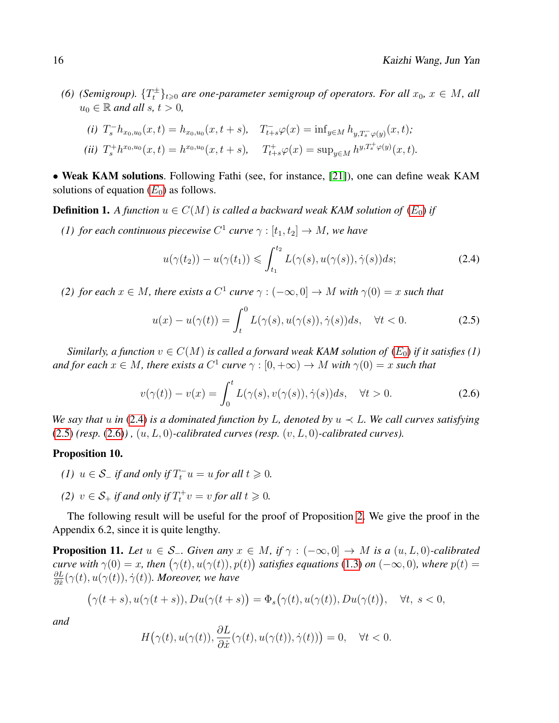*(6) (Semigroup).*  $\{T_t^{\pm}\}_{t\geqslant0}$  are one-parameter semigroup of operators. For all  $x_0, x \in M$ , all  $u_0 \in \mathbb{R}$  *and all s, t* > 0*,* 

(i) 
$$
T_s^- h_{x_0, u_0}(x, t) = h_{x_0, u_0}(x, t + s)
$$
,  $T_{t+s}^- \varphi(x) = \inf_{y \in M} h_{y, T_s^-} \varphi(y)(x, t)$ ;  
\n(ii)  $T_s^+ h^{x_0, u_0}(x, t) = h^{x_0, u_0}(x, t + s)$ ,  $T_{t+s}^+ \varphi(x) = \sup_{y \in M} h^{y, T_s^+} \varphi(y)(x, t)$ .

• Weak KAM solutions. Following Fathi (see, for instance, [\[21\]](#page-41-1)), one can define weak KAM solutions of equation  $(E_0)$  $(E_0)$  $(E_0)$  as follows.

**Definition 1.** A function  $u \in C(M)$  is called a backward weak KAM solution of  $(E_0)$  $(E_0)$  $(E_0)$  if

*(1) for each continuous piecewise*  $C^1$  *curve*  $\gamma : [t_1, t_2] \rightarrow M$ *, we have* 

<span id="page-15-2"></span><span id="page-15-1"></span>
$$
u(\gamma(t_2)) - u(\gamma(t_1)) \leqslant \int_{t_1}^{t_2} L(\gamma(s), u(\gamma(s)), \dot{\gamma}(s)) ds; \tag{2.4}
$$

*(2) for each*  $x \in M$ *, there exists a*  $C^1$  *curve*  $\gamma : (-\infty, 0] \to M$  *with*  $\gamma(0) = x$  *such that* 

<span id="page-15-3"></span>
$$
u(x) - u(\gamma(t)) = \int_t^0 L(\gamma(s), u(\gamma(s)), \dot{\gamma}(s)) ds, \quad \forall t < 0.
$$
 (2.5)

*Similarly, a function*  $v \in C(M)$  *is called a forward weak KAM solution of*  $(E_0)$  $(E_0)$  $(E_0)$  *if it satisfies* (1) and for each  $x \in M$ , there exists a  $C^1$  curve  $\gamma : [0, +\infty) \to M$  with  $\gamma(0) = x$  such that

$$
v(\gamma(t)) - v(x) = \int_0^t L(\gamma(s), v(\gamma(s)), \dot{\gamma}(s)) ds, \quad \forall t > 0.
$$
 (2.6)

*We say that*  $u$  *in* [\(2.4\)](#page-15-1) *is a dominated function by*  $L$ *, denoted by*  $u \prec L$ *. We call curves satisfying*  $(2.5)$  (resp.  $(2.6)$ ),  $(u, L, 0)$ -calibrated curves (resp.  $(v, L, 0)$ -calibrated curves).

#### <span id="page-15-4"></span>Proposition 10.

- *(1)*  $u \in S_-$  *if and only if*  $T_t^- u = u$  *for all*  $t \ge 0$ *.*
- (2)  $v \in S_+$  *if and only if*  $T_t^+ v = v$  *for all*  $t \ge 0$ *.*

The following result will be useful for the proof of Proposition [2.](#page-5-1) We give the proof in the Appendix 6.2, since it is quite lengthy.

<span id="page-15-0"></span>**Proposition 11.** Let  $u \in S_$ *. Given any*  $x \in M$ , if  $\gamma : (-\infty, 0] \to M$  is a  $(u, L, 0)$ -calibrated *curve with*  $\gamma(0) = x$ , then  $(\gamma(t), u(\gamma(t)), p(t))$  satisfies equations [\(1.3\)](#page-3-2) on  $(-\infty, 0)$ , where  $p(t) =$ ∂L  $\frac{\partial L}{\partial \dot{x}}(\gamma(t),u(\gamma(t)),\dot{\gamma}(t)).$  Moreover, we have

$$
(\gamma(t+s), u(\gamma(t+s)), Du(\gamma(t+s))) = \Phi_s(\gamma(t), u(\gamma(t)), Du(\gamma(t)), \quad \forall t, s < 0,
$$

*and*

$$
H(\gamma(t), u(\gamma(t)), \frac{\partial L}{\partial \dot{x}}(\gamma(t), u(\gamma(t)), \dot{\gamma}(t))) = 0, \quad \forall t < 0.
$$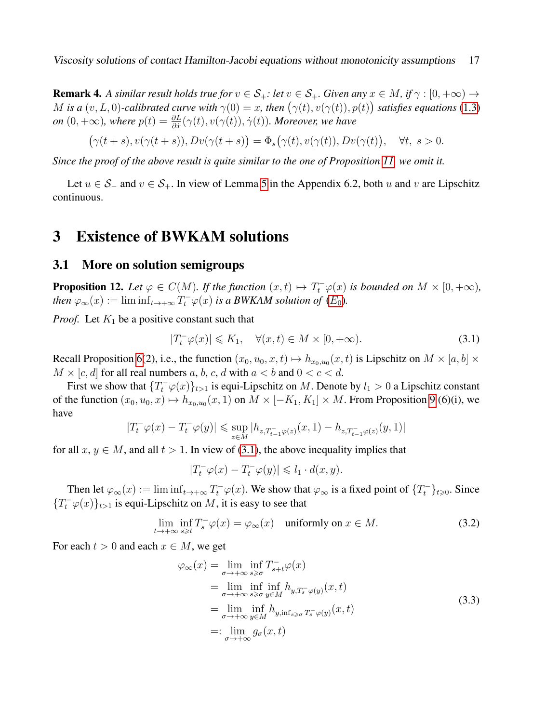**Remark 4.** A similar result holds true for  $v \in S_+$ : let  $v \in S_+$ . Given any  $x \in M$ , if  $\gamma : [0, +\infty) \to$ M is a  $(v, L, 0)$ -calibrated curve with  $\gamma(0) = x$ , then  $(\gamma(t), v(\gamma(t)), p(t))$  satisfies equations [\(1.3\)](#page-3-2) *on*  $(0, +\infty)$ , where  $p(t) = \frac{\partial L}{\partial \dot{x}}(\gamma(t), v(\gamma(t)), \dot{\gamma}(t))$ . Moreover, we have

$$
(\gamma(t+s), v(\gamma(t+s)), Dv(\gamma(t+s))) = \Phi_s(\gamma(t), v(\gamma(t)), Dv(\gamma(t)), \quad \forall t, s > 0.
$$

*Since the proof of the above result is quite similar to the one of Proposition [11,](#page-15-0) we omit it.*

Let  $u \in S_-\,$  and  $v \in S_+$ . In view of Lemma [5](#page-36-1) in the Appendix 6.2, both u and v are Lipschitz continuous.

## <span id="page-16-0"></span>3 Existence of BWKAM solutions

#### <span id="page-16-1"></span>3.1 More on solution semigroups

<span id="page-16-2"></span>**Proposition 12.** Let  $\varphi \in C(M)$ . If the function  $(x,t) \mapsto T_t^{\perp} \varphi(x)$  is bounded on  $M \times [0,+\infty)$ , *then*  $\varphi_{\infty}(x) := \liminf_{t \to +\infty} T_t^{\top} \varphi(x)$  *is a BWKAM solution of*  $(E_0)$  $(E_0)$  $(E_0)$ *.* 

*Proof.* Let  $K_1$  be a positive constant such that

<span id="page-16-3"></span>
$$
|T_t^- \varphi(x)| \leqslant K_1, \quad \forall (x, t) \in M \times [0, +\infty). \tag{3.1}
$$

Recall Proposition [6\(](#page-13-0)2), i.e., the function  $(x_0, u_0, x, t) \mapsto h_{x_0, u_0}(x, t)$  is Lipschitz on  $M \times [a, b] \times$  $M \times [c, d]$  for all real numbers a, b, c, d with  $a < b$  and  $0 < c < d$ .

First we show that  $\{T_t^-\varphi(x)\}_{t>1}$  is equi-Lipschitz on M. Denote by  $l_1 > 0$  a Lipschitz constant of the function  $(x_0, u_0, x) \mapsto h_{x_0, u_0}(x, 1)$  on  $M \times [-K_1, K_1] \times M$ . From Proposition [9](#page-14-1) (6)(i), we have

$$
|T^-_t \varphi(x) - T^-_t \varphi(y)| \leqslant \sup_{z \in M} |h_{z,T^-_{t-1} \varphi(z)}(x,1) - h_{z,T^-_{t-1} \varphi(z)}(y,1)|
$$

for all  $x, y \in M$ , and all  $t > 1$ . In view of [\(3.1\)](#page-16-3), the above inequality implies that

<span id="page-16-4"></span>
$$
|T^-_t\varphi(x)-T^-_t\varphi(y)|\leqslant l_1\cdot d(x,y).
$$

Then let  $\varphi_{\infty}(x) := \liminf_{t \to +\infty} T_t^{\perp} \varphi(x)$ . We show that  $\varphi_{\infty}$  is a fixed point of  $\{T_t^{\perp}\}_{t \geq 0}$ . Since  ${T<sub>t</sub><sup>-</sup> \varphi(x)}_{t>1}$  is equi-Lipschitz on M, it is easy to see that

$$
\lim_{t \to +\infty} \inf_{s \ge t} T_s^- \varphi(x) = \varphi_\infty(x) \quad \text{uniformly on } x \in M. \tag{3.2}
$$

For each  $t > 0$  and each  $x \in M$ , we get

<span id="page-16-5"></span>
$$
\varphi_{\infty}(x) = \lim_{\sigma \to +\infty} \inf_{s \geq \sigma} T_{s+t}^{-} \varphi(x)
$$
  
\n
$$
= \lim_{\sigma \to +\infty} \inf_{s \geq \sigma} \inf_{y \in M} h_{y,T_{s}^{-}} \varphi(y)} (x,t)
$$
  
\n
$$
= \lim_{\sigma \to +\infty} \inf_{y \in M} h_{y,\inf_{s \geq \sigma} T_{s}^{-}} \varphi(y)} (x,t)
$$
  
\n
$$
=: \lim_{\sigma \to +\infty} g_{\sigma}(x,t)
$$
  
\n(3.3)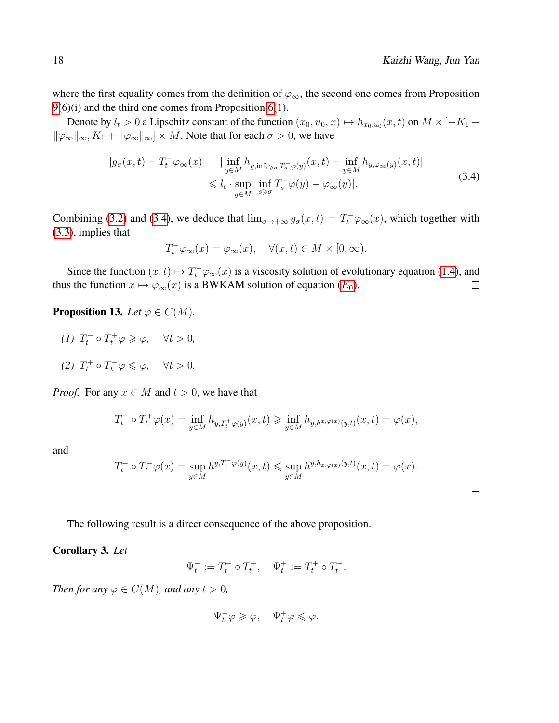$\Box$ 

where the first equality comes from the definition of  $\varphi_{\infty}$ , the second one comes from Proposition [9\(](#page-14-1)6)(i) and the third one comes from Proposition [6\(](#page-13-0)1).

Denote by  $l_t > 0$  a Lipschitz constant of the function  $(x_0, u_0, x) \mapsto h_{x_0, u_0}(x, t)$  on  $M \times [-K_1 \|\varphi_{\infty}\|_{\infty}$ ,  $K_1 + \|\varphi_{\infty}\|_{\infty} \leq M$ . Note that for each  $\sigma > 0$ , we have

$$
|g_{\sigma}(x,t) - T_t^{-} \varphi_{\infty}(x)| = |\inf_{y \in M} h_{y,\inf_{s \ge \sigma} T_s^{-}} \varphi(y)}(x,t) - \inf_{y \in M} h_{y,\varphi_{\infty}(y)}(x,t)|
$$
  
\$\le l\_t \cdot \sup\_{y \in M} |\inf\_{s \ge \sigma} T\_s^{-} \varphi(y) - \varphi\_{\infty}(y)|.\$ (3.4)

Combining [\(3.2\)](#page-16-4) and [\(3.4\)](#page-17-0), we deduce that  $\lim_{\sigma \to +\infty} g_{\sigma}(x,t) = T_t^-\varphi_{\infty}(x)$ , which together with [\(3.3\)](#page-16-5), implies that

<span id="page-17-0"></span>
$$
T_t^-\varphi_\infty(x)=\varphi_\infty(x),\quad \forall (x,t)\in M\times[0,\infty).
$$

Since the function  $(x, t) \mapsto T_t^-\varphi_\infty(x)$  is a viscosity solution of evolutionary equation [\(1.4\)](#page-4-0), and thus the function  $x \mapsto \varphi_{\infty}(x)$  is a BWKAM solution of equation  $(E_0)$  $(E_0)$  $(E_0)$ .  $\Box$ 

<span id="page-17-1"></span>**Proposition 13.** *Let*  $\varphi \in C(M)$ *.* 

*(1)*  $T_t^- \circ T_t^+ \varphi \geq \varphi$ ,  $\forall t > 0$ , (2)  $T_t^+ \circ T_t^- \varphi \leqslant \varphi$ ,  $\forall t > 0$ .

*Proof.* For any  $x \in M$  and  $t > 0$ , we have that

$$
T_t^-\circ T_t^+\varphi(x)=\inf_{y\in M}h_{y,T_t^+\varphi(y)}(x,t)\geqslant \inf_{y\in M}h_{y,h^{x,\varphi(x)}(y,t)}(x,t)=\varphi(x),
$$

and

$$
T_t^+ \circ T_t^- \varphi(x) = \sup_{y \in M} h^{y, T_t^- \varphi(y)}(x, t) \leq \sup_{y \in M} h^{y, h_{x, \varphi(x)}(y, t)}(x, t) = \varphi(x).
$$

The following result is a direct consequence of the above proposition.

Corollary 3. *Let*

$$
\Psi_t^- := T_t^- \circ T_t^+, \quad \Psi_t^+ := T_t^+ \circ T_t^-.
$$

*Then for any*  $\varphi \in C(M)$ *, and any*  $t > 0$ *,* 

$$
\Psi^-_t\varphi\geqslant\varphi,\quad \Psi^+_t\varphi\leqslant\varphi.
$$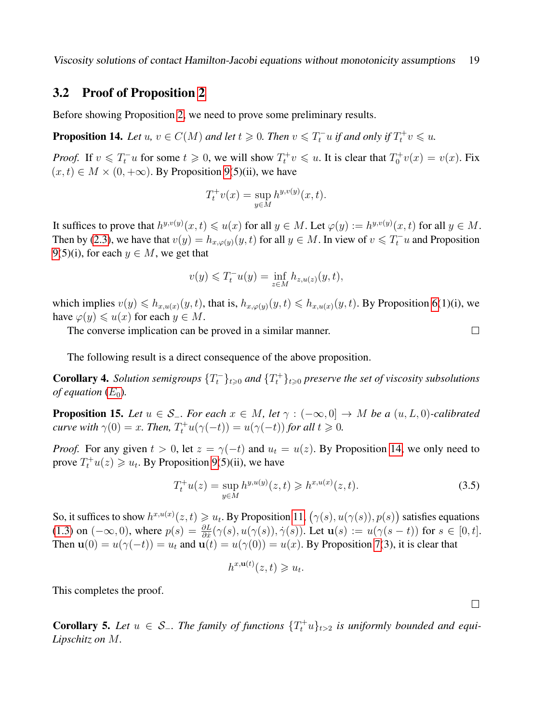Viscosity solutions of contact Hamilton-Jacobi equations without monotonicity assumptions 19

### <span id="page-18-0"></span>3.2 Proof of Proposition [2](#page-5-1)

Before showing Proposition [2,](#page-5-1) we need to prove some preliminary results.

<span id="page-18-1"></span>**Proposition 14.** Let  $u, v \in C(M)$  and let  $t \ge 0$ . Then  $v \le T_t^- u$  if and only if  $T_t^+ v \le u$ .

*Proof.* If  $v \le T_t^- u$  for some  $t \ge 0$ , we will show  $T_t^+ v \le u$ . It is clear that  $T_0^+ v(x) = v(x)$ . Fix  $(x, t) \in M \times (0, +\infty)$ . By Proposition [9\(](#page-14-1)5)(ii), we have

$$
T_t^+ v(x) = \sup_{y \in M} h^{y, v(y)}(x, t).
$$

It suffices to prove that  $h^{y,v(y)}(x,t) \leq u(x)$  for all  $y \in M$ . Let  $\varphi(y) := h^{y,v(y)}(x,t)$  for all  $y \in M$ . Then by [\(2.3\)](#page-12-3), we have that  $v(y) = h_{x, \varphi(y)}(y, t)$  for all  $y \in M$ . In view of  $v \le T_t^{-1}u$  and Proposition [9\(](#page-14-1)5)(i), for each  $y \in M$ , we get that

$$
v(y) \leq T_t^{-}u(y) = \inf_{z \in M} h_{z,u(z)}(y,t),
$$

which implies  $v(y) \leq h_{x,u(x)}(y, t)$ , that is,  $h_{x,\varphi(y)}(y, t) \leq h_{x,u(x)}(y, t)$ . By Proposition [6\(](#page-13-0)1)(i), we have  $\varphi(y) \leq u(x)$  for each  $y \in M$ .

The converse implication can be proved in a similar manner.

The following result is a direct consequence of the above proposition.

**Corollary 4.** Solution semigroups  $\{T_t^-\}_{t\geqslant 0}$  and  $\{T_t^+\}_{t\geqslant 0}$  preserve the set of viscosity subsolutions *of equation*  $(E_0)$  $(E_0)$  $(E_0)$ *.* 

<span id="page-18-2"></span>**Proposition 15.** Let  $u \in S_$ *. For each*  $x \in M$ , let  $\gamma : (-\infty, 0] \to M$  be a  $(u, L, 0)$ *-calibrated curve with*  $\gamma(0) = x$ *. Then,*  $T_t^+ u(\gamma(-t)) = u(\gamma(-t))$  *for all*  $t \ge 0$ *.* 

*Proof.* For any given  $t > 0$ , let  $z = \gamma(-t)$  and  $u_t = u(z)$ . By Proposition [14,](#page-18-1) we only need to prove  $T_t^+u(z) \geq u_t$ . By Proposition [9\(](#page-14-1)5)(ii), we have

$$
T_t^+ u(z) = \sup_{y \in M} h^{y, u(y)}(z, t) \ge h^{x, u(x)}(z, t).
$$
 (3.5)

So, it suffices to show  $h^{x,u(x)}(z,t) \geq u_t$ . By Proposition [11,](#page-15-0)  $(\gamma(s), u(\gamma(s)), p(s))$  satisfies equations [\(1.3\)](#page-3-2) on  $(-\infty, 0)$ , where  $p(s) = \frac{\partial L}{\partial x}(\gamma(s), u(\gamma(s)), \dot{\gamma}(s))$ . Let  $u(s) := u(\gamma(s - t))$  for  $s \in [0, t]$ . Then  $\mathbf{u}(0) = u(\gamma(-t)) = u_t$  and  $\mathbf{u}(t) = u(\gamma(0)) = u(x)$ . By Proposition [7\(](#page-13-1)3), it is clear that

$$
h^{x,\mathbf{u}(t)}(z,t) \geq u_t.
$$

This completes the proof.

<span id="page-18-3"></span>**Corollary 5.** Let  $u \in S_$ . The family of functions  $\{T_t^+u\}_{t>2}$  is uniformly bounded and equi-*Lipschitz on* M*.*

 $\Box$ 

 $\Box$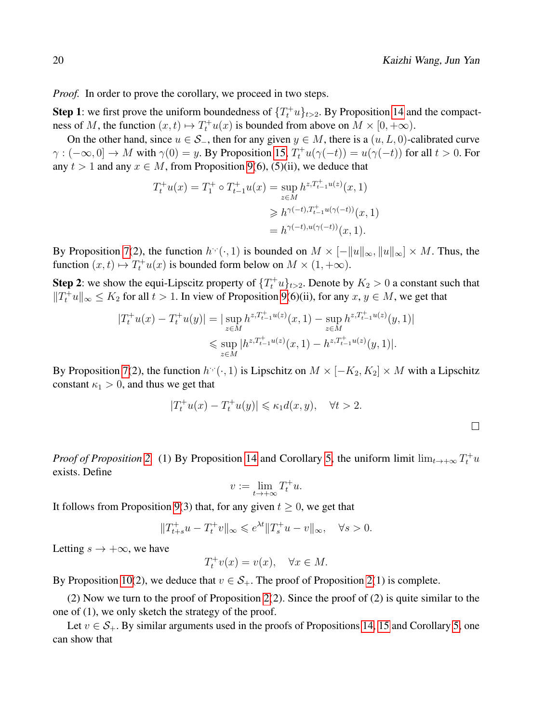*Proof.* In order to prove the corollary, we proceed in two steps.

**Step 1**: we first prove the uniform boundedness of  $\{T_t^+u\}_{t>2}$ . By Proposition [14](#page-18-1) and the compactness of M, the function  $(x, t) \mapsto T_t^+ u(x)$  is bounded from above on  $M \times [0, +\infty)$ .

On the other hand, since  $u \in S_$ , then for any given  $y \in M$ , there is a  $(u, L, 0)$ -calibrated curve  $\gamma : (-\infty, 0] \to M$  with  $\gamma(0) = y$ . By Proposition [15,](#page-18-2)  $T_t^+ u(\gamma(-t)) = u(\gamma(-t))$  for all  $t > 0$ . For any  $t > 1$  and any  $x \in M$ , from Proposition [9\(](#page-14-1)6), (5)(ii), we deduce that

$$
T_t^+ u(x) = T_1^+ \circ T_{t-1}^+ u(x) = \sup_{z \in M} h^{z, T_{t-1}^+ u(z)}(x, 1)
$$
  

$$
\geq h^{\gamma(-t), T_{t-1}^+ u(\gamma(-t))}(x, 1)
$$
  

$$
= h^{\gamma(-t), u(\gamma(-t))}(x, 1).
$$

By Proposition [7\(](#page-13-1)2), the function  $h^{\cdot}(\cdot,1)$  is bounded on  $M \times [-||u||_{\infty}, ||u||_{\infty}] \times M$ . Thus, the function  $(x, t) \mapsto T_t^+ u(x)$  is bounded form below on  $M \times (1, +\infty)$ .

**Step 2**: we show the equi-Lipscitz property of  $\{T_t^+u\}_{t>2}$ . Denote by  $K_2 > 0$  a constant such that  $||T_t^+u||_{\infty} \leq K_2$  for all  $t > 1$ . In view of Proposition [9\(](#page-14-1)6)(ii), for any  $x, y \in M$ , we get that

$$
|T_t^+u(x) - T_t^+u(y)| = |\sup_{z \in M} h^{z,T_{t-1}^+u(z)}(x,1) - \sup_{z \in M} h^{z,T_{t-1}^+u(z)}(y,1)|
$$
  

$$
\leq \sup_{z \in M} |h^{z,T_{t-1}^+u(z)}(x,1) - h^{z,T_{t-1}^+u(z)}(y,1)|.
$$

By Proposition [7\(](#page-13-1)2), the function  $h^{\cdot, \cdot}(\cdot, 1)$  is Lipschitz on  $M \times [-K_2, K_2] \times M$  with a Lipschitz constant  $\kappa_1 > 0$ , and thus we get that

$$
|T_t^+u(x)-T_t^+u(y)|\leq \kappa_1 d(x,y), \quad \forall t>2.
$$

*Proof of Proposition* [2.](#page-5-1) (1) By Proposition [14](#page-18-1) and Corollary [5,](#page-18-3) the uniform limit  $\lim_{t\to+\infty}T_t^+u$ exists. Define

$$
v := \lim_{t \to +\infty} T_t^+ u.
$$

It follows from Proposition [9\(](#page-14-1)3) that, for any given  $t \geq 0$ , we get that

$$
||T_{t+s}^+u-T_t^+v||_\infty\leqslant e^{\lambda t}||T_s^+u-v||_\infty,\quad \forall s>0.
$$

Letting  $s \to +\infty$ , we have

$$
T_t^+v(x) = v(x), \quad \forall x \in M.
$$

By Proposition [10\(](#page-15-4)2), we deduce that  $v \in S_{+}$ . The proof of Proposition [2\(](#page-5-1)1) is complete.

(2) Now we turn to the proof of Proposition [2\(](#page-5-1)2). Since the proof of (2) is quite similar to the one of (1), we only sketch the strategy of the proof.

Let  $v \in S_+$ . By similar arguments used in the proofs of Propositions [14,](#page-18-1) [15](#page-18-2) and Corollary [5,](#page-18-3) one can show that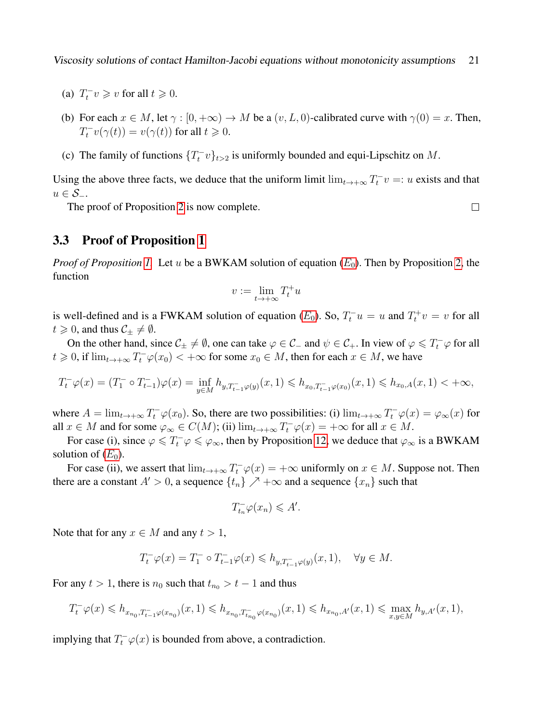Viscosity solutions of contact Hamilton-Jacobi equations without monotonicity assumptions 21

- (a)  $T_t^- v \geq v$  for all  $t \geq 0$ .
- (b) For each  $x \in M$ , let  $\gamma : [0, +\infty) \to M$  be a  $(v, L, 0)$ -calibrated curve with  $\gamma(0) = x$ . Then,  $T_t^- v(\gamma(t)) = v(\gamma(t))$  for all  $t \geq 0$ .
- (c) The family of functions  $\{T_t^- v\}_{t>2}$  is uniformly bounded and equi-Lipschitz on M.

Using the above three facts, we deduce that the uniform limit  $\lim_{t\to+\infty}T_t^-v=:u$  exists and that  $u \in \mathcal{S}_-.$ 

 $\Box$ 

The proof of Proposition [2](#page-5-1) is now complete.

### <span id="page-20-0"></span>3.3 Proof of Proposition [1](#page-5-2)

*Proof of Proposition [1.](#page-5-2)* Let u be a BWKAM solution of equation  $(E_0)$  $(E_0)$  $(E_0)$ . Then by Proposition [2,](#page-5-1) the function

$$
v:=\lim_{t\to+\infty}T_t^+u
$$

is well-defined and is a FWKAM solution of equation  $(E_0)$  $(E_0)$  $(E_0)$ . So,  $T_t^- u = u$  and  $T_t^+ v = v$  for all  $t \geqslant 0$ , and thus  $\mathcal{C}_{\pm} \neq \emptyset$ .

On the other hand, since  $C_{\pm} \neq \emptyset$ , one can take  $\varphi \in C_{-}$  and  $\psi \in C_{+}$ . In view of  $\varphi \leq T_t^{-} \varphi$  for all  $t \geq 0$ , if  $\lim_{t \to +\infty} T_t^-\varphi(x_0) < +\infty$  for some  $x_0 \in M$ , then for each  $x \in M$ , we have

$$
T_t^-\varphi(x) = (T_1^- \circ T_{t-1}^-)\varphi(x) = \inf_{y \in M} h_{y,T_{t-1}^-\varphi(y)}(x,1) \leq h_{x_0,T_{t-1}^-\varphi(x_0)}(x,1) \leq h_{x_0,A}(x,1) < +\infty,
$$

where  $A = \lim_{t \to +\infty} T_t^{\dagger} \varphi(x_0)$ . So, there are two possibilities: (i)  $\lim_{t \to +\infty} T_t^{\dagger} \varphi(x) = \varphi_{\infty}(x)$  for all  $x \in M$  and for some  $\varphi_{\infty} \in C(M)$ ; (ii)  $\lim_{t \to +\infty} T_t^{\perp} \varphi(x) = +\infty$  for all  $x \in M$ .

For case (i), since  $\varphi \le T_t^-\varphi \le \varphi_\infty$ , then by Proposition [12,](#page-16-2) we deduce that  $\varphi_\infty$  is a BWKAM solution of  $(E_0)$  $(E_0)$  $(E_0)$ .

For case (ii), we assert that  $\lim_{t\to+\infty}T_t^-\varphi(x)=+\infty$  uniformly on  $x\in M$ . Suppose not. Then there are a constant  $A' > 0$ , a sequence  $\{t_n\} \nearrow +\infty$  and a sequence  $\{x_n\}$  such that

$$
T_{t_n}^- \varphi(x_n) \leqslant A'.
$$

Note that for any  $x \in M$  and any  $t > 1$ ,

$$
T_t^{-} \varphi(x) = T_1^{-} \circ T_{t-1}^{-} \varphi(x) \leqslant h_{y, T_{t-1}^{-} \varphi(y)}(x, 1), \quad \forall y \in M.
$$

For any  $t > 1$ , there is  $n_0$  such that  $t_{n_0} > t - 1$  and thus

$$
T^-_t\varphi(x)\leqslant h_{x_{n_0},T^-_{t-1}\varphi(x_{n_0})}(x,1)\leqslant h_{x_{n_0},T^-_{t_{n_0}}\varphi(x_{n_0})}(x,1)\leqslant h_{x_{n_0},A'}(x,1)\leqslant \max_{x,y\in M} h_{y,A'}(x,1),
$$

implying that  $T_t^-\varphi(x)$  is bounded from above, a contradiction.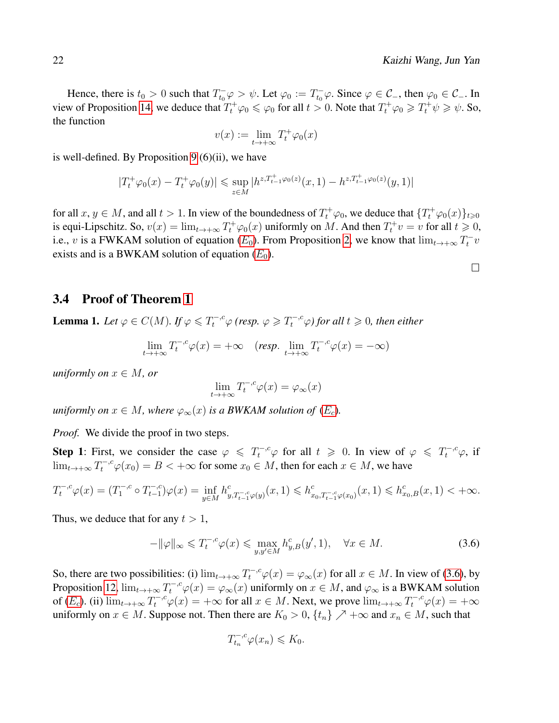Hence, there is  $t_0 > 0$  such that  $T_{t_0}^- \varphi > \psi$ . Let  $\varphi_0 := T_{t_0}^- \varphi$ . Since  $\varphi \in C_-$ , then  $\varphi_0 \in C_-$ . In view of Proposition [14,](#page-18-1) we deduce that  $T_t^+ \varphi_0 \leq \varphi_0$  for all  $t > 0$ . Note that  $T_t^+ \varphi_0 \geq T_t^+ \psi \geq \psi$ . So, the function

$$
v(x) := \lim_{t \to +\infty} T_t^+ \varphi_0(x)
$$

is well-defined. By Proposition  $9(6)(ii)$ , we have

$$
|T_t^+ \varphi_0(x) - T_t^+ \varphi_0(y)| \le \sup_{z \in M} |h^{z, T_{t-1}^+ \varphi_0(z)}(x, 1) - h^{z, T_{t-1}^+ \varphi_0(z)}(y, 1)|
$$

for all  $x, y \in M$ , and all  $t > 1$ . In view of the boundedness of  $T_t^+ \varphi_0$ , we deduce that  $\{T_t^+ \varphi_0(x)\}_{t \geq 0}$ is equi-Lipschitz. So,  $v(x) = \lim_{t \to +\infty} T_t^+ \varphi_0(x)$  uniformly on M. And then  $T_t^+ v = v$  for all  $t \ge 0$ , i.e., v is a FWKAM solution of equation  $(E_0)$  $(E_0)$  $(E_0)$ . From Proposition [2,](#page-5-1) we know that  $\lim_{t\to+\infty}T_t^-v$ exists and is a BWKAM solution of equation  $(E_0)$  $(E_0)$  $(E_0)$ .

#### <span id="page-21-0"></span>3.4 Proof of Theorem [1](#page-6-0)

<span id="page-21-2"></span>**Lemma 1.** Let  $\varphi \in C(M)$ . If  $\varphi \leq T_t^{-,c} \varphi$  (resp.  $\varphi \geq T_t^{-,c} \varphi$ ) for all  $t \geq 0$ , then either

$$
\lim_{t \to +\infty} T_t^{-,c} \varphi(x) = +\infty \quad (resp. \lim_{t \to +\infty} T_t^{-,c} \varphi(x) = -\infty)
$$

*uniformly on*  $x \in M$ , *or* 

$$
\lim_{t \to +\infty} T_t^{-,c} \varphi(x) = \varphi_\infty(x)
$$

*uniformly on*  $x \in M$ *, where*  $\varphi_{\infty}(x)$  *is a BWKAM solution of*  $(E_c)$  $(E_c)$  $(E_c)$ *.* 

*Proof.* We divide the proof in two steps.

**Step 1**: First, we consider the case  $\varphi \leq T_t^{-,c} \varphi$  for all  $t \geq 0$ . In view of  $\varphi \leq T_t^{-,c} \varphi$ , if  $\lim_{t\to+\infty}T_t^{-,c}\varphi(x_0)=B<+\infty$  for some  $x_0\in M$ , then for each  $x\in M$ , we have

$$
T_t^{-,c}\varphi(x)=(T_1^{-,c}\circ T_{t-1}^{-,c})\varphi(x)=\inf_{y\in M}h^c_{y,T_{t-1}^{-,c}\varphi(y)}(x,1)\leqslant h^c_{x_0,T_{t-1}^{-,c}\varphi(x_0)}(x,1)\leqslant h^c_{x_0,B}(x,1)<+\infty.
$$

Thus, we deduce that for any  $t > 1$ ,

$$
-\|\varphi\|_{\infty} \leq T_t^{-,c}\varphi(x) \leq \max_{y,y' \in M} h_{y,B}^c(y',1), \quad \forall x \in M. \tag{3.6}
$$

So, there are two possibilities: (i)  $\lim_{t\to+\infty} T_t^{-,c}\varphi(x) = \varphi_\infty(x)$  for all  $x \in M$ . In view of [\(3.6\)](#page-21-1), by Proposition [12,](#page-16-2)  $\lim_{t\to+\infty}T_t^{-,c}\varphi(x)=\varphi_\infty(x)$  uniformly on  $x\in M$ , and  $\varphi_\infty$  is a BWKAM solution of  $(E_c)$  $(E_c)$  $(E_c)$ . (ii)  $\lim_{t\to+\infty} T_t^{-,c}\varphi(x) = +\infty$  for all  $x \in M$ . Next, we prove  $\lim_{t\to+\infty} T_t^{-,c}\varphi(x) = +\infty$ uniformly on  $x \in M$ . Suppose not. Then there are  $K_0 > 0$ ,  $\{t_n\} \nearrow +\infty$  and  $x_n \in M$ , such that

<span id="page-21-1"></span>
$$
T_{t_n}^{-,c}\varphi(x_n)\leqslant K_0.
$$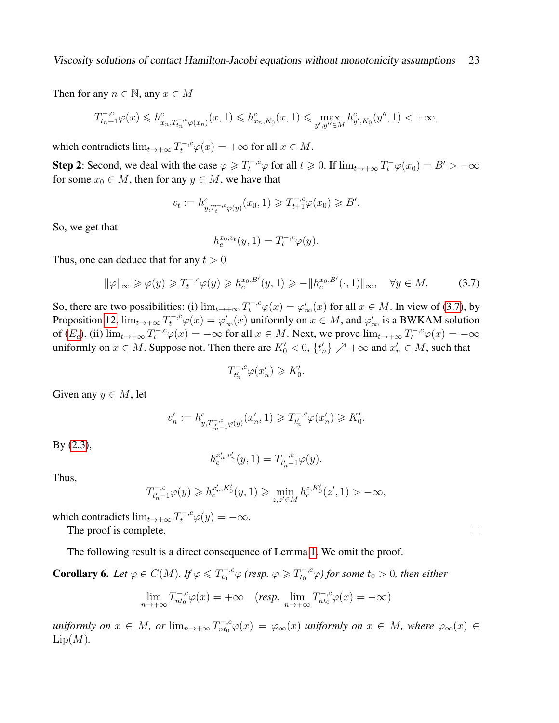Then for any  $n \in \mathbb{N}$ , any  $x \in M$ 

$$
T_{t_n+1}^{-,c}\varphi(x)\leqslant h^c_{x_n,T_{t_n}^{-,c}\varphi(x_n)}(x,1)\leqslant h^c_{x_n,K_0}(x,1)\leqslant \max_{y',y''\in M}h^c_{y',K_0}(y'',1)<+\infty,
$$

which contradicts  $\lim_{t\to+\infty} T_t^{-,c}\varphi(x) = +\infty$  for all  $x \in M$ .

**Step 2**: Second, we deal with the case  $\varphi \ge T_t^{-,c} \varphi$  for all  $t \ge 0$ . If  $\lim_{t \to +\infty} T_t^{-} \varphi(x_0) = B' > -\infty$ for some  $x_0 \in M$ , then for any  $y \in M$ , we have that

$$
v_t := h_{y,T_t^{-,c}\varphi(y)}^c(x_0,1) \geq T_{t+1}^{-,c}\varphi(x_0) \geq B'.
$$

So, we get that

<span id="page-22-0"></span>
$$
h_c^{x_0, v_t}(y, 1) = T_t^{-, c} \varphi(y).
$$

Thus, one can deduce that for any  $t > 0$ 

$$
\|\varphi\|_{\infty} \ge \varphi(y) \ge T_t^{-,c}\varphi(y) \ge h_c^{x_0, B'}(y, 1) \ge -\|h_c^{x_0, B'}(\cdot, 1)\|_{\infty}, \quad \forall y \in M. \tag{3.7}
$$

So, there are two possibilities: (i)  $\lim_{t\to+\infty} T_t^{-,c}\varphi(x) = \varphi'_\infty(x)$  for all  $x \in M$ . In view of [\(3.7\)](#page-22-0), by Proposition [12,](#page-16-2)  $\lim_{t\to+\infty}T_t^{-,c}\varphi(x)=\varphi_\infty'(x)$  uniformly on  $x\in M$ , and  $\varphi_\infty'$  is a BWKAM solution of  $(E_c)$  $(E_c)$  $(E_c)$ . (ii)  $\lim_{t\to+\infty} T_t^{-,c}\varphi(x) = -\infty$  for all  $x \in M$ . Next, we prove  $\lim_{t\to+\infty} T_t^{-,c}\varphi(x) = -\infty$ uniformly on  $x \in M$ . Suppose not. Then there are  $K'_0 < 0$ ,  $\{t'_n\} \nearrow +\infty$  and  $x'_n \in M$ , such that

$$
T_{t'_n}^{-,c}\varphi(x'_n) \geqslant K'_0.
$$

Given any  $y \in M$ , let

$$
v'_n := h^c_{y, T^{-,c}_{t'_n-1} \varphi(y)}(x'_n, 1) \ge T^{-,c}_{t'_n} \varphi(x'_n) \ge K'_0.
$$

 $By (2.3),$  $By (2.3),$  $By (2.3),$ 

$$
h_c^{x'_n, v'_n}(y, 1) = T_{t'_n - 1}^{-, c} \varphi(y).
$$

Thus,

$$
T_{t'_n-1}^{-,c}\varphi(y) \geq h_c^{x'_n,K'_0}(y,1) \geq \min_{z,z'\in M} h_c^{z,K'_0}(z',1) > -\infty,
$$

which contradicts  $\lim_{t\to+\infty} T_t^{-,c}\varphi(y) = -\infty$ .

The proof is complete.

The following result is a direct consequence of Lemma [1.](#page-21-2) We omit the proof.

<span id="page-22-1"></span>**Corollary 6.** Let  $\varphi \in C(M)$ . If  $\varphi \leq T_{t_0}^{-,c} \varphi$  (resp.  $\varphi \geq T_{t_0}^{-,c} \varphi$ ) for some  $t_0 > 0$ , then either

$$
\lim_{n \to +\infty} T_{nt_0}^{-,c} \varphi(x) = +\infty \quad (resp. \lim_{n \to +\infty} T_{nt_0}^{-,c} \varphi(x) = -\infty)
$$

 $uniformly on x \in M$ , or  $\lim_{n\to+\infty} T_{nt_0}^{-c}\varphi(x) = \varphi_\infty(x)$  *uniformly on*  $x \in M$ , where  $\varphi_\infty(x) \in$  $Lip(M)$ .

 $\Box$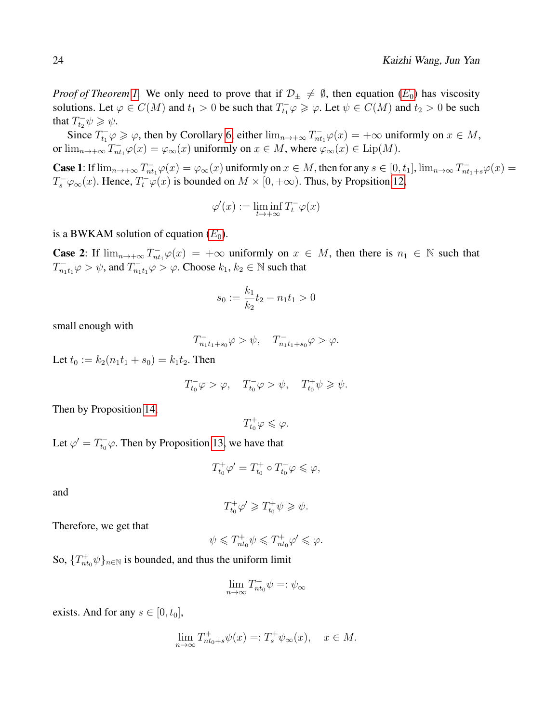*Proof of Theorem [1.](#page-6-0)* We only need to prove that if  $\mathcal{D}_{\pm} \neq \emptyset$ , then equation  $(E_0)$  $(E_0)$  $(E_0)$  has viscosity solutions. Let  $\varphi \in C(M)$  and  $t_1 > 0$  be such that  $T_{t_1} \varphi \geq \varphi$ . Let  $\psi \in C(M)$  and  $t_2 > 0$  be such that  $T_{t_2}^-\psi \geqslant \psi$ .

Since  $T_{t_1}^-\varphi \ge \varphi$ , then by Corollary [6,](#page-22-1) either  $\lim_{n\to+\infty} T_{nt_1}^-\varphi(x) = +\infty$  uniformly on  $x \in M$ , or  $\lim_{n\to+\infty} T_{nt_1}^{\perp} \varphi(x) = \varphi_{\infty}(x)$  uniformly on  $x \in M$ , where  $\varphi_{\infty}(x) \in \text{Lip}(M)$ .

**Case 1**: If  $\lim_{n\to+\infty} T_{nt_1}^{\perp} \varphi(x) = \varphi_\infty(x)$  uniformly on  $x \in M$ , then for any  $s \in [0, t_1]$ ,  $\lim_{n\to\infty} T_{nt_1+s}^{\perp} \varphi(x) =$  $T_s^- \varphi_\infty(x)$ . Hence,  $T_t^- \varphi(x)$  is bounded on  $M \times [0, +\infty)$ . Thus, by Propsition [12,](#page-16-2)

$$
\varphi'(x) := \liminf_{t \to +\infty} T_t^- \varphi(x)
$$

is a BWKAM solution of equation  $(E_0)$  $(E_0)$  $(E_0)$ .

**Case 2:** If  $\lim_{n\to+\infty} T_{nt_1}^{\sim} \varphi(x) = +\infty$  uniformly on  $x \in M$ , then there is  $n_1 \in \mathbb{N}$  such that  $T_{n_1t_1}^- \varphi > \psi$ , and  $T_{n_1t_1}^- \varphi > \varphi$ . Choose  $k_1, k_2 \in \mathbb{N}$  such that

$$
s_0 := \frac{k_1}{k_2} t_2 - n_1 t_1 > 0
$$

small enough with

$$
T_{n_1t_1+s_0}^{-}\varphi > \psi, \quad T_{n_1t_1+s_0}^{-}\varphi > \varphi.
$$

Let  $t_0 := k_2(n_1t_1 + s_0) = k_1t_2$ . Then

$$
T_{t_0}^-\varphi>\varphi,\quad T_{t_0}^-\varphi>\psi,\quad T_{t_0}^+\psi\geqslant\psi.
$$

Then by Proposition [14,](#page-18-1)

$$
T_{t_0}^+\varphi \leqslant \varphi.
$$

Let  $\varphi' = T_{t_0}^{\perp} \varphi$ . Then by Proposition [13,](#page-17-1) we have that

$$
T^+_{t_0}\varphi'=T^+_{t_0}\circ T^-_{t_0}\varphi\leqslant \varphi,
$$

and

$$
T^+_{t_0}\varphi'\geqslant T^+_{t_0}\psi\geqslant\psi.
$$

Therefore, we get that

$$
\psi \leq T_{nt_0}^+ \psi \leq T_{nt_0}^+ \varphi' \leq \varphi.
$$

So,  $\{T_{nt_0}^+\psi\}_{n\in\mathbb{N}}$  is bounded, and thus the uniform limit

$$
\lim_{n\to\infty}T_{nt_0}^+\psi=:\psi_\infty
$$

exists. And for any  $s \in [0, t_0]$ ,

$$
\lim_{n \to \infty} T_{nt_0+s}^+ \psi(x) =: T_s^+ \psi_\infty(x), \quad x \in M.
$$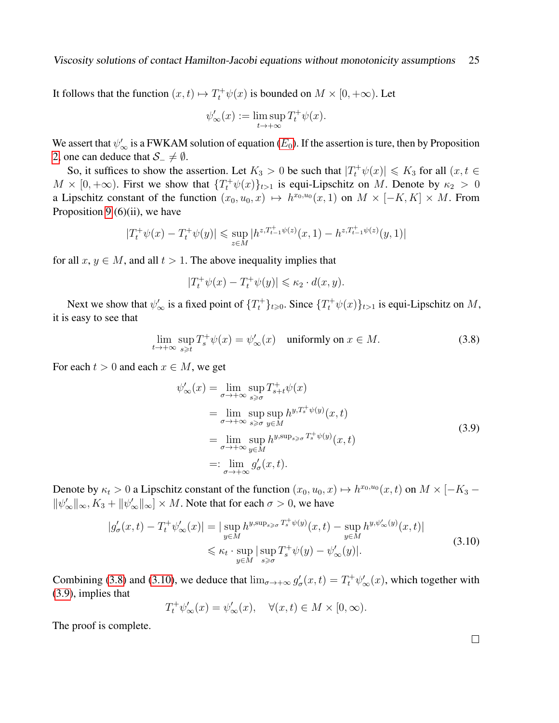It follows that the function  $(x, t) \mapsto T_t^+ \psi(x)$  is bounded on  $M \times [0, +\infty)$ . Let

$$
\psi_\infty'(x) := \limsup_{t \to +\infty} T_t^+ \psi(x).
$$

We assert that  $\psi_\infty'$  is a FWKAM solution of equation  $(E_0)$  $(E_0)$  $(E_0)$ . If the assertion is ture, then by Proposition [2,](#page-5-1) one can deduce that  $S_-\neq\emptyset$ .

So, it suffices to show the assertion. Let  $K_3 > 0$  be such that  $|T_t^+ \psi(x)| \leq K_3$  for all  $(x, t \in$  $M \times [0, +\infty)$ . First we show that  $\{T_t^+\psi(x)\}_{t>1}$  is equi-Lipschitz on M. Denote by  $\kappa_2 > 0$ a Lipschitz constant of the function  $(x_0, u_0, x) \mapsto h^{x_0, u_0}(x, 1)$  on  $M \times [-K, K] \times M$ . From Proposition [9](#page-14-1)  $(6)(ii)$ , we have

$$
|T_t^+ \psi(x) - T_t^+ \psi(y)| \le \sup_{z \in M} |h^{z, T_{t-1}^+ \psi(z)}(x, 1) - h^{z, T_{t-1}^+ \psi(z)}(y, 1)|
$$

for all  $x, y \in M$ , and all  $t > 1$ . The above inequality implies that

 $\mathbf{\hat{i}}$ 

<span id="page-24-0"></span>
$$
|T_t^+\psi(x)-T_t^+\psi(y)|\leqslant \kappa_2\cdot d(x,y).
$$

Next we show that  $\psi_{\infty}'$  is a fixed point of  $\{T_t^+\}_{t>0}$ . Since  $\{T_t^+\psi(x)\}_{t>1}$  is equi-Lipschitz on M, it is easy to see that

$$
\lim_{t \to +\infty} \sup_{s \ge t} T_s^+ \psi(x) = \psi_{\infty}'(x) \quad \text{uniformly on } x \in M. \tag{3.8}
$$

For each  $t > 0$  and each  $x \in M$ , we get

$$
\psi'_{\infty}(x) = \lim_{\sigma \to +\infty} \sup_{s \geq \sigma} T_{s+t}^{+} \psi(x)
$$
\n
$$
= \lim_{\sigma \to +\infty} \sup_{s \geq \sigma} \sup_{y \in M} h^{y, T_{s}^{+}} \psi(y)(x, t)
$$
\n
$$
= \lim_{\sigma \to +\infty} \sup_{y \in M} h^{y, \sup_{s \geq \sigma} T_{s}^{+}} \psi(y)(x, t)
$$
\n
$$
=: \lim_{\sigma \to +\infty} g'_{\sigma}(x, t).
$$
\n(3.9)

Denote by  $\kappa_t > 0$  a Lipschitz constant of the function  $(x_0, u_0, x) \mapsto h^{x_0, u_0}(x, t)$  on  $M \times [-K_3 \|\psi'_{\infty}\|_{\infty}$ ,  $K_3 + \|\psi'_{\infty}\|_{\infty} \leq M$ . Note that for each  $\sigma > 0$ , we have

$$
|g'_{\sigma}(x,t) - T_t^+ \psi'_{\infty}(x)| = |\sup_{y \in M} h^{y, \sup_{s \ge \sigma} T_s^+ \psi(y)}(x,t) - \sup_{y \in M} h^{y, \psi'_{\infty}(y)}(x,t)|
$$
  
\$\le \kappa\_t \cdot \sup\_{y \in M} |\sup\_{s \ge \sigma} T\_s^+ \psi(y) - \psi'\_{\infty}(y)|. \qquad (3.10)\$

Combining [\(3.8\)](#page-24-0) and [\(3.10\)](#page-24-1), we deduce that  $\lim_{\sigma\to+\infty} g'_{\sigma}(x,t) = T_t^+ \psi_{\infty}'(x)$ , which together with [\(3.9\)](#page-24-2), implies that

$$
T_t^+ \psi_{\infty}'(x) = \psi_{\infty}'(x), \quad \forall (x, t) \in M \times [0, \infty).
$$

The proof is complete.

<span id="page-24-2"></span><span id="page-24-1"></span> $\Box$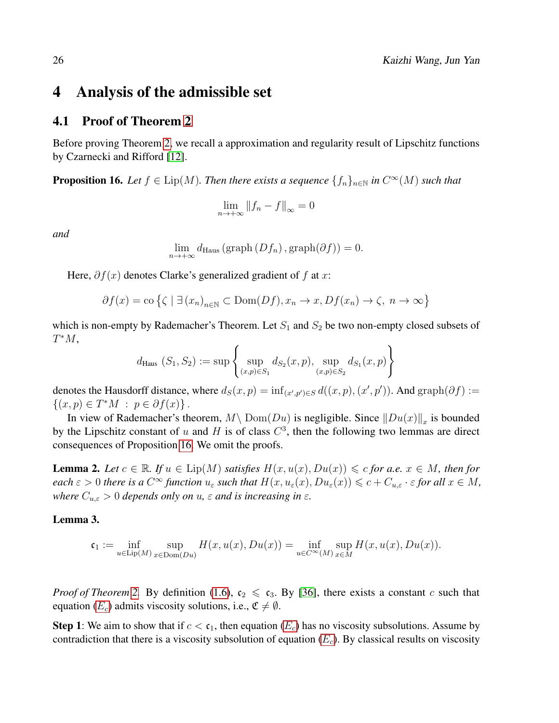# <span id="page-25-0"></span>4 Analysis of the admissible set

#### <span id="page-25-1"></span>4.1 Proof of Theorem [2](#page-7-0)

Before proving Theorem [2,](#page-7-0) we recall a approximation and regularity result of Lipschitz functions by Czarnecki and Rifford [\[12\]](#page-40-8).

<span id="page-25-3"></span>**Proposition 16.** Let  $f \in \text{Lip}(M)$ . Then there exists a sequence  $\{f_n\}_{n\in\mathbb{N}}$  in  $C^{\infty}(M)$  such that

$$
\lim_{n \to +\infty} \|f_n - f\|_{\infty} = 0
$$

*and*

$$
\lim_{n \to +\infty} d_{\text{Haus}}\left(\text{graph}\left(Df_n\right), \text{graph}(\partial f)\right) = 0.
$$

Here,  $\partial f(x)$  denotes Clarke's generalized gradient of f at x:

$$
\partial f(x) = \text{co}\left\{\zeta \mid \exists (x_n)_{n \in \mathbb{N}} \subset \text{Dom}(Df), x_n \to x, Df(x_n) \to \zeta, n \to \infty\right\}
$$

which is non-empty by Rademacher's Theorem. Let  $S_1$  and  $S_2$  be two non-empty closed subsets of  $T^*M$ ,

$$
d_{\text{Haus}}(S_1, S_2) := \sup \left\{ \sup_{(x,p)\in S_1} d_{S_2}(x, p), \sup_{(x,p)\in S_2} d_{S_1}(x, p) \right\}
$$

denotes the Hausdorff distance, where  $d_S(x, p) = \inf_{(x', p') \in S} d((x, p), (x', p'))$ . And  $graph(\partial f) :=$  $\{(x,p)\in T^*M : p\in\partial f(x)\}.$ 

In view of Rademacher's theorem,  $M \setminus \text{Dom}(Du)$  is negligible. Since  $||Du(x)||_x$  is bounded by the Lipschitz constant of u and H is of class  $C^3$ , then the following two lemmas are direct consequences of Proposition [16.](#page-25-3) We omit the proofs.

<span id="page-25-2"></span>**Lemma 2.** Let  $c \in \mathbb{R}$ . If  $u \in \text{Lip}(M)$  *satisfies*  $H(x, u(x), Du(x)) \leq c$  *for a.e.*  $x \in M$ *, then for*  $\epsilon$  *each*  $\varepsilon > 0$  *there is a*  $C^{\infty}$  *function*  $u_{\varepsilon}$  *such that*  $H(x, u_{\varepsilon}(x), Du_{\varepsilon}(x)) \leq c + C_{u, \varepsilon} \cdot \varepsilon$  *for all*  $x \in M$ , *where*  $C_{u,\varepsilon} > 0$  *depends only on*  $u, \varepsilon$  *and is increasing in*  $\varepsilon$ *.* 

#### <span id="page-25-4"></span>Lemma 3.

$$
\mathfrak{c}_1 := \inf_{u \in \text{Lip}(M)} \sup_{x \in \text{Dom}(Du)} H(x, u(x), Du(x)) = \inf_{u \in C^{\infty}(M)} \sup_{x \in M} H(x, u(x), Du(x)).
$$

*Proof of Theorem* [2.](#page-7-0) By definition [\(1.6\)](#page-6-2),  $c_2 \le c_3$ . By [\[36\]](#page-41-7), there exists a constant c such that equation ( $E_c$  $E_c$ ) admits viscosity solutions, i.e.,  $\mathfrak{C} \neq \emptyset$ .

**Step 1:** We aim to show that if  $c < c_1$ , then equation  $(E_c)$  $(E_c)$  $(E_c)$  has no viscosity subsolutions. Assume by contradiction that there is a viscosity subsolution of equation  $(E_c)$  $(E_c)$  $(E_c)$ . By classical results on viscosity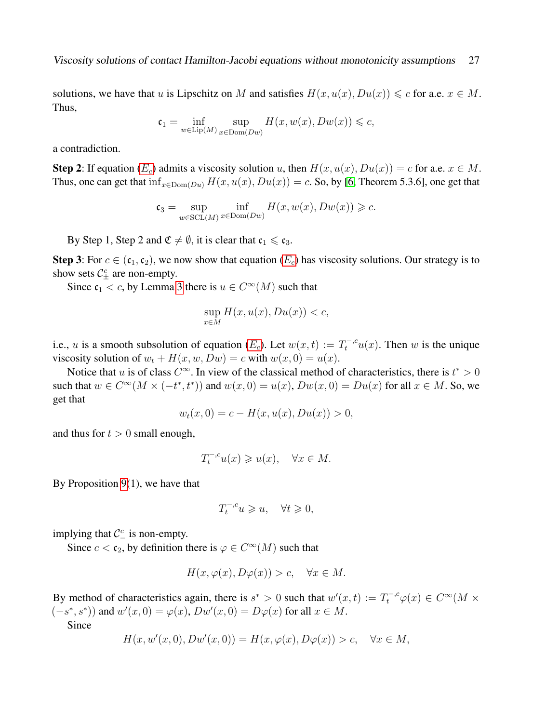solutions, we have that u is Lipschitz on M and satisfies  $H(x, u(x), Du(x)) \leq c$  for a.e.  $x \in M$ . Thus,

$$
\mathfrak{c}_1 = \inf_{w \in \text{Lip}(M)} \sup_{x \in \text{Dom}(Dw)} H(x, w(x), Dw(x)) \leqslant c,
$$

a contradiction.

**Step 2:** If equation  $(E_c)$  $(E_c)$  $(E_c)$  admits a viscosity solution u, then  $H(x, u(x), Du(x)) = c$  for a.e.  $x \in M$ . Thus, one can get that  $\inf_{x \in \text{Dom}(Du)} H(x, u(x), Du(x)) = c$ . So, by [\[6,](#page-40-7) Theorem 5.3.6], one get that

$$
\mathfrak{c}_3 = \sup_{w \in \text{SCL}(M)} \inf_{x \in \text{Dom}(Dw)} H(x, w(x), Dw(x)) \geqslant c.
$$

By Step 1, Step 2 and  $\mathfrak{C} \neq \emptyset$ , it is clear that  $\mathfrak{c}_1 \leq \mathfrak{c}_3$ .

Step 3: For  $c \in (c_1, c_2)$ , we now show that equation  $(E_c)$  $(E_c)$  $(E_c)$  has viscosity solutions. Our strategy is to show sets  $\mathcal{C}_{\pm}^c$  are non-empty.

Since  $c_1 < c$ , by Lemma [3](#page-25-4) there is  $u \in C^{\infty}(M)$  such that

$$
\sup_{x \in M} H(x, u(x), Du(x)) < c,
$$

i.e., u is a smooth subsolution of equation  $(E_c)$  $(E_c)$  $(E_c)$ . Let  $w(x,t) := T_t^{-,c}u(x)$ . Then w is the unique viscosity solution of  $w_t + H(x, w, Dw) = c$  with  $w(x, 0) = u(x)$ .

Notice that u is of class  $C^{\infty}$ . In view of the classical method of characteristics, there is  $t^* > 0$ such that  $w \in C^{\infty}(M \times (-t^*, t^*))$  and  $w(x, 0) = u(x)$ ,  $Dw(x, 0) = Du(x)$  for all  $x \in M$ . So, we get that

$$
w_t(x,0) = c - H(x, u(x), Du(x)) > 0,
$$

and thus for  $t > 0$  small enough,

$$
T_t^{-,c}u(x) \geqslant u(x), \quad \forall x \in M.
$$

By Proposition [9\(](#page-14-1)1), we have that

$$
T_t^{-,c}u \geqslant u, \quad \forall t \geqslant 0,
$$

implying that  $C_-^c$  is non-empty.

Since  $c < \mathfrak{c}_2$ , by definition there is  $\varphi \in C^{\infty}(M)$  such that

$$
H(x, \varphi(x), D\varphi(x)) > c, \quad \forall x \in M.
$$

By method of characteristics again, there is  $s^* > 0$  such that  $w'(x,t) := T_t^{-,c} \varphi(x) \in C^\infty(M \times$  $(-s^*, s^*)$  and  $w'(x, 0) = \varphi(x)$ ,  $Dw'(x, 0) = D\varphi(x)$  for all  $x \in M$ .

Since

$$
H(x, w'(x, 0), Dw'(x, 0)) = H(x, \varphi(x), D\varphi(x)) > c, \quad \forall x \in M,
$$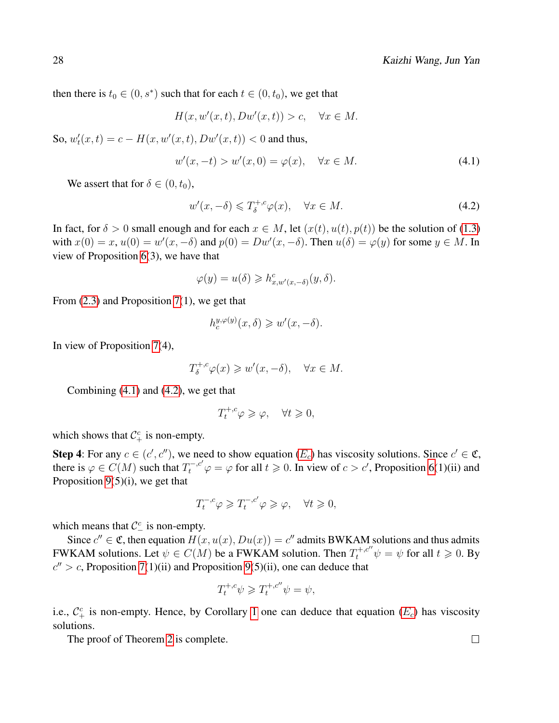then there is  $t_0 \in (0, s^*)$  such that for each  $t \in (0, t_0)$ , we get that

$$
H(x, w'(x, t), Dw'(x, t)) > c, \quad \forall x \in M.
$$

So,  $w'_t(x,t) = c - H(x, w'(x,t), Dw'(x,t)) < 0$  and thus,

$$
w'(x, -t) > w'(x, 0) = \varphi(x), \quad \forall x \in M.
$$
\n
$$
(4.1)
$$

We assert that for  $\delta \in (0, t_0)$ ,

<span id="page-27-1"></span><span id="page-27-0"></span>
$$
w'(x, -\delta) \leq T_{\delta}^{+,c}\varphi(x), \quad \forall x \in M. \tag{4.2}
$$

In fact, for  $\delta > 0$  small enough and for each  $x \in M$ , let  $(x(t), u(t), p(t))$  be the solution of [\(1.3\)](#page-3-2) with  $x(0) = x$ ,  $u(0) = w'(x, -\delta)$  and  $p(0) = Dw'(x, -\delta)$ . Then  $u(\delta) = \varphi(y)$  for some  $y \in M$ . In view of Proposition [6\(](#page-13-0)3), we have that

$$
\varphi(y) = u(\delta) \geqslant h_{x,w'(x,-\delta)}^c(y,\delta).
$$

From  $(2.3)$  and Proposition [7\(](#page-13-1)1), we get that

$$
h_c^{y,\varphi(y)}(x,\delta) \geqslant w'(x,-\delta).
$$

In view of Proposition [7\(](#page-13-1)4),

$$
T_{\delta}^{+,c}\varphi(x) \geqslant w'(x,-\delta), \quad \forall x \in M.
$$

Combining [\(4.1\)](#page-27-0) and [\(4.2\)](#page-27-1), we get that

$$
T_t^{+,c}\varphi \geqslant \varphi, \quad \forall t \geqslant 0,
$$

which shows that  $\mathcal{C}^c_+$  is non-empty.

**Step 4**: For any  $c \in (c', c'')$ , we need to show equation  $(E_c)$  $(E_c)$  $(E_c)$  has viscosity solutions. Since  $c' \in \mathfrak{C}$ , there is  $\varphi \in C(M)$  such that  $T_t^{-,c'}\varphi = \varphi$  for all  $t \ge 0$ . In view of  $c > c'$ , Proposition [6\(](#page-13-0)1)(ii) and Proposition  $9(5)(i)$ , we get that

$$
T_t^{-,c}\varphi \geqslant T_t^{-,c'}\varphi \geqslant \varphi, \quad \forall t \geqslant 0,
$$

which means that  $C_{-}^{c}$  is non-empty.

Since  $c'' \in \mathfrak{C}$ , then equation  $H(x, u(x), Du(x)) = c''$  admits BWKAM solutions and thus admits FWKAM solutions. Let  $\psi \in C(M)$  be a FWKAM solution. Then  $T_t^{+,c''} \psi = \psi$  for all  $t \ge 0$ . By  $c'' > c$ , Proposition [7\(](#page-13-1)1)(ii) and Proposition [9\(](#page-14-1)5)(ii), one can deduce that

$$
T_t^{+,c}\psi \geqslant T_t^{+,c''}\psi = \psi,
$$

i.e.,  $C_{+}^{c}$  is non-empty. Hence, by Corollary [1](#page-5-3) one can deduce that equation  $(E_{c})$  $(E_{c})$  $(E_{c})$  has viscosity solutions.

The proof of Theorem [2](#page-7-0) is complete.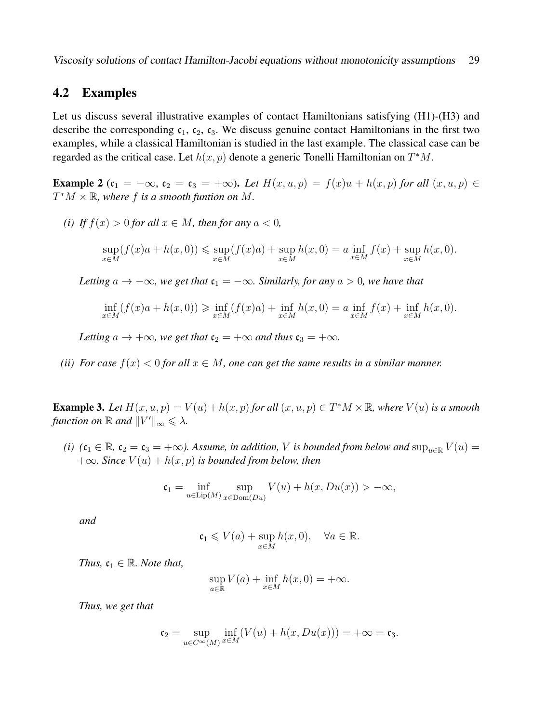Viscosity solutions of contact Hamilton-Jacobi equations without monotonicity assumptions 29

### <span id="page-28-0"></span>4.2 Examples

Let us discuss several illustrative examples of contact Hamiltonians satisfying (H1)-(H3) and describe the corresponding  $c_1$ ,  $c_2$ ,  $c_3$ . We discuss genuine contact Hamiltonians in the first two examples, while a classical Hamiltonian is studied in the last example. The classical case can be regarded as the critical case. Let  $h(x, p)$  denote a generic Tonelli Hamiltonian on  $T^*M$ .

**Example 2**  $(c_1 = -\infty, c_2 = c_3 = +\infty)$ . Let  $H(x, u, p) = f(x)u + h(x, p)$  for all  $(x, u, p) \in$  $T^*M \times \mathbb{R}$ , where f is a smooth funtion on M.

*(i) If*  $f(x) > 0$  *for all*  $x \in M$ *, then for any*  $a < 0$ *,* 

$$
\sup_{x \in M} (f(x)a + h(x, 0)) \le \sup_{x \in M} (f(x)a) + \sup_{x \in M} h(x, 0) = a \inf_{x \in M} f(x) + \sup_{x \in M} h(x, 0).
$$

*Letting*  $a \rightarrow -\infty$ *, we get that*  $c_1 = -\infty$ *. Similarly, for any*  $a > 0$ *, we have that* 

$$
\inf_{x \in M} (f(x)a + h(x, 0)) \ge \inf_{x \in M} (f(x)a) + \inf_{x \in M} h(x, 0) = a \inf_{x \in M} f(x) + \inf_{x \in M} h(x, 0).
$$

*Letting*  $a \rightarrow +\infty$ *, we get that*  $c_2 = +\infty$  *and thus*  $c_3 = +\infty$ *.* 

*(ii) For case*  $f(x) < 0$  *for all*  $x \in M$ *, one can get the same results in a similar manner.* 

**Example 3.** Let  $H(x, u, p) = V(u) + h(x, p)$  for all  $(x, u, p) \in T^*M \times \mathbb{R}$ , where  $V(u)$  is a smooth *function on*  $\mathbb R$  *and*  $||V'||_{\infty} \le \lambda$ *.* 

*(i)*  $(c_1 \in \mathbb{R}, c_2 = c_3 = +\infty)$ . Assume, in addition, V is bounded from below and  $\sup_{u \in \mathbb{R}} V(u) =$  $+\infty$ *. Since*  $V(u) + h(x, p)$  *is bounded from below, then* 

$$
\mathfrak{c}_1 = \inf_{u \in \text{Lip}(M)} \sup_{x \in \text{Dom}(Du)} V(u) + h(x, Du(x)) > -\infty,
$$

*and*

$$
\mathfrak{c}_1 \leqslant V(a) + \sup_{x \in M} h(x, 0), \quad \forall a \in \mathbb{R}.
$$

*Thus,*  $c_1 \in \mathbb{R}$ *. Note that,* 

$$
\sup_{a \in \mathbb{R}} V(a) + \inf_{x \in M} h(x, 0) = +\infty.
$$

*Thus, we get that*

$$
\mathfrak{c}_2 = \sup_{u \in C^{\infty}(M)} \inf_{x \in M} (V(u) + h(x, Du(x))) = +\infty = \mathfrak{c}_3.
$$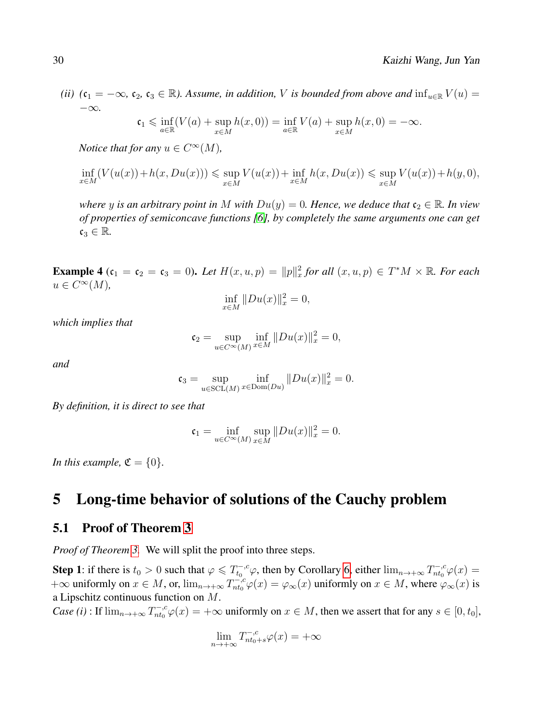*(ii)*  $(c_1 = -\infty, c_2, c_3 \in \mathbb{R})$ . Assume, in addition, V is bounded from above and  $\inf_{u \in \mathbb{R}} V(u) =$ −∞*.*

$$
\mathfrak{c}_1 \leq \inf_{a \in \mathbb{R}} (V(a) + \sup_{x \in M} h(x, 0)) = \inf_{a \in \mathbb{R}} V(a) + \sup_{x \in M} h(x, 0) = -\infty.
$$

*Notice that for any*  $u \in C^{\infty}(M)$ *,* 

$$
\inf_{x \in M} (V(u(x)) + h(x, Du(x))) \leq \sup_{x \in M} V(u(x)) + \inf_{x \in M} h(x, Du(x)) \leq \sup_{x \in M} V(u(x)) + h(y, 0),
$$

*where* y *is an arbitrary point in* M *with*  $Du(y) = 0$ *. Hence, we deduce that*  $c_2 \in \mathbb{R}$ *. In view of properties of semiconcave functions [\[6\]](#page-40-7), by completely the same arguments one can get*  $\mathfrak{c}_3 \in \mathbb{R}$ .

**Example 4** ( $c_1 = c_2 = c_3 = 0$ ). Let  $H(x, u, p) = ||p||_x^2$  for all  $(x, u, p) \in T^*M \times \mathbb{R}$ . For each  $u \in C^{\infty}(M)$ ,

$$
\inf_{x \in M} \|Du(x)\|_{x}^{2} = 0,
$$

*which implies that*

$$
\mathfrak{c}_2 = \sup_{u \in C^{\infty}(M)} \inf_{x \in M} ||Du(x)||_x^2 = 0,
$$

*and*

$$
\mathfrak{c}_3 = \sup_{u \in \text{SCL}(M)} \inf_{x \in \text{Dom}(Du)} ||Du(x)||_x^2 = 0.
$$

*By definition, it is direct to see that*

$$
\mathfrak{c}_1 = \inf_{u \in C^{\infty}(M)} \sup_{x \in M} ||Du(x)||_x^2 = 0.
$$

*In this example,*  $\mathfrak{C} = \{0\}$ *.* 

# <span id="page-29-0"></span>5 Long-time behavior of solutions of the Cauchy problem

### <span id="page-29-1"></span>5.1 Proof of Theorem [3](#page-7-1)

*Proof of Theorem [3.](#page-7-1)* We will split the proof into three steps.

**Step 1**: if there is  $t_0 > 0$  such that  $\varphi \leq T_{t_0}^{-c} \varphi$ , then by Corollary [6,](#page-22-1) either  $\lim_{n \to +\infty} T_{nt_0}^{-c} \varphi(x) =$  $+\infty$  uniformly on  $x \in M$ , or,  $\lim_{n \to +\infty} T_{nt_0}^{-\alpha} \varphi(x) = \varphi_\infty(x)$  uniformly on  $x \in M$ , where  $\varphi_\infty(x)$  is a Lipschitz continuous function on M.

*Case (i)* : If  $\lim_{n\to+\infty} T_{nt_0}^{-,c}\varphi(x) = +\infty$  uniformly on  $x \in M$ , then we assert that for any  $s \in [0, t_0]$ ,

$$
\lim_{n \to +\infty} T^{-,c}_{nt_0+s} \varphi(x) = +\infty
$$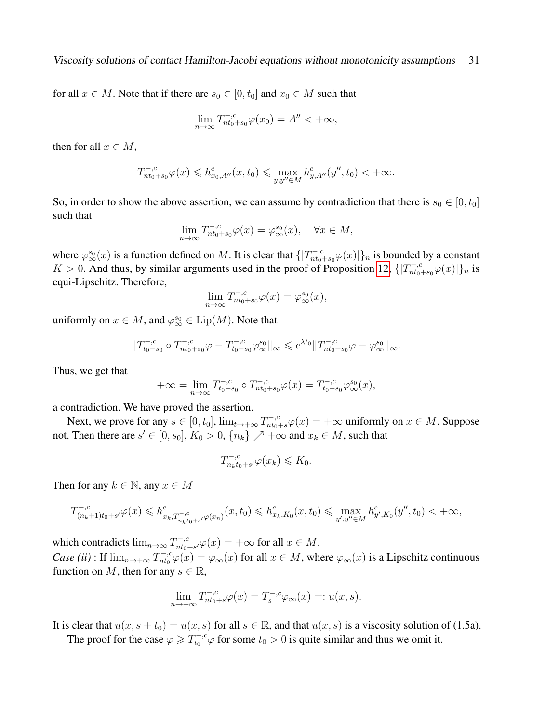for all  $x \in M$ . Note that if there are  $s_0 \in [0, t_0]$  and  $x_0 \in M$  such that

$$
\lim_{n \to \infty} T_{nt_0+s_0}^{-,c} \varphi(x_0) = A'' < +\infty,
$$

then for all  $x \in M$ ,

$$
T_{nt_0+s_0}^{-,c}\varphi(x)\leqslant h^c_{x_0,A''}(x,t_0)\leqslant \max_{y,y''\in M}h^c_{y,A''}(y'',t_0)<+\infty.
$$

So, in order to show the above assertion, we can assume by contradiction that there is  $s_0 \in [0, t_0]$ such that

$$
\lim_{n \to \infty} T_{nt_0+s_0}^{-,c} \varphi(x) = \varphi_{\infty}^{s_0}(x), \quad \forall x \in M,
$$

where  $\varphi_{\infty}^{s_0}(x)$  is a function defined on M. It is clear that  $\{|T_{nt_0+s_0}^{-,c}\varphi(x)|\}_n$  is bounded by a constant  $K > 0$ . And thus, by similar arguments used in the proof of Proposition [12,](#page-16-2)  $\{ |T_{nt_0+s_0}^{-c} \varphi(x)| \}_n$  is equi-Lipschitz. Therefore,

$$
\lim_{n \to \infty} T_{nt_0+s_0}^{-,c} \varphi(x) = \varphi_\infty^{s_0}(x),
$$

uniformly on  $x \in M$ , and  $\varphi_{\infty}^{s_0} \in \text{Lip}(M)$ . Note that

$$
||T_{t_0-s_0}^{-,c} \circ T_{nt_0+s_0}^{-,c} \varphi - T_{t_0-s_0}^{-,c} \varphi_{\infty}^{s_0}||_{\infty} \leq e^{\lambda t_0} ||T_{nt_0+s_0}^{-,c} \varphi - \varphi_{\infty}^{s_0}||_{\infty}.
$$

Thus, we get that

$$
+\infty = \lim_{n \to \infty} T_{t_0 - s_0}^{-,c} \circ T_{nt_0 + s_0}^{-,c} \varphi(x) = T_{t_0 - s_0}^{-,c} \varphi_{\infty}^{s_0}(x),
$$

a contradiction. We have proved the assertion.

Next, we prove for any  $s \in [0, t_0]$ ,  $\lim_{t \to +\infty} T_{nt_0+s}^{-,c} \varphi(x) = +\infty$  uniformly on  $x \in M$ . Suppose not. Then there are  $s' \in [0, s_0]$ ,  $K_0 > 0$ ,  $\{n_k\} \nearrow +\infty$  and  $x_k \in M$ , such that

$$
T_{n_k t_0 + s'}^{-,c} \varphi(x_k) \leqslant K_0.
$$

Then for any  $k \in \mathbb{N}$ , any  $x \in M$ 

$$
T_{(n_k+1)t_0+s'}^{-,c} \varphi(x) \leq h_{x_k,T_{n_kt_0+s'}^{-,c}}^{c} \varphi(x_n)(x,t_0) \leq h_{x_k,K_0}^{c}(x,t_0) \leq \max_{y',y'' \in M} h_{y',K_0}^{c}(y'',t_0) < +\infty,
$$

which contradicts  $\lim_{n\to\infty} T_{nt_0}^{-,c}$  $\sum_{nt_0+s'}^{t-,c} \varphi(x) = +\infty$  for all  $x \in M$ .

*Case (ii)* : If  $\lim_{n\to+\infty} T_{nt_0}^{-,c}\varphi(x) = \varphi_\infty(x)$  for all  $x \in M$ , where  $\varphi_\infty(x)$  is a Lipschitz continuous function on M, then for any  $s \in \mathbb{R}$ ,

$$
\lim_{n \to +\infty} T_{nt_0+s}^{-,c} \varphi(x) = T_s^{-,c} \varphi_\infty(x) =: u(x,s).
$$

It is clear that  $u(x, s + t_0) = u(x, s)$  for all  $s \in \mathbb{R}$ , and that  $u(x, s)$  is a viscosity solution of (1.5a).

The proof for the case  $\varphi \ge T_{t_0}^{-1/c} \varphi$  for some  $t_0 > 0$  is quite similar and thus we omit it.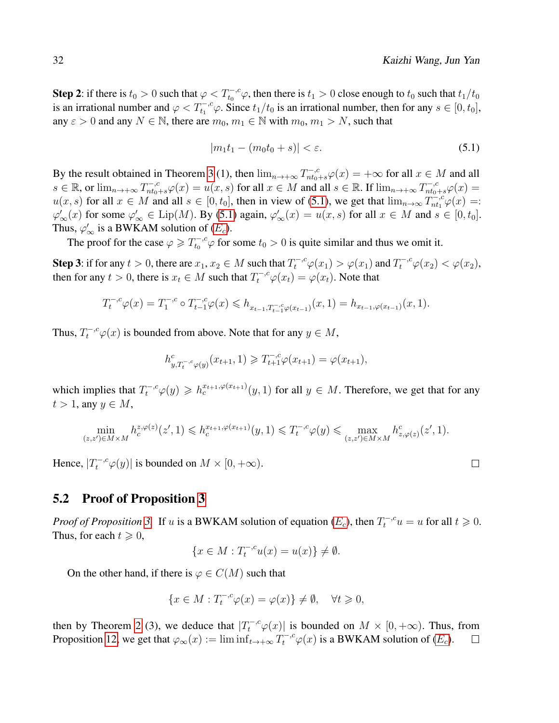**Step 2**: if there is  $t_0 > 0$  such that  $\varphi < T_{t_0}^{-1/c} \varphi$ , then there is  $t_1 > 0$  close enough to  $t_0$  such that  $t_1/t_0$ is an irrational number and  $\varphi < T_{t_1}^{-,c}\varphi$ . Since  $t_1/t_0$  is an irrational number, then for any  $s \in [0, t_0]$ , any  $\varepsilon > 0$  and any  $N \in \mathbb{N}$ , there are  $m_0, m_1 \in \mathbb{N}$  with  $m_0, m_1 > N$ , such that

<span id="page-31-1"></span>
$$
|m_1 t_1 - (m_0 t_0 + s)| < \varepsilon. \tag{5.1}
$$

By the result obtained in Theorem [3](#page-7-1) (1), then  $\lim_{n\to+\infty} T_{nt_0+s}^{-,c}\varphi(x) = +\infty$  for all  $x \in M$  and all  $s \in \mathbb{R}$ , or  $\lim_{n \to +\infty} T_{nt_0+s}^{-,c} \varphi(x) = u(x,s)$  for all  $x \in M$  and all  $s \in \mathbb{R}$ . If  $\lim_{n \to +\infty} T_{nt_0+s}^{-,c} \varphi(x) =$  $u(x, s)$  for all  $x \in M$  and all  $s \in [0, t_0]$ , then in view of [\(5.1\)](#page-31-1), we get that  $\lim_{n\to\infty} T_{nt_1}^{-,c}\varphi(x) =$  $\varphi'_\infty(x)$  for some  $\varphi'_\infty \in \text{Lip}(M)$ . By [\(5.1\)](#page-31-1) again,  $\varphi'_\infty(x) = u(x, s)$  for all  $x \in M$  and  $s \in [0, t_0]$ . Thus,  $\varphi'_{\infty}$  is a BWKAM solution of  $(E_c)$  $(E_c)$  $(E_c)$ .

The proof for the case  $\varphi \ge T_{t_0}^{-1/c} \varphi$  for some  $t_0 > 0$  is quite similar and thus we omit it.

**Step 3:** if for any  $t > 0$ , there are  $x_1, x_2 \in M$  such that  $T_t^{-,c}\varphi(x_1) > \varphi(x_1)$  and  $T_t^{-,c}\varphi(x_2) < \varphi(x_2)$ , then for any  $t > 0$ , there is  $x_t \in M$  such that  $T_t^{-,c}\varphi(x_t) = \varphi(x_t)$ . Note that

$$
T_t^{-,c}\varphi(x)=T_1^{-,c}\circ T_{t-1}^{-,c}\varphi(x)\leqslant h_{x_{t-1},T_{t-1}^{-,c}\varphi(x_{t-1})}(x,1)=h_{x_{t-1},\varphi(x_{t-1})}(x,1).
$$

Thus,  $T_t^{-,c}\varphi(x)$  is bounded from above. Note that for any  $y \in M$ ,

$$
h^c_{y,T_t^{-,c}\varphi(y)}(x_{t+1},1) \geq T_{t+1}^{-,c}\varphi(x_{t+1}) = \varphi(x_{t+1}),
$$

which implies that  $T_t^{-,c}\varphi(y) \geq h_c^{x_{t+1},\varphi(x_{t+1})}(y,1)$  for all  $y \in M$ . Therefore, we get that for any  $t > 1$ , any  $y \in M$ ,

$$
\min_{(z,z')\in M\times M}h_c^{z,\varphi(z)}(z',1)\leqslant h_c^{x_{t+1},\varphi(x_{t+1})}(y,1)\leqslant T_t^{-,c}\varphi(y)\leqslant \max_{(z,z')\in M\times M}h^c_{z,\varphi(z)}(z',1).
$$

Hence,  $|T_t^{-,c}\varphi(y)|$  is bounded on  $M\times [0,+\infty)$ .

### <span id="page-31-0"></span>5.2 Proof of Proposition [3](#page-6-1)

*Proof of Proposition* [3.](#page-6-1) If u is a BWKAM solution of equation  $(E_c)$  $(E_c)$  $(E_c)$ , then  $T_t^{-,c}u = u$  for all  $t \ge 0$ . Thus, for each  $t \geq 0$ ,

$$
\{x \in M : T_t^{-,c}u(x) = u(x)\} \neq \emptyset.
$$

On the other hand, if there is  $\varphi \in C(M)$  such that

$$
\{x \in M : T_t^{-,c}\varphi(x) = \varphi(x)\} \neq \emptyset, \quad \forall t \geq 0,
$$

then by Theorem [2](#page-7-0) (3), we deduce that  $|T_t^{-,c}\varphi(x)|$  is bounded on  $M \times [0, +\infty)$ . Thus, from Proposition [12,](#page-16-2) we get that  $\varphi_{\infty}(x) := \liminf_{t \to +\infty} T_t^{-,c} \varphi(x)$  is a BWKAM solution of  $(E_c)$  $(E_c)$  $(E_c)$ . □

 $\Box$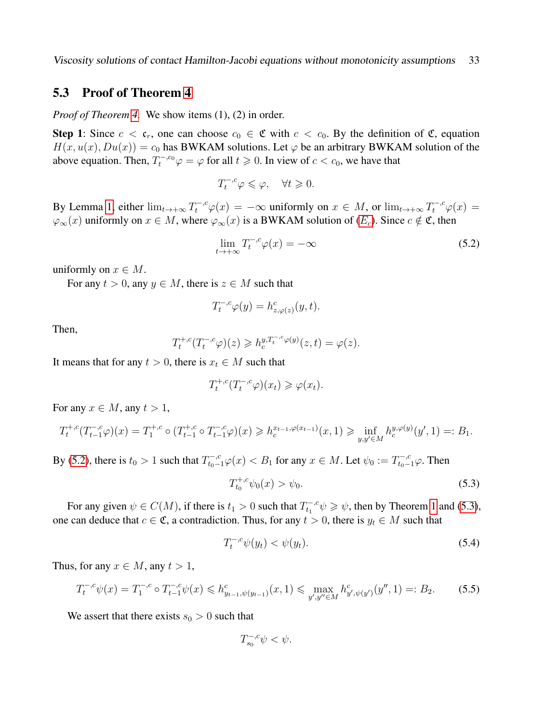Viscosity solutions of contact Hamilton-Jacobi equations without monotonicity assumptions 33

#### <span id="page-32-0"></span>5.3 Proof of Theorem [4](#page-9-0)

*Proof of Theorem [4.](#page-9-0)* We show items (1), (2) in order.

Step 1: Since  $c < \mathfrak{c}_r$ , one can choose  $c_0 \in \mathfrak{C}$  with  $c < c_0$ . By the definition of  $\mathfrak{C}$ , equation  $H(x, u(x), Du(x)) = c_0$  has BWKAM solutions. Let  $\varphi$  be an arbitrary BWKAM solution of the above equation. Then,  $T_t^{-,c_0}\varphi = \varphi$  for all  $t \geq 0$ . In view of  $c < c_0$ , we have that

$$
T^{-,c}_t\varphi\leqslant \varphi,\quad \forall t\geqslant 0.
$$

By Lemma [1,](#page-21-2) either  $\lim_{t\to+\infty}T_t^{-,c}\varphi(x) = -\infty$  uniformly on  $x \in M$ , or  $\lim_{t\to+\infty}T_t^{-,c}\varphi(x) =$  $\varphi_{\infty}(x)$  uniformly on  $x \in M$ , where  $\varphi_{\infty}(x)$  is a BWKAM solution of  $(E_c)$  $(E_c)$  $(E_c)$ . Since  $c \notin \mathfrak{C}$ , then

<span id="page-32-1"></span>
$$
\lim_{t \to +\infty} T_t^{-,c} \varphi(x) = -\infty \tag{5.2}
$$

uniformly on  $x \in M$ .

For any  $t > 0$ , any  $y \in M$ , there is  $z \in M$  such that

$$
T_t^{-,c}\varphi(y) = h_{z,\varphi(z)}^c(y,t).
$$

Then,

$$
T_t^{+,c}(T_t^{-,c}\varphi)(z) \geqslant h_c^{y,T_t^{-,c}\varphi(y)}(z,t) = \varphi(z).
$$

It means that for any  $t > 0$ , there is  $x_t \in M$  such that

$$
T_t^{+,c}(T_t^{-,c}\varphi)(x_t) \geqslant \varphi(x_t).
$$

For any  $x \in M$ , any  $t > 1$ ,

$$
T_t^{+,c}(T_{t-1}^{-,c}\varphi)(x) = T_1^{+,c} \circ (T_{t-1}^{+,c} \circ T_{t-1}^{-,c}\varphi)(x) \geq h_c^{x_{t-1},\varphi(x_{t-1})}(x,1) \geq \inf_{y,y' \in M} h_c^{y,\varphi(y)}(y',1) =: B_1.
$$

By [\(5.2\)](#page-32-1), there is  $t_0 > 1$  such that  $T_{t_0-1}^{-,c} \varphi(x) < B_1$  for any  $x \in M$ . Let  $\psi_0 := T_{t_0-1}^{-,c} \varphi$ . Then

<span id="page-32-2"></span>
$$
T_{t_0}^{+,c}\psi_0(x) > \psi_0. \tag{5.3}
$$

For any given  $\psi \in C(M)$ , if there is  $t_1 > 0$  such that  $T_{t_1}^{-\alpha}$ .  $t_1^{(-,c)} \psi \geq \psi$ , then by Theorem [1](#page-6-0) and [\(5.3\)](#page-32-2), one can deduce that  $c \in \mathfrak{C}$ , a contradiction. Thus, for any  $t > 0$ , there is  $y_t \in M$  such that

<span id="page-32-3"></span>
$$
T_t^{-,c}\psi(y_t) < \psi(y_t). \tag{5.4}
$$

Thus, for any  $x \in M$ , any  $t > 1$ ,

$$
T_t^{-,c}\psi(x) = T_1^{-,c} \circ T_{t-1}^{-,c}\psi(x) \leqslant h_{y_{t-1},\psi(y_{t-1})}^c(x,1) \leqslant \max_{y',y'' \in M} h_{y',\psi(y)}^c(y'',1) =: B_2. \tag{5.5}
$$

We assert that there exists  $s_0 > 0$  such that

<span id="page-32-4"></span> $T_{s_0}^{-,c}\psi < \psi.$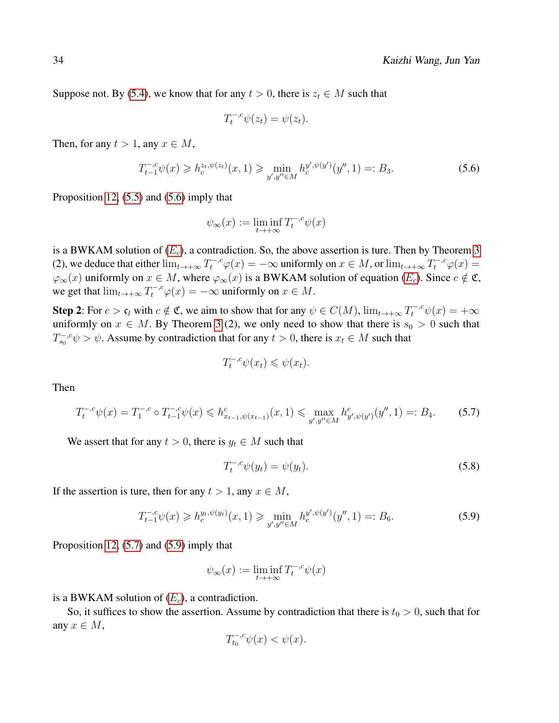Suppose not. By [\(5.4\)](#page-32-3), we know that for any  $t > 0$ , there is  $z_t \in M$  such that

<span id="page-33-0"></span>
$$
T_t^{-,c}\psi(z_t)=\psi(z_t).
$$

Then, for any  $t > 1$ , any  $x \in M$ ,

$$
T_{t-1}^{-,c}\psi(x) \ge h_c^{z_t,\psi(z_t)}(x,1) \ge \min_{y',y'' \in M} h_c^{y',\psi(y')}(y'',1) =: B_3.
$$
 (5.6)

Proposition [12,](#page-16-2) [\(5.5\)](#page-32-4) and [\(5.6\)](#page-33-0) imply that

$$
\psi_\infty(x):=\liminf_{t\to+\infty}T_t^{-,c}\psi(x)
$$

is a BWKAM solution of  $(E_c)$  $(E_c)$  $(E_c)$ , a contradiction. So, the above assertion is ture. Then by Theorem [3](#page-7-1) (2), we deduce that either  $\lim_{t\to+\infty}T_t^{-,c}\varphi(x) = -\infty$  uniformly on  $x \in M$ , or  $\lim_{t\to+\infty}T_t^{-,c}\varphi(x) =$  $\varphi_{\infty}(x)$  uniformly on  $x \in M$ , where  $\varphi_{\infty}(x)$  is a BWKAM solution of equation  $(E_c)$  $(E_c)$  $(E_c)$ . Since  $c \notin \mathfrak{C}$ , we get that  $\lim_{t\to+\infty}T_t^{-,c}\varphi(x)=-\infty$  uniformly on  $x\in M$ .

**Step 2**: For  $c > c_l$  with  $c \notin \mathfrak{C}$ , we aim to show that for any  $\psi \in C(M)$ ,  $\lim_{t \to +\infty} T_t^{-,c} \psi(x) = +\infty$ uniformly on  $x \in M$ . By Theorem [3](#page-7-1) (2), we only need to show that there is  $s_0 > 0$  such that  $T_{s_0}^{-,c}\psi > \psi$ . Assume by contradiction that for any  $t > 0$ , there is  $x_t \in M$  such that

<span id="page-33-1"></span>
$$
T_t^{-,c}\psi(x_t) \leq \psi(x_t).
$$

Then

$$
T_t^{-,c}\psi(x) = T_1^{-,c} \circ T_{t-1}^{-,c}\psi(x) \leq h_{x_{t-1},\psi(x_{t-1})}^c(x,1) \leq \max_{y',y'' \in M} h_{y',\psi(y)}^c(y'',1) =: B_4. \tag{5.7}
$$

We assert that for any  $t > 0$ , there is  $y_t \in M$  such that

<span id="page-33-3"></span><span id="page-33-2"></span>
$$
T_t^{-,c}\psi(y_t) = \psi(y_t). \tag{5.8}
$$

If the assertion is ture, then for any  $t > 1$ , any  $x \in M$ ,

$$
T_{t-1}^{-,c}\psi(x) \ge h_c^{y_t,\psi(y_t)}(x,1) \ge \min_{y',y'' \in M} h_c^{y',\psi(y')}(y'',1) =: B_6. \tag{5.9}
$$

Proposition [12,](#page-16-2) [\(5.7\)](#page-33-1) and [\(5.9\)](#page-33-2) imply that

$$
\psi_{\infty}(x) := \liminf_{t \to +\infty} T_t^{-,c} \psi(x)
$$

is a BWKAM solution of  $(E_c)$  $(E_c)$  $(E_c)$ , a contradiction.

So, it suffices to show the assertion. Assume by contradiction that there is  $t_0 > 0$ , such that for any  $x \in M$ ,

$$
T_{t_0}^{-,c}\psi(x) < \psi(x).
$$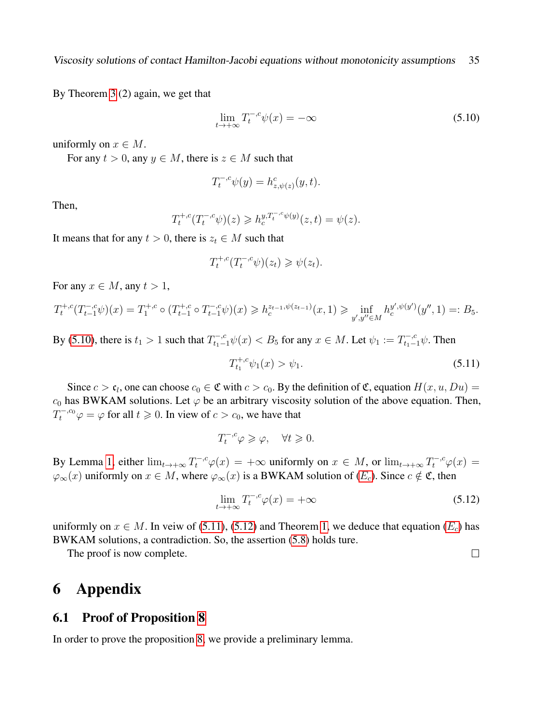By Theorem [3](#page-7-1) (2) again, we get that

<span id="page-34-2"></span>
$$
\lim_{t \to +\infty} T_t^{-,c} \psi(x) = -\infty \tag{5.10}
$$

uniformly on  $x \in M$ .

For any  $t > 0$ , any  $y \in M$ , there is  $z \in M$  such that

$$
T_t^{-,c}\psi(y) = h_{z,\psi(z)}^c(y,t).
$$

Then,

$$
T_t^{+,c}(T_t^{-,c}\psi)(z) \geq h_c^{y,T_t^{-,c}\psi(y)}(z,t) = \psi(z).
$$

It means that for any  $t > 0$ , there is  $z_t \in M$  such that

$$
T_t^{+,c}(T_t^{-,c}\psi)(z_t) \geq \psi(z_t).
$$

For any  $x \in M$ , any  $t > 1$ ,

$$
T_t^{+,c}(T_{t-1}^{-,c}\psi)(x) = T_1^{+,c} \circ (T_{t-1}^{+,c} \circ T_{t-1}^{-,c}\psi)(x) \geq h_c^{z_{t-1},\psi(z_{t-1})}(x,1) \geq \inf_{y',y'' \in M} h_c^{y',\psi(y')}(y'',1) =: B_5.
$$

By [\(5.10\)](#page-34-2), there is  $t_1 > 1$  such that  $T_{t_1-1}^{-,c} \psi(x) < B_5$  for any  $x \in M$ . Let  $\psi_1 := T_{t_1-1}^{-,c} \psi$ . Then

$$
T_{t_1}^{+,c}\psi_1(x) > \psi_1. \tag{5.11}
$$

Since  $c > c_l$ , one can choose  $c_0 \in \mathfrak{C}$  with  $c > c_0$ . By the definition of  $\mathfrak{C}$ , equation  $H(x, u, Du) =$  $c_0$  has BWKAM solutions. Let  $\varphi$  be an arbitrary viscosity solution of the above equation. Then,  $T_t^{-,c_0}\varphi = \varphi$  for all  $t \geq 0$ . In view of  $c > c_0$ , we have that

 $T_t^{-,c}\varphi \geqslant \varphi, \quad \forall t \geqslant 0.$ 

By Lemma [1,](#page-21-2) either  $\lim_{t\to+\infty}T_t^{-,c}\varphi(x)=+\infty$  uniformly on  $x\in M$ , or  $\lim_{t\to+\infty}T_t^{-,c}\varphi(x)=$  $\varphi_{\infty}(x)$  uniformly on  $x \in M$ , where  $\varphi_{\infty}(x)$  is a BWKAM solution of  $(E_c)$  $(E_c)$  $(E_c)$ . Since  $c \notin \mathfrak{C}$ , then

$$
\lim_{t \to +\infty} T_t^{-,c} \varphi(x) = +\infty \tag{5.12}
$$

<span id="page-34-4"></span><span id="page-34-3"></span> $\Box$ 

uniformly on  $x \in M$ . In veiw of [\(5.11\)](#page-34-3), [\(5.12\)](#page-34-4) and Theorem [1,](#page-6-0) we deduce that equation ( $E_c$  $E_c$ ) has BWKAM solutions, a contradiction. So, the assertion [\(5.8\)](#page-33-3) holds ture.

The proof is now complete.

# <span id="page-34-0"></span>6 Appendix

#### <span id="page-34-1"></span>6.1 Proof of Proposition [8](#page-14-0)

In order to prove the proposition [8,](#page-14-0) we provide a preliminary lemma.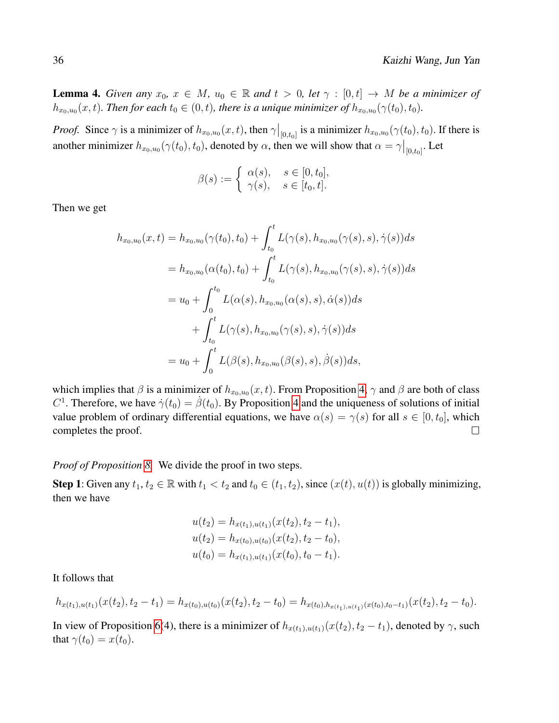<span id="page-35-0"></span>**Lemma 4.** *Given any*  $x_0, x \in M$ ,  $u_0 \in \mathbb{R}$  and  $t > 0$ , let  $\gamma : [0, t] \rightarrow M$  *be a minimizer of*  $h_{x_0,u_0}(x,t)$ . Then for each  $t_0\in(0,t)$ , there is a unique minimizer of  $h_{x_0,u_0}(\gamma(t_0),t_0)$ .

*Proof.* Since  $\gamma$  is a minimizer of  $h_{x_0,u_0}(x,t)$ , then  $\gamma|_{[0,t_0]}$  is a minimizer  $h_{x_0,u_0}(\gamma(t_0),t_0)$ . If there is another minimizer  $h_{x_0,u_0}(\gamma(t_0),t_0)$ , denoted by  $\alpha$ , then we will show that  $\alpha=\gamma\big|_{[0,t_0]}$ . Let

$$
\beta(s) := \begin{cases} \alpha(s), & s \in [0, t_0], \\ \gamma(s), & s \in [t_0, t]. \end{cases}
$$

Then we get

$$
h_{x_0,u_0}(x,t) = h_{x_0,u_0}(\gamma(t_0),t_0) + \int_{t_0}^t L(\gamma(s),h_{x_0,u_0}(\gamma(s),s),\dot{\gamma}(s))ds
$$
  
\n
$$
= h_{x_0,u_0}(\alpha(t_0),t_0) + \int_{t_0}^t L(\gamma(s),h_{x_0,u_0}(\gamma(s),s),\dot{\gamma}(s))ds
$$
  
\n
$$
= u_0 + \int_0^{t_0} L(\alpha(s),h_{x_0,u_0}(\alpha(s),s),\dot{\alpha}(s))ds
$$
  
\n
$$
+ \int_{t_0}^t L(\gamma(s),h_{x_0,u_0}(\gamma(s),s),\dot{\gamma}(s))ds
$$
  
\n
$$
= u_0 + \int_0^t L(\beta(s),h_{x_0,u_0}(\beta(s),s),\dot{\beta}(s))ds,
$$

which implies that  $\beta$  is a minimizer of  $h_{x_0,u_0}(x,t)$ . From Proposition [4,](#page-12-4)  $\gamma$  and  $\beta$  are both of class C<sup>1</sup>. Therefore, we have  $\dot{\gamma}(t_0) = \dot{\beta}(t_0)$ . By Proposition [4](#page-12-4) and the uniqueness of solutions of initial value problem of ordinary differential equations, we have  $\alpha(s) = \gamma(s)$  for all  $s \in [0, t_0]$ , which completes the proof.  $\Box$ 

*Proof of Proposition [8.](#page-14-0)* We divide the proof in two steps.

**Step 1:** Given any  $t_1, t_2 \in \mathbb{R}$  with  $t_1 < t_2$  and  $t_0 \in (t_1, t_2)$ , since  $(x(t), u(t))$  is globally minimizing, then we have

$$
u(t_2) = h_{x(t_1),u(t_1)}(x(t_2), t_2 - t_1),
$$
  
\n
$$
u(t_2) = h_{x(t_0),u(t_0)}(x(t_2), t_2 - t_0),
$$
  
\n
$$
u(t_0) = h_{x(t_1),u(t_1)}(x(t_0), t_0 - t_1).
$$

It follows that

$$
h_{x(t_1),u(t_1)}(x(t_2),t_2-t_1) = h_{x(t_0),u(t_0)}(x(t_2),t_2-t_0) = h_{x(t_0),h_{x(t_1),u(t_1)}(x(t_0),t_0-t_1)}(x(t_2),t_2-t_0).
$$

In view of Proposition [6\(](#page-13-0)4), there is a minimizer of  $h_{x(t_1),u(t_1)}(x(t_2), t_2 - t_1)$ , denoted by  $\gamma$ , such that  $\gamma(t_0) = x(t_0)$ .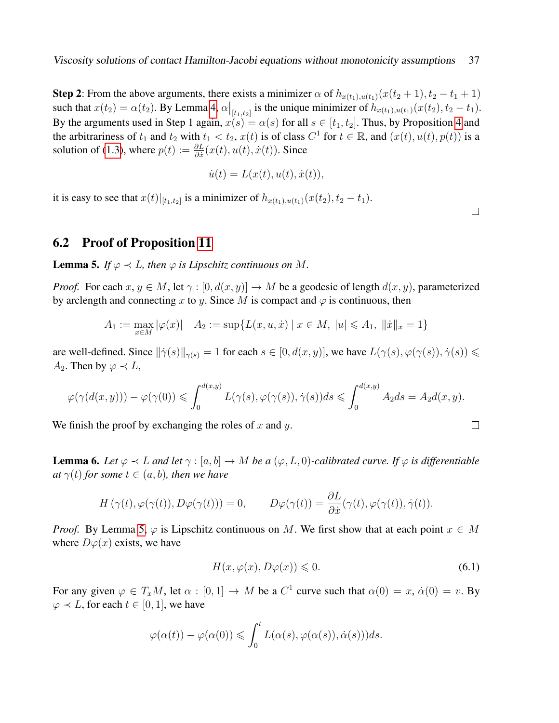**Step 2:** From the above arguments, there exists a minimizer  $\alpha$  of  $h_{x(t_1),u(t_1)}(x(t_2+1), t_2 - t_1 + 1)$ such that  $x(t_2) = \alpha(t_2)$ . By Lemma [4,](#page-35-0)  $\alpha|_{[t_1,t_2]}$  is the unique minimizer of  $h_{x(t_1),u(t_1)}(x(t_2), t_2 - t_1)$ . By the arguments used in Step 1 again,  $x(s) = \alpha(s)$  for all  $s \in [t_1, t_2]$ . Thus, by Proposition [4](#page-12-4) and the arbitrariness of  $t_1$  and  $t_2$  with  $t_1 < t_2$ ,  $x(t)$  is of class  $C^1$  for  $t \in \mathbb{R}$ , and  $(x(t), u(t), p(t))$  is a solution of [\(1.3\)](#page-3-2), where  $p(t) := \frac{\partial L}{\partial \dot{x}}(x(t), u(t), \dot{x}(t))$ . Since

$$
\dot{u}(t) = L(x(t), u(t), \dot{x}(t)),
$$

it is easy to see that  $x(t)|_{[t_1,t_2]}$  is a minimizer of  $h_{x(t_1),u(t_1)}(x(t_2), t_2 - t_1)$ .

 $\Box$ 

## <span id="page-36-0"></span>6.2 Proof of Proposition [11](#page-15-0)

<span id="page-36-1"></span>**Lemma 5.** *If*  $\varphi \prec L$ *, then*  $\varphi$  *is Lipschitz continuous on M*.

*Proof.* For each  $x, y \in M$ , let  $\gamma : [0, d(x, y)] \to M$  be a geodesic of length  $d(x, y)$ , parameterized by arclength and connecting x to y. Since M is compact and  $\varphi$  is continuous, then

$$
A_1 := \max_{x \in M} |\varphi(x)| \quad A_2 := \sup \{ L(x, u, \dot{x}) \mid x \in M, \ |u| \leq A_1, \ ||\dot{x}||_x = 1 \}
$$

are well-defined. Since  $\|\dot{\gamma}(s)\|_{\gamma(s)} = 1$  for each  $s \in [0, d(x, y)]$ , we have  $L(\gamma(s), \varphi(\gamma(s)), \dot{\gamma}(s)) \leq$  $A_2$ . Then by  $\varphi \prec L$ ,

$$
\varphi(\gamma(d(x,y))) - \varphi(\gamma(0)) \leq \int_0^{d(x,y)} L(\gamma(s), \varphi(\gamma(s)), \dot{\gamma}(s)) ds \leq \int_0^{d(x,y)} A_2 ds = A_2 d(x,y).
$$

We finish the proof by exchanging the roles of  $x$  and  $y$ .

<span id="page-36-3"></span>**Lemma 6.** Let  $\varphi \prec L$  and let  $\gamma : [a, b] \to M$  be a  $(\varphi, L, 0)$ -calibrated curve. If  $\varphi$  is differentiable *at*  $\gamma(t)$  *for some*  $t \in (a, b)$ *, then we have* 

$$
H(\gamma(t), \varphi(\gamma(t)), D\varphi(\gamma(t))) = 0, \qquad D\varphi(\gamma(t)) = \frac{\partial L}{\partial \dot{x}}(\gamma(t), \varphi(\gamma(t)), \dot{\gamma}(t)).
$$

*Proof.* By Lemma [5,](#page-36-1)  $\varphi$  is Lipschitz continuous on M. We first show that at each point  $x \in M$ where  $D\varphi(x)$  exists, we have

$$
H(x, \varphi(x), D\varphi(x)) \leq 0. \tag{6.1}
$$

For any given  $\varphi \in T_xM$ , let  $\alpha : [0,1] \to M$  be a  $C^1$  curve such that  $\alpha(0) = x$ ,  $\dot{\alpha}(0) = v$ . By  $\varphi \prec L$ , for each  $t \in [0, 1]$ , we have

$$
\varphi(\alpha(t)) - \varphi(\alpha(0)) \leq \int_0^t L(\alpha(s), \varphi(\alpha(s)), \dot{\alpha}(s))) ds.
$$

<span id="page-36-2"></span>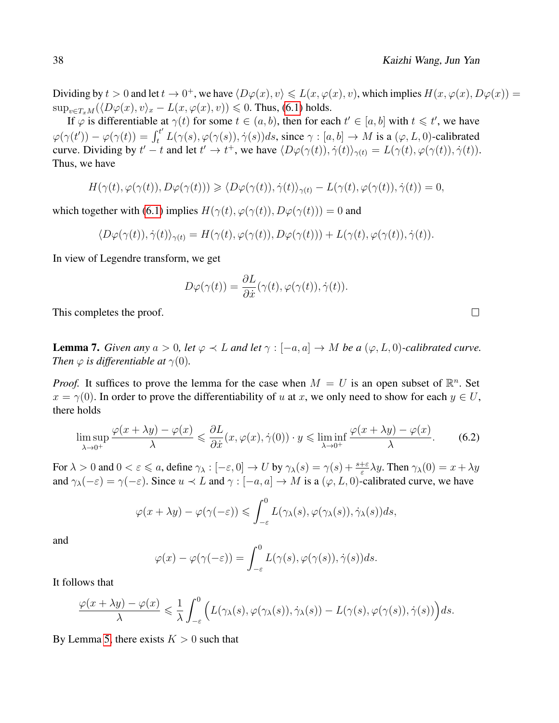Dividing by  $t > 0$  and let  $t \to 0^+$ , we have  $\langle D\varphi(x), v \rangle \le L(x, \varphi(x), v)$ , which implies  $H(x, \varphi(x), D\varphi(x)) =$  $\sup_{v\in T_xM} (\langle D\varphi(x), v\rangle_x - L(x, \varphi(x), v)) \leq 0$ . Thus, [\(6.1\)](#page-36-2) holds.

If  $\varphi$  is differentiable at  $\gamma(t)$  for some  $t \in (a, b)$ , then for each  $t' \in [a, b]$  with  $t \leq t'$ , we have  $\varphi(\gamma(t')) - \varphi(\gamma(t)) = \int_t^{t'}$  $t_t^c L(\gamma(s), \varphi(\gamma(s)), \dot{\gamma}(s))ds$ , since  $\gamma : [a, b] \to M$  is a  $(\varphi, L, 0)$ -calibrated curve. Dividing by  $t' - t$  and let  $t' \to t^+$ , we have  $\langle D\varphi(\gamma(t)), \dot{\gamma}(t) \rangle_{\gamma(t)} = L(\gamma(t), \varphi(\gamma(t)), \dot{\gamma}(t))$ . Thus, we have

$$
H(\gamma(t),\varphi(\gamma(t)),D\varphi(\gamma(t)))\geqslant \langle D\varphi(\gamma(t)),\dot\gamma(t)\rangle_{\gamma(t)}-L(\gamma(t),\varphi(\gamma(t)),\dot\gamma(t))=0,
$$

which together with [\(6.1\)](#page-36-2) implies  $H(\gamma(t), \varphi(\gamma(t)), D\varphi(\gamma(t))) = 0$  and

$$
\langle D\varphi(\gamma(t)), \dot{\gamma}(t)\rangle_{\gamma(t)} = H(\gamma(t), \varphi(\gamma(t)), D\varphi(\gamma(t))) + L(\gamma(t), \varphi(\gamma(t)), \dot{\gamma}(t)).
$$

In view of Legendre transform, we get

$$
D\varphi(\gamma(t)) = \frac{\partial L}{\partial \dot{x}}(\gamma(t), \varphi(\gamma(t)), \dot{\gamma}(t)).
$$

This completes the proof.

<span id="page-37-1"></span>**Lemma 7.** *Given any*  $a > 0$ *, let*  $\varphi \prec L$  *and let*  $\gamma : [-a, a] \rightarrow M$  *be* a  $(\varphi, L, 0)$ *-calibrated curve. Then*  $\varphi$  *is differentiable at*  $\gamma(0)$ *.* 

*Proof.* It suffices to prove the lemma for the case when  $M = U$  is an open subset of  $\mathbb{R}^n$ . Set  $x = \gamma(0)$ . In order to prove the differentiability of u at x, we only need to show for each  $y \in U$ , there holds

<span id="page-37-0"></span>
$$
\limsup_{\lambda \to 0^+} \frac{\varphi(x + \lambda y) - \varphi(x)}{\lambda} \leq \frac{\partial L}{\partial \dot{x}}(x, \varphi(x), \dot{\gamma}(0)) \cdot y \leq \liminf_{\lambda \to 0^+} \frac{\varphi(x + \lambda y) - \varphi(x)}{\lambda}.
$$
 (6.2)

For  $\lambda > 0$  and  $0 < \varepsilon \leq a$ , define  $\gamma_{\lambda} : [-\varepsilon, 0] \to U$  by  $\gamma_{\lambda}(s) = \gamma(s) + \frac{s+\varepsilon}{\varepsilon} \lambda y$ . Then  $\gamma_{\lambda}(0) = x + \lambda y$ and  $\gamma_{\lambda}(-\varepsilon) = \gamma(-\varepsilon)$ . Since  $u \prec L$  and  $\gamma : [-a, a] \to M$  is a  $(\varphi, L, 0)$ -calibrated curve, we have

$$
\varphi(x+\lambda y)-\varphi(\gamma(-\varepsilon))\leqslant \int_{-\varepsilon}^0 L(\gamma_\lambda(s),\varphi(\gamma_\lambda(s)),\dot{\gamma}_\lambda(s))ds,
$$

and

$$
\varphi(x) - \varphi(\gamma(-\varepsilon)) = \int_{-\varepsilon}^{0} L(\gamma(s), \varphi(\gamma(s)), \dot{\gamma}(s)) ds.
$$

It follows that

$$
\frac{\varphi(x+\lambda y)-\varphi(x)}{\lambda}\leqslant \frac{1}{\lambda}\int_{-\varepsilon}^0\Big(L(\gamma_{\lambda}(s),\varphi(\gamma_{\lambda}(s)),\dot{\gamma}_{\lambda}(s))-L(\gamma(s),\varphi(\gamma(s)),\dot{\gamma}(s))\Big)ds.
$$

By Lemma [5,](#page-36-1) there exists  $K > 0$  such that

 $\Box$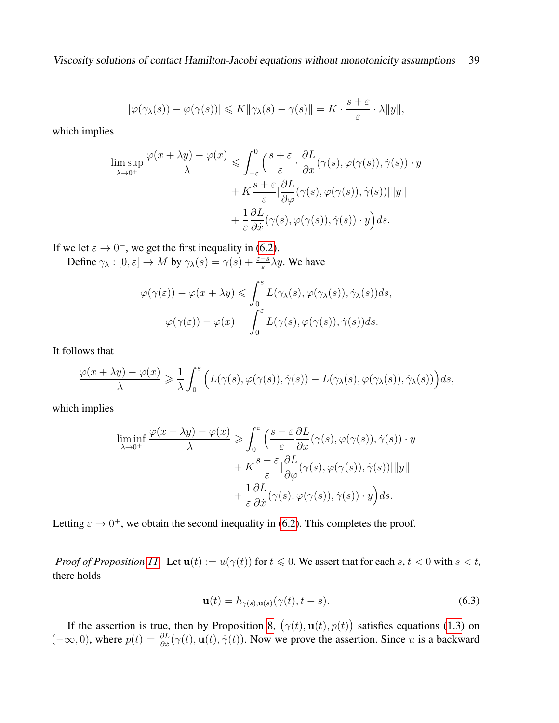$$
|\varphi(\gamma_{\lambda}(s)) - \varphi(\gamma(s))| \leq K ||\gamma_{\lambda}(s) - \gamma(s)|| = K \cdot \frac{s + \varepsilon}{\varepsilon} \cdot \lambda ||y||,
$$

which implies

$$
\limsup_{\lambda \to 0^+} \frac{\varphi(x + \lambda y) - \varphi(x)}{\lambda} \le \int_{-\varepsilon}^0 \left( \frac{s + \varepsilon}{\varepsilon} \cdot \frac{\partial L}{\partial x} (\gamma(s), \varphi(\gamma(s)), \dot{\gamma}(s)) \cdot y + K \frac{s + \varepsilon}{\varepsilon} |\frac{\partial L}{\partial \varphi} (\gamma(s), \varphi(\gamma(s)), \dot{\gamma}(s))| \|y\| + \frac{1}{\varepsilon} \frac{\partial L}{\partial x} (\gamma(s), \varphi(\gamma(s)), \dot{\gamma}(s)) \cdot y \right) ds.
$$

If we let  $\varepsilon \to 0^+$ , we get the first inequality in [\(6.2\)](#page-37-0).

Define  $\gamma_{\lambda} : [0, \varepsilon] \to M$  by  $\gamma_{\lambda}(s) = \gamma(s) + \frac{\varepsilon - s}{\varepsilon} \lambda y$ . We have

$$
\varphi(\gamma(\varepsilon)) - \varphi(x + \lambda y) \leq \int_0^{\varepsilon} L(\gamma_{\lambda}(s), \varphi(\gamma_{\lambda}(s)), \dot{\gamma}_{\lambda}(s)) ds,
$$

$$
\varphi(\gamma(\varepsilon)) - \varphi(x) = \int_0^{\varepsilon} L(\gamma(s), \varphi(\gamma(s)), \dot{\gamma}(s)) ds.
$$

It follows that

$$
\frac{\varphi(x+\lambda y)-\varphi(x)}{\lambda}\geqslant \frac{1}{\lambda}\int_0^\varepsilon \Big(L(\gamma(s),\varphi(\gamma(s)),\dot\gamma(s))-L(\gamma_\lambda(s),\varphi(\gamma_\lambda(s)),\dot\gamma_\lambda(s))\Big)ds,
$$

which implies

$$
\liminf_{\lambda \to 0^+} \frac{\varphi(x + \lambda y) - \varphi(x)}{\lambda} \ge \int_0^{\varepsilon} \left( \frac{s - \varepsilon}{\varepsilon} \frac{\partial L}{\partial x} (\gamma(s), \varphi(\gamma(s)), \dot{\gamma}(s)) \cdot y + K \frac{s - \varepsilon}{\varepsilon} |\frac{\partial L}{\partial \varphi} (\gamma(s), \varphi(\gamma(s)), \dot{\gamma}(s))| \|y\| + \frac{1}{\varepsilon} \frac{\partial L}{\partial \dot{x}} (\gamma(s), \varphi(\gamma(s)), \dot{\gamma}(s)) \cdot y \right) ds.
$$

Letting  $\varepsilon \to 0^+$ , we obtain the second inequality in [\(6.2\)](#page-37-0). This completes the proof.

<span id="page-38-0"></span> $\Box$ 

*Proof of Proposition [11.](#page-15-0)* Let  $u(t) := u(\gamma(t))$  for  $t \le 0$ . We assert that for each s,  $t < 0$  with  $s < t$ , there holds

$$
\mathbf{u}(t) = h_{\gamma(s), \mathbf{u}(s)}(\gamma(t), t - s). \tag{6.3}
$$

If the assertion is true, then by Proposition [8,](#page-14-0)  $(\gamma(t), u(t), p(t))$  satisfies equations [\(1.3\)](#page-3-2) on  $(-\infty, 0)$ , where  $p(t) = \frac{\partial L}{\partial \dot{x}}(\gamma(t), \mathbf{u}(t), \dot{\gamma}(t))$ . Now we prove the assertion. Since u is a backward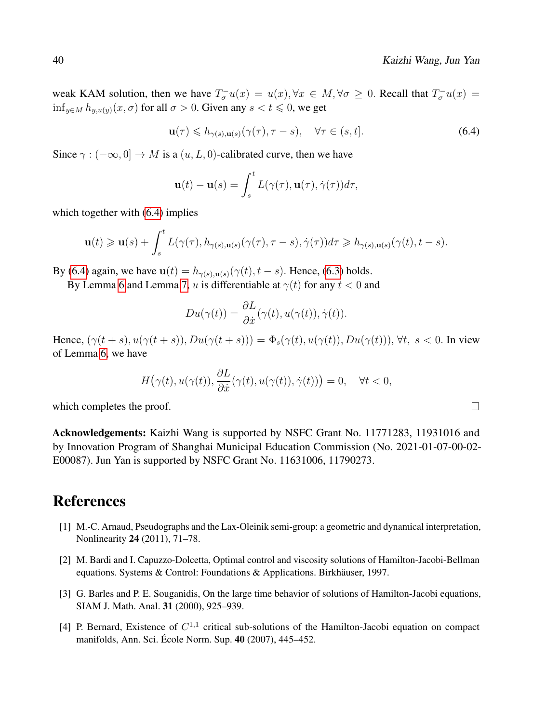<span id="page-39-4"></span> $\Box$ 

weak KAM solution, then we have  $T_{\sigma}^{-}u(x) = u(x), \forall x \in M, \forall \sigma \ge 0$ . Recall that  $T_{\sigma}^{-}u(x) =$  $\inf_{y \in M} h_{y,u(y)}(x, \sigma)$  for all  $\sigma > 0$ . Given any  $s < t \leq 0$ , we get

$$
\mathbf{u}(\tau) \leq h_{\gamma(s),\mathbf{u}(s)}(\gamma(\tau),\tau-s), \quad \forall \tau \in (s,t]. \tag{6.4}
$$

Since  $\gamma : (-\infty, 0] \to M$  is a  $(u, L, 0)$ -calibrated curve, then we have

$$
\mathbf{u}(t) - \mathbf{u}(s) = \int_s^t L(\gamma(\tau), \mathbf{u}(\tau), \dot{\gamma}(\tau)) d\tau,
$$

which together with  $(6.4)$  implies

$$
\mathbf{u}(t) \geqslant \mathbf{u}(s) + \int_{s}^{t} L(\gamma(\tau), h_{\gamma(s), \mathbf{u}(s)}(\gamma(\tau), \tau - s), \dot{\gamma}(\tau)) d\tau \geqslant h_{\gamma(s), \mathbf{u}(s)}(\gamma(t), t - s).
$$

By [\(6.4\)](#page-39-4) again, we have  $\mathbf{u}(t) = h_{\gamma(s),\mathbf{u}(s)}(\gamma(t), t - s)$ . Hence, [\(6.3\)](#page-38-0) holds.

By Lemma [6](#page-36-3) and Lemma [7,](#page-37-1) u is differentiable at  $\gamma(t)$  for any  $t < 0$  and

$$
Du(\gamma(t)) = \frac{\partial L}{\partial \dot{x}}(\gamma(t), u(\gamma(t)), \dot{\gamma}(t)).
$$

Hence,  $(\gamma(t+s), u(\gamma(t+s)), Du(\gamma(t+s))) = \Phi_s(\gamma(t), u(\gamma(t)), Du(\gamma(t))), \forall t, s < 0$ . In view of Lemma [6,](#page-36-3) we have

$$
H(\gamma(t), u(\gamma(t)), \frac{\partial L}{\partial \dot{x}}(\gamma(t), u(\gamma(t)), \dot{\gamma}(t))) = 0, \quad \forall t < 0,
$$

which completes the proof.

Acknowledgements: Kaizhi Wang is supported by NSFC Grant No. 11771283, 11931016 and by Innovation Program of Shanghai Municipal Education Commission (No. 2021-01-07-00-02- E00087). Jun Yan is supported by NSFC Grant No. 11631006, 11790273.

# References

- <span id="page-39-3"></span>[1] M.-C. Arnaud, Pseudographs and the Lax-Oleinik semi-group: a geometric and dynamical interpretation, Nonlinearity 24 (2011), 71–78.
- <span id="page-39-2"></span>[2] M. Bardi and I. Capuzzo-Dolcetta, Optimal control and viscosity solutions of Hamilton-Jacobi-Bellman equations. Systems & Control: Foundations & Applications. Birkhäuser, 1997.
- <span id="page-39-1"></span>[3] G. Barles and P. E. Souganidis, On the large time behavior of solutions of Hamilton-Jacobi equations, SIAM J. Math. Anal. 31 (2000), 925–939.
- <span id="page-39-0"></span>[4] P. Bernard, Existence of  $C^{1,1}$  critical sub-solutions of the Hamilton-Jacobi equation on compact manifolds, Ann. Sci. École Norm. Sup.  $40$  (2007), 445–452.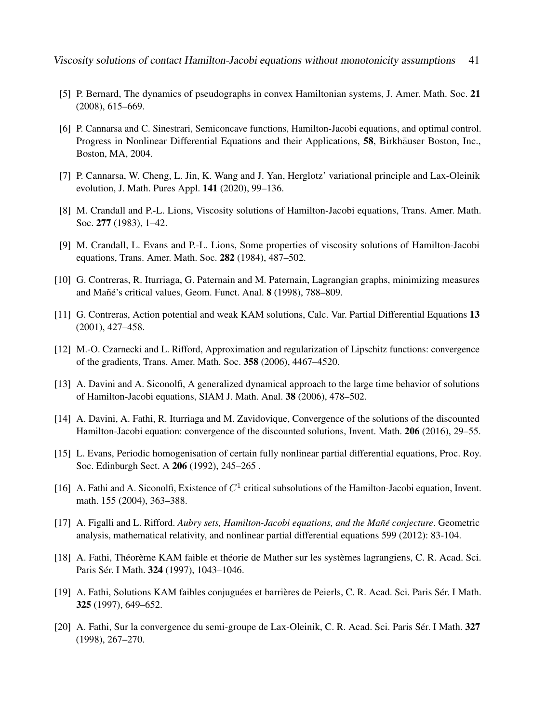Viscosity solutions of contact Hamilton-Jacobi equations without monotonicity assumptions 41

- <span id="page-40-11"></span>[5] P. Bernard, The dynamics of pseudographs in convex Hamiltonian systems, J. Amer. Math. Soc. 21 (2008), 615–669.
- <span id="page-40-7"></span>[6] P. Cannarsa and C. Sinestrari, Semiconcave functions, Hamilton-Jacobi equations, and optimal control. Progress in Nonlinear Differential Equations and their Applications, 58, Birkhäuser Boston, Inc., Boston, MA, 2004.
- <span id="page-40-15"></span>[7] P. Cannarsa, W. Cheng, L. Jin, K. Wang and J. Yan, Herglotz' variational principle and Lax-Oleinik evolution, J. Math. Pures Appl. 141 (2020), 99–136.
- <span id="page-40-9"></span>[8] M. Crandall and P.-L. Lions, Viscosity solutions of Hamilton-Jacobi equations, Trans. Amer. Math. Soc. 277 (1983), 1–42.
- <span id="page-40-10"></span>[9] M. Crandall, L. Evans and P.-L. Lions, Some properties of viscosity solutions of Hamilton-Jacobi equations, Trans. Amer. Math. Soc. 282 (1984), 487–502.
- <span id="page-40-1"></span>[10] G. Contreras, R. Iturriaga, G. Paternain and M. Paternain, Lagrangian graphs, minimizing measures and Mañé's critical values, Geom. Funct. Anal. 8 (1998), 788–809.
- <span id="page-40-12"></span>[11] G. Contreras, Action potential and weak KAM solutions, Calc. Var. Partial Differential Equations 13 (2001), 427–458.
- <span id="page-40-8"></span>[12] M.-O. Czarnecki and L. Rifford, Approximation and regularization of Lipschitz functions: convergence of the gradients, Trans. Amer. Math. Soc. 358 (2006), 4467–4520.
- <span id="page-40-3"></span>[13] A. Davini and A. Siconolfi, A generalized dynamical approach to the large time behavior of solutions of Hamilton-Jacobi equations, SIAM J. Math. Anal. 38 (2006), 478–502.
- <span id="page-40-14"></span>[14] A. Davini, A. Fathi, R. Iturriaga and M. Zavidovique, Convergence of the solutions of the discounted Hamilton-Jacobi equation: convergence of the discounted solutions, Invent. Math. 206 (2016), 29–55.
- <span id="page-40-0"></span>[15] L. Evans, Periodic homogenisation of certain fully nonlinear partial differential equations, Proc. Roy. Soc. Edinburgh Sect. A 206 (1992), 245–265 .
- <span id="page-40-2"></span>[16] A. Fathi and A. Siconolfi, Existence of  $C^1$  critical subsolutions of the Hamilton-Jacobi equation, Invent. math. 155 (2004), 363–388.
- <span id="page-40-13"></span>[17] A. Figalli and L. Rifford. *Aubry sets, Hamilton-Jacobi equations, and the Man˜e conjecture ´* . Geometric analysis, mathematical relativity, and nonlinear partial differential equations 599 (2012): 83-104.
- <span id="page-40-5"></span>[18] A. Fathi, Théorème KAM faible et théorie de Mather sur les systèmes lagrangiens, C. R. Acad. Sci. Paris Sér. I Math. 324 (1997), 1043-1046.
- <span id="page-40-6"></span>[19] A. Fathi, Solutions KAM faibles conjuguées et barrières de Peierls, C. R. Acad. Sci. Paris Sér. I Math. 325 (1997), 649–652.
- <span id="page-40-4"></span>[20] A. Fathi, Sur la convergence du semi-groupe de Lax-Oleinik, C. R. Acad. Sci. Paris Sér. I Math. 327 (1998), 267–270.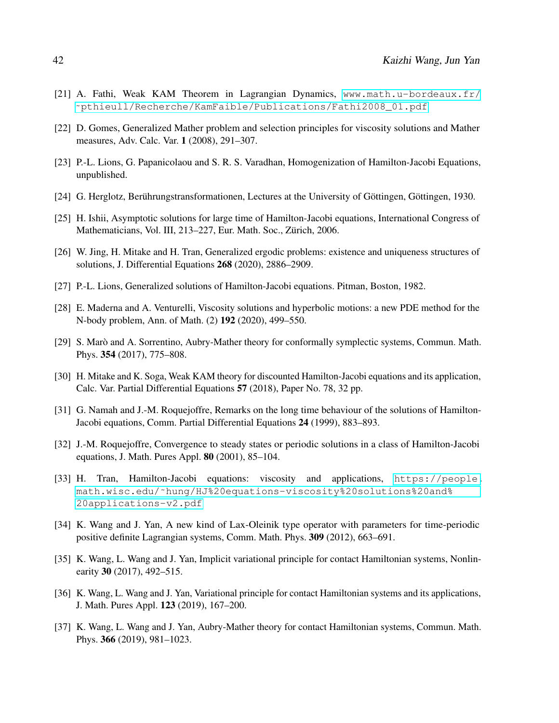- <span id="page-41-1"></span>[21] A. Fathi, Weak KAM Theorem in Lagrangian Dynamics, [www.math.u-bordeaux.fr/]( www.math.u-bordeaux.fr/~pthieull/Recherche/KamFaible/Publications/Fathi2008_01.pdf) [˜pthieull/Recherche/KamFaible/Publications/Fathi2008\\_01.pdf]( www.math.u-bordeaux.fr/~pthieull/Recherche/KamFaible/Publications/Fathi2008_01.pdf)
- <span id="page-41-9"></span>[22] D. Gomes, Generalized Mather problem and selection principles for viscosity solutions and Mather measures, Adv. Calc. Var. 1 (2008), 291–307.
- <span id="page-41-0"></span>[23] P.-L. Lions, G. Papanicolaou and S. R. S. Varadhan, Homogenization of Hamilton-Jacobi Equations, unpublished.
- <span id="page-41-15"></span>[24] G. Herglotz, Berührungstransformationen, Lectures at the University of Göttingen, Göttingen, 1930.
- <span id="page-41-2"></span>[25] H. Ishii, Asymptotic solutions for large time of Hamilton-Jacobi equations, International Congress of Mathematicians, Vol. III, 213–227, Eur. Math. Soc., Zürich, 2006.
- <span id="page-41-14"></span>[26] W. Jing, H. Mitake and H. Tran, Generalized ergodic problems: existence and uniqueness structures of solutions, J. Differential Equations 268 (2020), 2886–2909.
- <span id="page-41-3"></span>[27] P.-L. Lions, Generalized solutions of Hamilton-Jacobi equations. Pitman, Boston, 1982.
- <span id="page-41-10"></span>[28] E. Maderna and A. Venturelli, Viscosity solutions and hyperbolic motions: a new PDE method for the N-body problem, Ann. of Math. (2) 192 (2020), 499–550.
- [29] S. Marò and A. Sorrentino, Aubry-Mather theory for conformally symplectic systems, Commun. Math. Phys. 354 (2017), 775–808.
- <span id="page-41-13"></span>[30] H. Mitake and K. Soga, Weak KAM theory for discounted Hamilton-Jacobi equations and its application, Calc. Var. Partial Differential Equations 57 (2018), Paper No. 78, 32 pp.
- <span id="page-41-4"></span>[31] G. Namah and J.-M. Roquejoffre, Remarks on the long time behaviour of the solutions of Hamilton-Jacobi equations, Comm. Partial Differential Equations 24 (1999), 883–893.
- <span id="page-41-5"></span>[32] J.-M. Roquejoffre, Convergence to steady states or periodic solutions in a class of Hamilton-Jacobi equations, J. Math. Pures Appl. 80 (2001), 85–104.
- <span id="page-41-11"></span>[33] H. Tran, Hamilton-Jacobi equations: viscosity and applications, [https://people.](https://people.math.wisc.edu/~hung/HJ%20equations-viscosity%20solutions%20and%20applications-v2.pdf) [math.wisc.edu/˜hung/HJ%20equations-viscosity%20solutions%20and%](https://people.math.wisc.edu/~hung/HJ%20equations-viscosity%20solutions%20and%20applications-v2.pdf) [20applications-v2.pdf](https://people.math.wisc.edu/~hung/HJ%20equations-viscosity%20solutions%20and%20applications-v2.pdf)
- <span id="page-41-12"></span>[34] K. Wang and J. Yan, A new kind of Lax-Oleinik type operator with parameters for time-periodic positive definite Lagrangian systems, Comm. Math. Phys. 309 (2012), 663–691.
- <span id="page-41-6"></span>[35] K. Wang, L. Wang and J. Yan, Implicit variational principle for contact Hamiltonian systems, Nonlinearity 30 (2017), 492–515.
- <span id="page-41-7"></span>[36] K. Wang, L. Wang and J. Yan, Variational principle for contact Hamiltonian systems and its applications, J. Math. Pures Appl. 123 (2019), 167–200.
- <span id="page-41-8"></span>[37] K. Wang, L. Wang and J. Yan, Aubry-Mather theory for contact Hamiltonian systems, Commun. Math. Phys. 366 (2019), 981–1023.